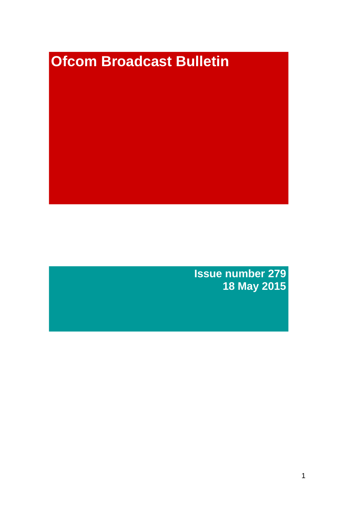# **Ofcom Broadcast Bulletin**

**Issue number 279 18 May 2015**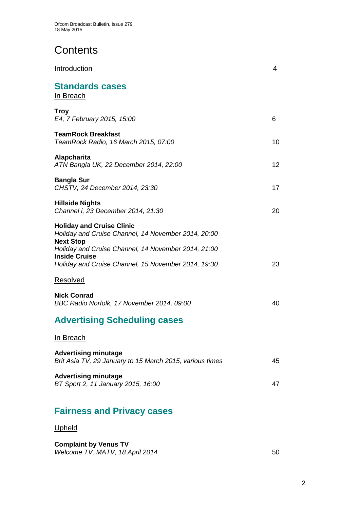# **Contents**

| Introduction                                                                                                                                                                                                                                      | 4  |
|---------------------------------------------------------------------------------------------------------------------------------------------------------------------------------------------------------------------------------------------------|----|
| <b>Standards cases</b><br>In Breach                                                                                                                                                                                                               |    |
| <b>Troy</b><br>E4, 7 February 2015, 15:00                                                                                                                                                                                                         | 6  |
| <b>TeamRock Breakfast</b><br>TeamRock Radio, 16 March 2015, 07:00                                                                                                                                                                                 | 10 |
| <b>Alapcharita</b><br>ATN Bangla UK, 22 December 2014, 22:00                                                                                                                                                                                      | 12 |
| <b>Bangla Sur</b><br>CHSTV, 24 December 2014, 23:30                                                                                                                                                                                               | 17 |
| <b>Hillside Nights</b><br>Channel i, 23 December 2014, 21:30                                                                                                                                                                                      | 20 |
| <b>Holiday and Cruise Clinic</b><br>Holiday and Cruise Channel, 14 November 2014, 20:00<br><b>Next Stop</b><br>Holiday and Cruise Channel, 14 November 2014, 21:00<br><b>Inside Cruise</b><br>Holiday and Cruise Channel, 15 November 2014, 19:30 | 23 |
| Resolved                                                                                                                                                                                                                                          |    |
| <b>Nick Conrad</b><br>BBC Radio Norfolk, 17 November 2014, 09:00                                                                                                                                                                                  | 40 |
| <b>Advertising Scheduling cases</b>                                                                                                                                                                                                               |    |
| <u>In Breach</u>                                                                                                                                                                                                                                  |    |
| <b>Advertising minutage</b><br>Brit Asia TV, 29 January to 15 March 2015, various times                                                                                                                                                           | 45 |
| <b>Advertising minutage</b><br>BT Sport 2, 11 January 2015, 16:00                                                                                                                                                                                 | 47 |
|                                                                                                                                                                                                                                                   |    |

# **Fairness and Privacy cases**

# Upheld

**Complaint by Venus TV** *Welcome TV, MATV, 18 April 2014* 50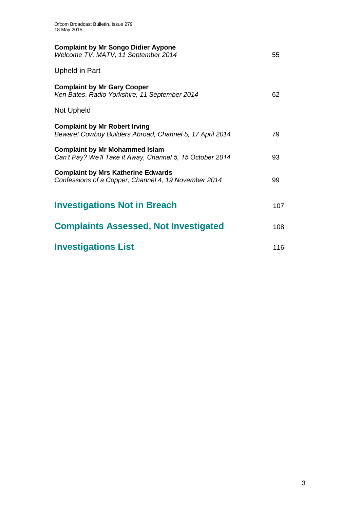| 55  |
|-----|
|     |
| 62  |
|     |
| 79  |
| 93  |
| 99  |
| 107 |
| 108 |
| 116 |
|     |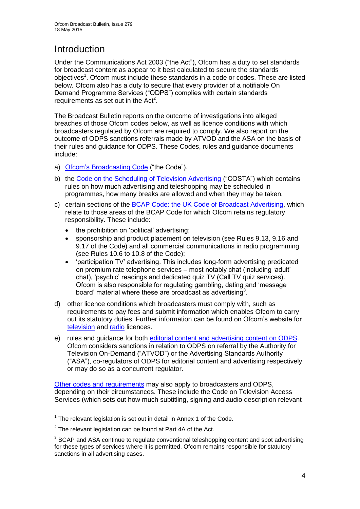# **Introduction**

Under the Communications Act 2003 ("the Act"), Ofcom has a duty to set standards for broadcast content as appear to it best calculated to secure the standards objectives<sup>1</sup>. Ofcom must include these standards in a code or codes. These are listed below. Ofcom also has a duty to secure that every provider of a notifiable On Demand Programme Services ("ODPS") complies with certain standards requirements as set out in the  $Act<sup>2</sup>$ .

The Broadcast Bulletin reports on the outcome of investigations into alleged breaches of those Ofcom codes below, as well as licence conditions with which broadcasters regulated by Ofcom are required to comply. We also report on the outcome of ODPS sanctions referrals made by ATVOD and the ASA on the basis of their rules and guidance for ODPS. These Codes, rules and guidance documents include:

- a) [Ofcom's Broadcasting Code](http://stakeholders.ofcom.org.uk/broadcasting/broadcast-codes/broadcast-code/) ("the Code").
- b) the [Code on the Scheduling of Television Advertising](http://stakeholders.ofcom.org.uk/broadcasting/broadcast-codes/advert-code/) ("COSTA") which contains rules on how much advertising and teleshopping may be scheduled in programmes, how many breaks are allowed and when they may be taken.
- c) certain sections of the [BCAP Code: the UK Code of Broadcast Advertising,](http://www.bcap.org.uk/Advertising-Codes/Broadcast-HTML.aspx) which relate to those areas of the BCAP Code for which Ofcom retains regulatory responsibility. These include:
	- the prohibition on 'political' advertising:
	- sponsorship and product placement on television (see Rules 9.13, 9.16 and 9.17 of the Code) and all commercial communications in radio programming (see Rules 10.6 to 10.8 of the Code);
	- 'participation TV' advertising. This includes long-form advertising predicated on premium rate telephone services – most notably chat (including 'adult' chat), 'psychic' readings and dedicated quiz TV (Call TV quiz services). Ofcom is also responsible for regulating gambling, dating and 'message board' material where these are broadcast as advertising<sup>3</sup>.
- d) other licence conditions which broadcasters must comply with, such as requirements to pay fees and submit information which enables Ofcom to carry out its statutory duties. Further information can be found on Ofcom's website for [television](http://licensing.ofcom.org.uk/tv-broadcast-licences/) and [radio](http://licensing.ofcom.org.uk/radio-broadcast-licensing/) licences.
- e) rules and guidance for both [editorial content and advertising content on ODPS.](http://www.atvod.co.uk/uploads/files/ATVOD_Rules_and_Guidance_Ed_2.0_May_2012.pdf) Ofcom considers sanctions in relation to ODPS on referral by the Authority for Television On-Demand ("ATVOD") or the Advertising Standards Authority ("ASA"), co-regulators of ODPS for editorial content and advertising respectively, or may do so as a concurrent regulator.

[Other codes and requirements](http://stakeholders.ofcom.org.uk/broadcasting/broadcast-codes/) may also apply to broadcasters and ODPS, depending on their circumstances. These include the Code on Television Access Services (which sets out how much subtitling, signing and audio description relevant

<sup>&</sup>lt;u>.</u>  $1$  The relevant legislation is set out in detail in Annex 1 of the Code.

 $2$  The relevant legislation can be found at Part 4A of the Act.

 $3$  BCAP and ASA continue to regulate conventional teleshopping content and spot advertising for these types of services where it is permitted. Of com remains responsible for statutory sanctions in all advertising cases.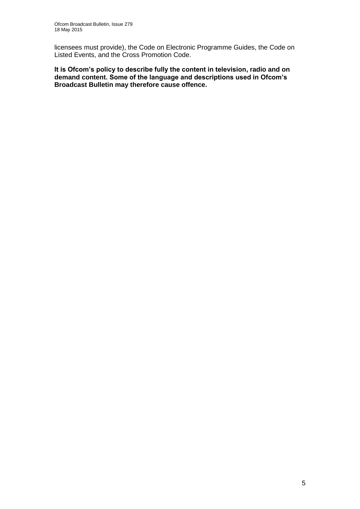licensees must provide), the Code on Electronic Programme Guides, the Code on Listed Events, and the Cross Promotion Code.

**It is Ofcom's policy to describe fully the content in television, radio and on demand content. Some of the language and descriptions used in Ofcom's Broadcast Bulletin may therefore cause offence.**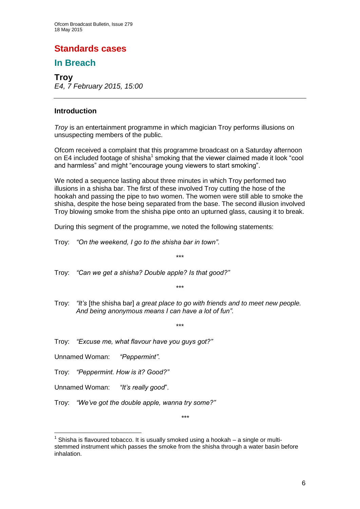# **Standards cases**

# **In Breach**

**Troy** *E4, 7 February 2015, 15:00*

### **Introduction**

*Troy* is an entertainment programme in which magician Troy performs illusions on unsuspecting members of the public.

Ofcom received a complaint that this programme broadcast on a Saturday afternoon on E4 included footage of shisha<sup>1</sup> smoking that the viewer claimed made it look "cool and harmless" and might "encourage young viewers to start smoking".

We noted a sequence lasting about three minutes in which Troy performed two illusions in a shisha bar. The first of these involved Troy cutting the hose of the hookah and passing the pipe to two women. The women were still able to smoke the shisha, despite the hose being separated from the base. The second illusion involved Troy blowing smoke from the shisha pipe onto an upturned glass, causing it to break.

\*\*\*

\*\*\*

\*\*\*

During this segment of the programme, we noted the following statements:

Troy: *"On the weekend, I go to the shisha bar in town"*.

Troy: *"Can we get a shisha? Double apple? Is that good?"*

Troy: *"It's* [the shisha bar] *a great place to go with friends and to meet new people. And being anonymous means I can have a lot of fun"*.

Troy: *"Excuse me, what flavour have you guys got?"*

Unnamed Woman: *"Peppermint"*.

Troy: *"Peppermint. How is it? Good?"*

Unnamed Woman: *"It's really good*".

1

Troy: *"We've got the double apple, wanna try some?"*

1 Shisha is flavoured tobacco. It is usually smoked using a hookah – a single or multistemmed instrument which passes the smoke from the shisha through a water basin before inhalation.

\*\*\*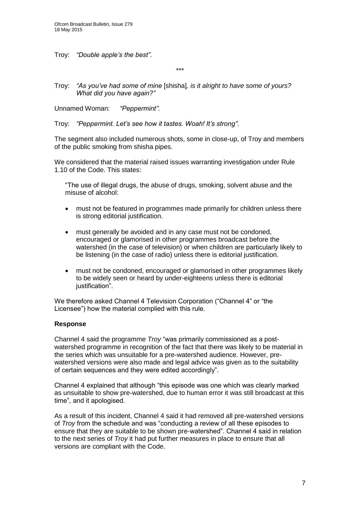Troy: *"Double apple's the best"*.

\*\*\*

Troy: *"As you've had some of mine* [shisha]*, is it alright to have some of yours? What did you have again?"*

Unnamed Woman: *"Peppermint"*.

Troy: *"Peppermint. Let's see how it tastes. Woah! It's strong"*.

The segment also included numerous shots, some in close-up, of Troy and members of the public smoking from shisha pipes.

We considered that the material raised issues warranting investigation under Rule 1.10 of the Code. This states:

"The use of illegal drugs, the abuse of drugs, smoking, solvent abuse and the misuse of alcohol:

- must not be featured in programmes made primarily for children unless there is strong editorial justification.
- must generally be avoided and in any case must not be condoned, encouraged or glamorised in other programmes broadcast before the watershed (in the case of television) or when children are particularly likely to be listening (in the case of radio) unless there is editorial justification.
- must not be condoned, encouraged or glamorised in other programmes likely to be widely seen or heard by under-eighteens unless there is editorial justification".

We therefore asked Channel 4 Television Corporation ("Channel 4" or "the Licensee") how the material complied with this rule.

### **Response**

Channel 4 said the programme *Troy* "was primarily commissioned as a postwatershed programme in recognition of the fact that there was likely to be material in the series which was unsuitable for a pre-watershed audience. However, prewatershed versions were also made and legal advice was given as to the suitability of certain sequences and they were edited accordingly".

Channel 4 explained that although "this episode was one which was clearly marked as unsuitable to show pre-watershed, due to human error it was still broadcast at this time", and it apologised.

As a result of this incident, Channel 4 said it had removed all pre-watershed versions of *Troy* from the schedule and was "conducting a review of all these episodes to ensure that they are suitable to be shown pre-watershed". Channel 4 said in relation to the next series of *Troy* it had put further measures in place to ensure that all versions are compliant with the Code.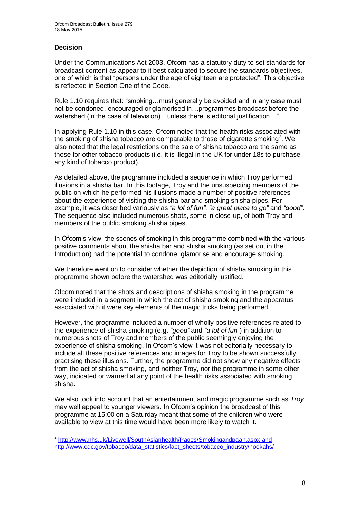### **Decision**

Under the Communications Act 2003, Ofcom has a statutory duty to set standards for broadcast content as appear to it best calculated to secure the standards objectives, one of which is that "persons under the age of eighteen are protected". This objective is reflected in Section One of the Code.

Rule 1.10 requires that: "smoking…must generally be avoided and in any case must not be condoned, encouraged or glamorised in…programmes broadcast before the watershed (in the case of television)...unless there is editorial justification...".

In applying Rule 1.10 in this case, Ofcom noted that the health risks associated with the smoking of shisha tobacco are comparable to those of cigarette smoking<sup>2</sup>. We also noted that the legal restrictions on the sale of shisha tobacco are the same as those for other tobacco products (i.e. it is illegal in the UK for under 18s to purchase any kind of tobacco product).

As detailed above, the programme included a sequence in which Troy performed illusions in a shisha bar. In this footage, Troy and the unsuspecting members of the public on which he performed his illusions made a number of positive references about the experience of visiting the shisha bar and smoking shisha pipes. For example, it was described variously as *"a lot of fun"*, *"a great place to go"* and *"good"*. The sequence also included numerous shots, some in close-up, of both Troy and members of the public smoking shisha pipes.

In Ofcom's view, the scenes of smoking in this programme combined with the various positive comments about the shisha bar and shisha smoking (as set out in the Introduction) had the potential to condone, glamorise and encourage smoking.

We therefore went on to consider whether the depiction of shisha smoking in this programme shown before the watershed was editorially justified.

Ofcom noted that the shots and descriptions of shisha smoking in the programme were included in a segment in which the act of shisha smoking and the apparatus associated with it were key elements of the magic tricks being performed.

However, the programme included a number of wholly positive references related to the experience of shisha smoking (e.g. *"good"* and *"a lot of fun"*) in addition to numerous shots of Troy and members of the public seemingly enjoying the experience of shisha smoking. In Ofcom's view it was not editorially necessary to include all these positive references and images for Troy to be shown successfully practising these illusions. Further, the programme did not show any negative effects from the act of shisha smoking, and neither Troy, nor the programme in some other way, indicated or warned at any point of the health risks associated with smoking shisha.

We also took into account that an entertainment and magic programme such as *Troy* may well appeal to younger viewers. In Ofcom's opinion the broadcast of this programme at 15:00 on a Saturday meant that some of the children who were available to view at this time would have been more likely to watch it.

 2 <http://www.nhs.uk/Livewell/SouthAsianhealth/Pages/Smokingandpaan.aspx> and [http://www.cdc.gov/tobacco/data\\_statistics/fact\\_sheets/tobacco\\_industry/hookahs/](http://www.cdc.gov/tobacco/data_statistics/fact_sheets/tobacco_industry/hookahs/)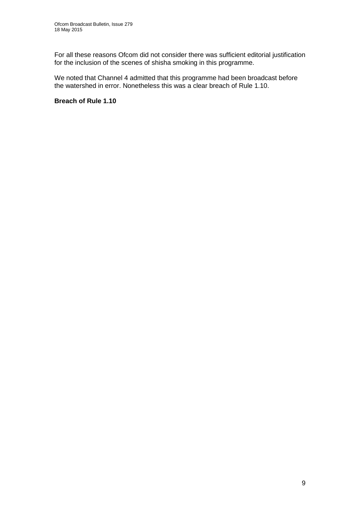For all these reasons Ofcom did not consider there was sufficient editorial justification for the inclusion of the scenes of shisha smoking in this programme.

We noted that Channel 4 admitted that this programme had been broadcast before the watershed in error. Nonetheless this was a clear breach of Rule 1.10.

### **Breach of Rule 1.10**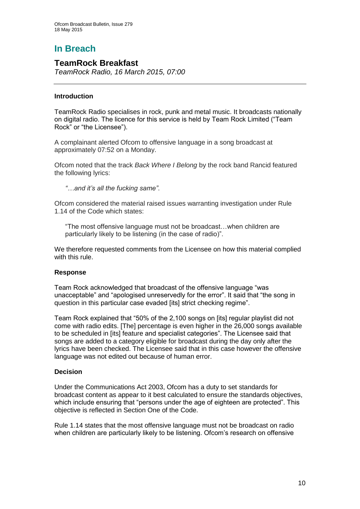# **In Breach**

# **TeamRock Breakfast**

*TeamRock Radio, 16 March 2015, 07:00*

### **Introduction**

TeamRock Radio specialises in rock, punk and metal music. It broadcasts nationally on digital radio. The licence for this service is held by Team Rock Limited ("Team Rock" or "the Licensee").

A complainant alerted Ofcom to offensive language in a song broadcast at approximately 07:52 on a Monday.

Ofcom noted that the track *Back Where I Belong* by the rock band Rancid featured the following lyrics:

*"…and it's all the fucking same"*.

Ofcom considered the material raised issues warranting investigation under Rule 1.14 of the Code which states:

"The most offensive language must not be broadcast…when children are particularly likely to be listening (in the case of radio)".

We therefore requested comments from the Licensee on how this material complied with this rule.

### **Response**

Team Rock acknowledged that broadcast of the offensive language "was unacceptable" and "apologised unreservedly for the error". It said that "the song in question in this particular case evaded [its] strict checking regime".

Team Rock explained that "50% of the 2,100 songs on [its] regular playlist did not come with radio edits. [The] percentage is even higher in the 26,000 songs available to be scheduled in [its] feature and specialist categories". The Licensee said that songs are added to a category eligible for broadcast during the day only after the lyrics have been checked. The Licensee said that in this case however the offensive language was not edited out because of human error.

### **Decision**

Under the Communications Act 2003, Ofcom has a duty to set standards for broadcast content as appear to it best calculated to ensure the standards objectives, which include ensuring that "persons under the age of eighteen are protected". This objective is reflected in Section One of the Code.

Rule 1.14 states that the most offensive language must not be broadcast on radio when children are particularly likely to be listening. Ofcom's research on offensive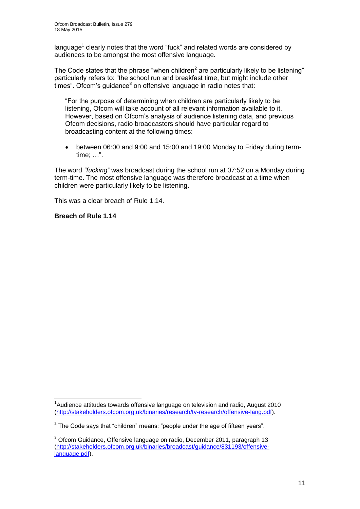language<sup>1</sup> clearly notes that the word "fuck" and related words are considered by audiences to be amongst the most offensive language.

The Code states that the phrase "when children<sup>2</sup> are particularly likely to be listening" particularly refers to: "the school run and breakfast time, but might include other times". Ofcom's guidance $3$  on offensive language in radio notes that:

"For the purpose of determining when children are particularly likely to be listening, Ofcom will take account of all relevant information available to it. However, based on Ofcom's analysis of audience listening data, and previous Ofcom decisions, radio broadcasters should have particular regard to broadcasting content at the following times:

 between 06:00 and 9:00 and 15:00 and 19:00 Monday to Friday during termtime; …".

The word *"fucking"* was broadcast during the school run at 07:52 on a Monday during term-time. The most offensive language was therefore broadcast at a time when children were particularly likely to be listening.

This was a clear breach of Rule 1.14.

**Breach of Rule 1.14**

1

<sup>&</sup>lt;sup>1</sup>Audience attitudes towards offensive language on television and radio, August 2010 [\(http://stakeholders.ofcom.org.uk/binaries/research/tv-research/offensive-lang.pdf\)](http://stakeholders.ofcom.org.uk/binaries/research/tv-research/offensive-lang.pdf).

 $2$  The Code says that "children" means: "people under the age of fifteen years".

<sup>&</sup>lt;sup>3</sup> Ofcom Guidance, Offensive language on radio, December 2011, paragraph 13 [\(http://stakeholders.ofcom.org.uk/binaries/broadcast/guidance/831193/offensive](http://stakeholders.ofcom.org.uk/binaries/broadcast/guidance/831193/offensive-language.pdf)[language.pdf\)](http://stakeholders.ofcom.org.uk/binaries/broadcast/guidance/831193/offensive-language.pdf).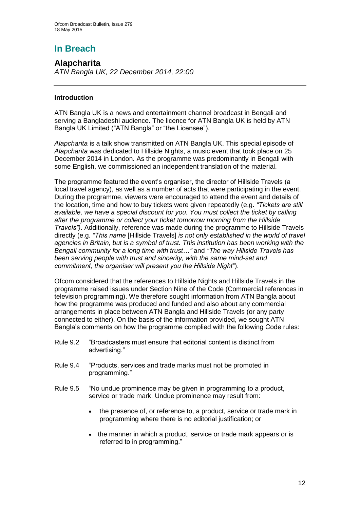# **In Breach**

**Alapcharita** *ATN Bangla UK, 22 December 2014, 22:00*

### **Introduction**

ATN Bangla UK is a news and entertainment channel broadcast in Bengali and serving a Bangladeshi audience. The licence for ATN Bangla UK is held by ATN Bangla UK Limited ("ATN Bangla" or "the Licensee").

*Alapcharita* is a talk show transmitted on ATN Bangla UK. This special episode of *Alapcharita* was dedicated to Hillside Nights, a music event that took place on 25 December 2014 in London. As the programme was predominantly in Bengali with some English, we commissioned an independent translation of the material.

The programme featured the event's organiser, the director of Hillside Travels (a local travel agency), as well as a number of acts that were participating in the event. During the programme, viewers were encouraged to attend the event and details of the location, time and how to buy tickets were given repeatedly (e.g. *"Tickets are still available, we have a special discount for you. You must collect the ticket by calling after the programme or collect your ticket tomorrow morning from the Hillside Travels")*. Additionally, reference was made during the programme to Hillside Travels directly (e.g. *"This name* [Hillside Travels] *is not only established in the world of travel agencies in Britain, but is a symbol of trust. This institution has been working with the Bengali community for a long time with trust*…*"* and *"The way Hillside Travels has been serving people with trust and sincerity, with the same mind-set and commitment, the organiser will present you the Hillside Night"*).

Ofcom considered that the references to Hillside Nights and Hillside Travels in the programme raised issues under Section Nine of the Code (Commercial references in television programming). We therefore sought information from ATN Bangla about how the programme was produced and funded and also about any commercial arrangements in place between ATN Bangla and Hillside Travels (or any party connected to either). On the basis of the information provided, we sought ATN Bangla's comments on how the programme complied with the following Code rules:

- Rule 9.2 "Broadcasters must ensure that editorial content is distinct from advertising."
- Rule 9.4 "Products, services and trade marks must not be promoted in programming."
- Rule 9.5 "No undue prominence may be given in programming to a product, service or trade mark. Undue prominence may result from:
	- the presence of, or reference to, a product, service or trade mark in programming where there is no editorial justification; or
	- the manner in which a product, service or trade mark appears or is referred to in programming."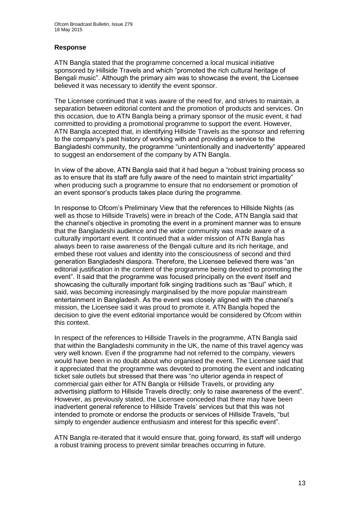### **Response**

ATN Bangla stated that the programme concerned a local musical initiative sponsored by Hillside Travels and which "promoted the rich cultural heritage of Bengali music". Although the primary aim was to showcase the event, the Licensee believed it was necessary to identify the event sponsor.

The Licensee continued that it was aware of the need for, and strives to maintain, a separation between editorial content and the promotion of products and services. On this occasion, due to ATN Bangla being a primary sponsor of the music event, it had committed to providing a promotional programme to support the event. However, ATN Bangla accepted that, in identifying Hillside Travels as the sponsor and referring to the company's past history of working with and providing a service to the Bangladeshi community, the programme "unintentionally and inadvertently" appeared to suggest an endorsement of the company by ATN Bangla.

In view of the above, ATN Bangla said that it had begun a "robust training process so as to ensure that its staff are fully aware of the need to maintain strict impartiality" when producing such a programme to ensure that no endorsement or promotion of an event sponsor's products takes place during the programme.

In response to Ofcom's Preliminary View that the references to Hillside Nights (as well as those to Hillside Travels) were in breach of the Code, ATN Bangla said that the channel's objective in promoting the event in a prominent manner was to ensure that the Bangladeshi audience and the wider community was made aware of a culturally important event. It continued that a wider mission of ATN Bangla has always been to raise awareness of the Bengali culture and its rich heritage, and embed these root values and identity into the consciousness of second and third generation Bangladeshi diaspora. Therefore, the Licensee believed there was "an editorial justification in the content of the programme being devoted to promoting the event". It said that the programme was focused principally on the event itself and showcasing the culturally important folk singing traditions such as "Baul" which, it said, was becoming increasingly marginalised by the more popular mainstream entertainment in Bangladesh. As the event was closely aligned with the channel's mission, the Licensee said it was proud to promote it. ATN Bangla hoped the decision to give the event editorial importance would be considered by Ofcom within this context.

In respect of the references to Hillside Travels in the programme, ATN Bangla said that within the Bangladeshi community in the UK, the name of this travel agency was very well known. Even if the programme had not referred to the company, viewers would have been in no doubt about who organised the event. The Licensee said that it appreciated that the programme was devoted to promoting the event and indicating ticket sale outlets but stressed that there was "no ulterior agenda in respect of commercial gain either for ATN Bangla or Hillside Travels, or providing any advertising platform to Hillside Travels directly; only to raise awareness of the event". However, as previously stated, the Licensee conceded that there may have been inadvertent general reference to Hillside Travels' services but that this was not intended to promote or endorse the products or services of Hillside Travels, "but simply to engender audience enthusiasm and interest for this specific event".

ATN Bangla re-iterated that it would ensure that, going forward, its staff will undergo a robust training process to prevent similar breaches occurring in future.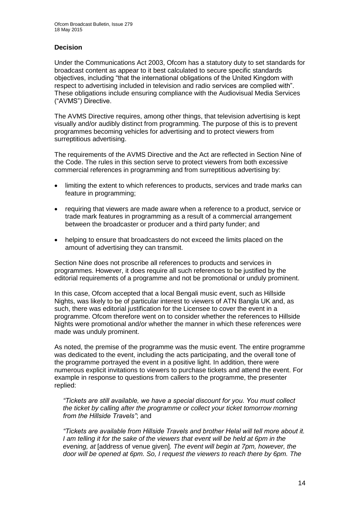### **Decision**

Under the Communications Act 2003, Ofcom has a statutory duty to set standards for broadcast content as appear to it best calculated to secure specific standards objectives, including "that the international obligations of the United Kingdom with respect to advertising included in television and radio services are complied with". These obligations include ensuring compliance with the Audiovisual Media Services ("AVMS") Directive.

The AVMS Directive requires, among other things, that television advertising is kept visually and/or audibly distinct from programming. The purpose of this is to prevent programmes becoming vehicles for advertising and to protect viewers from surreptitious advertising.

The requirements of the AVMS Directive and the Act are reflected in Section Nine of the Code. The rules in this section serve to protect viewers from both excessive commercial references in programming and from surreptitious advertising by:

- limiting the extent to which references to products, services and trade marks can feature in programming;
- requiring that viewers are made aware when a reference to a product, service or trade mark features in programming as a result of a commercial arrangement between the broadcaster or producer and a third party funder; and
- helping to ensure that broadcasters do not exceed the limits placed on the amount of advertising they can transmit.

Section Nine does not proscribe all references to products and services in programmes. However, it does require all such references to be justified by the editorial requirements of a programme and not be promotional or unduly prominent.

In this case, Ofcom accepted that a local Bengali music event, such as Hillside Nights, was likely to be of particular interest to viewers of ATN Bangla UK and, as such, there was editorial justification for the Licensee to cover the event in a programme. Ofcom therefore went on to consider whether the references to Hillside Nights were promotional and/or whether the manner in which these references were made was unduly prominent.

As noted, the premise of the programme was the music event. The entire programme was dedicated to the event, including the acts participating, and the overall tone of the programme portrayed the event in a positive light. In addition, there were numerous explicit invitations to viewers to purchase tickets and attend the event. For example in response to questions from callers to the programme, the presenter replied:

*"Tickets are still available, we have a special discount for you. You must collect the ticket by calling after the programme or collect your ticket tomorrow morning from the Hillside Travels"*; and

*"Tickets are available from Hillside Travels and brother Helal will tell more about it. I am telling it for the sake of the viewers that event will be held at 6pm in the evening, at* [address of venue given]*. The event will begin at 7pm, however, the door will be opened at 6pm. So, I request the viewers to reach there by 6pm. The*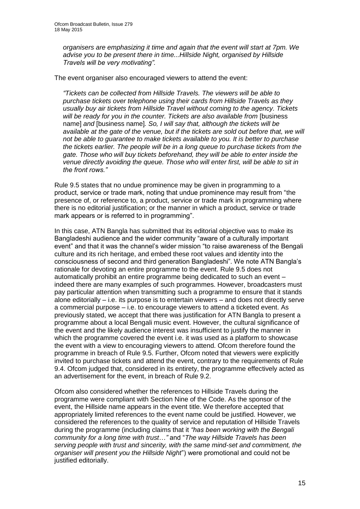*organisers are emphasizing it time and again that the event will start at 7pm. We advise you to be present there in time...Hillside Night, organised by Hillside Travels will be very motivating".* 

The event organiser also encouraged viewers to attend the event:

*"Tickets can be collected from Hillside Travels. The viewers will be able to purchase tickets over telephone using their cards from Hillside Travels as they usually buy air tickets from Hillside Travel without coming to the agency. Tickets*  will be ready for you in the counter. Tickets are also available from [business] name] *and* [business name]*. So, I will say that, although the tickets will be available at the gate of the venue, but if the tickets are sold out before that, we will not be able to guarantee to make tickets available to you. It is better to purchase the tickets earlier. The people will be in a long queue to purchase tickets from the gate. Those who will buy tickets beforehand, they will be able to enter inside the venue directly avoiding the queue. Those who will enter first, will be able to sit in the front rows."*

Rule 9.5 states that no undue prominence may be given in programming to a product, service or trade mark, noting that undue prominence may result from "the presence of, or reference to, a product, service or trade mark in programming where there is no editorial justification; or the manner in which a product, service or trade mark appears or is referred to in programming".

In this case, ATN Bangla has submitted that its editorial objective was to make its Bangladeshi audience and the wider community "aware of a culturally important event" and that it was the channel's wider mission "to raise awareness of the Bengali culture and its rich heritage, and embed these root values and identity into the consciousness of second and third generation Bangladeshi". We note ATN Bangla's rationale for devoting an entire programme to the event. Rule 9.5 does not automatically prohibit an entire programme being dedicated to such an event – indeed there are many examples of such programmes. However, broadcasters must pay particular attention when transmitting such a programme to ensure that it stands alone editorially – i.e. its purpose is to entertain viewers – and does not directly serve a commercial purpose – i.e. to encourage viewers to attend a ticketed event. As previously stated, we accept that there was justification for ATN Bangla to present a programme about a local Bengali music event. However, the cultural significance of the event and the likely audience interest was insufficient to justify the manner in which the programme covered the event i.e. it was used as a platform to showcase the event with a view to encouraging viewers to attend. Ofcom therefore found the programme in breach of Rule 9.5. Further, Ofcom noted that viewers were explicitly invited to purchase tickets and attend the event, contrary to the requirements of Rule 9.4. Ofcom judged that, considered in its entirety, the programme effectively acted as an advertisement for the event, in breach of Rule 9.2.

Ofcom also considered whether the references to Hillside Travels during the programme were compliant with Section Nine of the Code. As the sponsor of the event, the Hillside name appears in the event title. We therefore accepted that appropriately limited references to the event name could be justified. However, we considered the references to the quality of service and reputation of Hillside Travels during the programme (including claims that it *"has been working with the Bengali community for a long time with trust*…*"* and "*The way Hillside Travels has been serving people with trust and sincerity, with the same mind-set and commitment, the organiser will present you the Hillside Night*") were promotional and could not be justified editorially.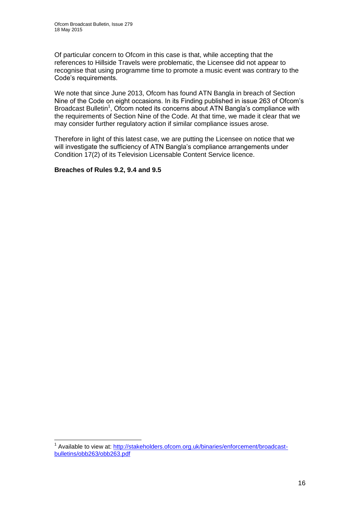Of particular concern to Ofcom in this case is that, while accepting that the references to Hillside Travels were problematic, the Licensee did not appear to recognise that using programme time to promote a music event was contrary to the Code's requirements.

We note that since June 2013, Ofcom has found ATN Bangla in breach of Section Nine of the Code on eight occasions. In its Finding published in issue 263 of Ofcom's Broadcast Bulletin<sup>1</sup>, Ofcom noted its concerns about ATN Bangla's compliance with the requirements of Section Nine of the Code. At that time, we made it clear that we may consider further regulatory action if similar compliance issues arose.

Therefore in light of this latest case, we are putting the Licensee on notice that we will investigate the sufficiency of ATN Bangla's compliance arrangements under Condition 17(2) of its Television Licensable Content Service licence.

### **Breaches of Rules 9.2, 9.4 and 9.5**

<sup>1</sup> <sup>1</sup> Available to view at: [http://stakeholders.ofcom.org.uk/binaries/enforcement/broadcast](http://stakeholders.ofcom.org.uk/binaries/enforcement/broadcast-bulletins/obb263/obb263.pdf)[bulletins/obb263/obb263.pdf](http://stakeholders.ofcom.org.uk/binaries/enforcement/broadcast-bulletins/obb263/obb263.pdf)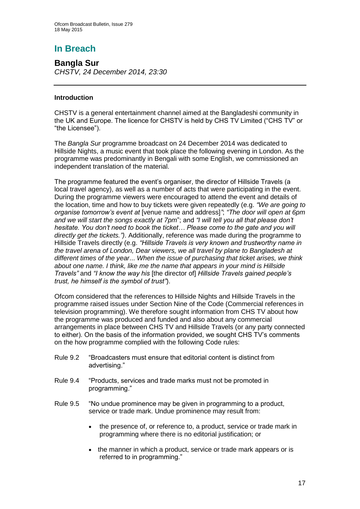# **In Breach**

**Bangla Sur** *CHSTV, 24 December 2014, 23:30* 

### **Introduction**

CHSTV is a general entertainment channel aimed at the Bangladeshi community in the UK and Europe. The licence for CHSTV is held by CHS TV Limited ("CHS TV" or "the Licensee").

The *Bangla Sur* programme broadcast on 24 December 2014 was dedicated to Hillside Nights, a music event that took place the following evening in London. As the programme was predominantly in Bengali with some English, we commissioned an independent translation of the material.

The programme featured the event's organiser, the director of Hillside Travels (a local travel agency), as well as a number of acts that were participating in the event. During the programme viewers were encouraged to attend the event and details of the location, time and how to buy tickets were given repeatedly (e.g. *"We are going to organise tomorrow's event at* [venue name and address]*"*; *"The door will open at 6pm and we will start the songs exactly at 7pm*"; and *"I will tell you all that please don't hesitate. You don't need to book the ticket… Please come to the gate and you will directly get the tickets.")*. Additionally, reference was made during the programme to Hillside Travels directly (e.g. *"Hillside Travels is very known and trustworthy name in the travel arena of London, Dear viewers, we all travel by plane to Bangladesh at different times of the year*... *When the issue of purchasing that ticket arises, we think about one name. I think, like me the name that appears in your mind is Hillside Travels"* and *"I know the way his* [the director of] *Hillside Travels gained people's trust, he himself is the symbol of trust"*).

Ofcom considered that the references to Hillside Nights and Hillside Travels in the programme raised issues under Section Nine of the Code (Commercial references in television programming). We therefore sought information from CHS TV about how the programme was produced and funded and also about any commercial arrangements in place between CHS TV and Hillside Travels (or any party connected to either). On the basis of the information provided, we sought CHS TV's comments on the how programme complied with the following Code rules:

- Rule 9.2 "Broadcasters must ensure that editorial content is distinct from advertising."
- Rule 9.4 "Products, services and trade marks must not be promoted in programming."
- Rule 9.5 "No undue prominence may be given in programming to a product, service or trade mark. Undue prominence may result from:
	- the presence of, or reference to, a product, service or trade mark in programming where there is no editorial justification; or
	- the manner in which a product, service or trade mark appears or is referred to in programming."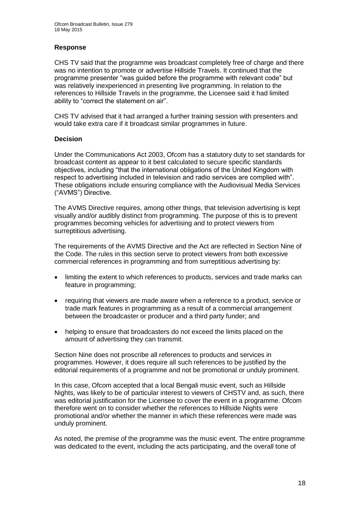### **Response**

CHS TV said that the programme was broadcast completely free of charge and there was no intention to promote or advertise Hillside Travels. It continued that the programme presenter "was guided before the programme with relevant code" but was relatively inexperienced in presenting live programming. In relation to the references to Hillside Travels in the programme, the Licensee said it had limited ability to "correct the statement on air".

CHS TV advised that it had arranged a further training session with presenters and would take extra care if it broadcast similar programmes in future.

### **Decision**

Under the Communications Act 2003, Ofcom has a statutory duty to set standards for broadcast content as appear to it best calculated to secure specific standards objectives, including "that the international obligations of the United Kingdom with respect to advertising included in television and radio services are complied with". These obligations include ensuring compliance with the Audiovisual Media Services ("AVMS") Directive.

The AVMS Directive requires, among other things, that television advertising is kept visually and/or audibly distinct from programming. The purpose of this is to prevent programmes becoming vehicles for advertising and to protect viewers from surreptitious advertising.

The requirements of the AVMS Directive and the Act are reflected in Section Nine of the Code. The rules in this section serve to protect viewers from both excessive commercial references in programming and from surreptitious advertising by:

- limiting the extent to which references to products, services and trade marks can feature in programming;
- requiring that viewers are made aware when a reference to a product, service or trade mark features in programming as a result of a commercial arrangement between the broadcaster or producer and a third party funder; and
- helping to ensure that broadcasters do not exceed the limits placed on the amount of advertising they can transmit.

Section Nine does not proscribe all references to products and services in programmes. However, it does require all such references to be justified by the editorial requirements of a programme and not be promotional or unduly prominent.

In this case, Ofcom accepted that a local Bengali music event, such as Hillside Nights, was likely to be of particular interest to viewers of CHSTV and, as such, there was editorial justification for the Licensee to cover the event in a programme. Ofcom therefore went on to consider whether the references to Hillside Nights were promotional and/or whether the manner in which these references were made was unduly prominent.

As noted, the premise of the programme was the music event. The entire programme was dedicated to the event, including the acts participating, and the overall tone of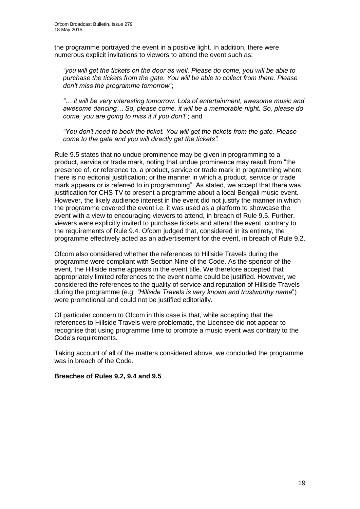the programme portrayed the event in a positive light. In addition, there were numerous explicit invitations to viewers to attend the event such as:

*"you will get the tickets on the door as well. Please do come, you will be able to purchase the tickets from the gate. You will be able to collect from there. Please don't miss the programme tomorrow*";

*"… it will be very interesting tomorrow. Lots of entertainment, awesome music and awesome dancing… So, please come, it will be a memorable night. So, please do come, you are going to miss it if you don't*"; and

*"You don't need to book the ticket. You will get the tickets from the gate. Please come to the gate and you will directly get the tickets".* 

Rule 9.5 states that no undue prominence may be given in programming to a product, service or trade mark, noting that undue prominence may result from "the presence of, or reference to, a product, service or trade mark in programming where there is no editorial justification; or the manner in which a product, service or trade mark appears or is referred to in programming". As stated, we accept that there was justification for CHS TV to present a programme about a local Bengali music event. However, the likely audience interest in the event did not justify the manner in which the programme covered the event i.e. it was used as a platform to showcase the event with a view to encouraging viewers to attend, in breach of Rule 9.5. Further, viewers were explicitly invited to purchase tickets and attend the event, contrary to the requirements of Rule 9.4. Ofcom judged that, considered in its entirety, the programme effectively acted as an advertisement for the event, in breach of Rule 9.2.

Ofcom also considered whether the references to Hillside Travels during the programme were compliant with Section Nine of the Code. As the sponsor of the event, the Hillside name appears in the event title. We therefore accepted that appropriately limited references to the event name could be justified. However, we considered the references to the quality of service and reputation of Hillside Travels during the programme (e.g. *"Hillside Travels is very known and trustworthy name*") were promotional and could not be justified editorially.

Of particular concern to Ofcom in this case is that, while accepting that the references to Hillside Travels were problematic, the Licensee did not appear to recognise that using programme time to promote a music event was contrary to the Code's requirements.

Taking account of all of the matters considered above, we concluded the programme was in breach of the Code.

### **Breaches of Rules 9.2, 9.4 and 9.5**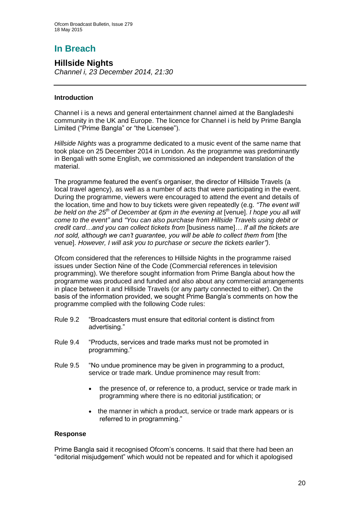# **In Breach**

**Hillside Nights**  *Channel i, 23 December 2014, 21:30* 

### **Introduction**

Channel i is a news and general entertainment channel aimed at the Bangladeshi community in the UK and Europe. The licence for Channel i is held by Prime Bangla Limited ("Prime Bangla" or "the Licensee").

*Hillside Nights* was a programme dedicated to a music event of the same name that took place on 25 December 2014 in London. As the programme was predominantly in Bengali with some English, we commissioned an independent translation of the material.

The programme featured the event's organiser, the director of Hillside Travels (a local travel agency), as well as a number of acts that were participating in the event. During the programme, viewers were encouraged to attend the event and details of the location, time and how to buy tickets were given repeatedly (e.g. *"The event will be held on the 25th of December at 6pm in the evening at* [venue]. *I hope you all will come to the event"* and *"You can also purchase from Hillside Travels using debit or credit card…and you can collect tickets from* [business name]*… If all the tickets are not sold, although we can't guarantee, you will be able to collect them from [the* venue]. *However, I will ask you to purchase or secure the tickets earlier")*.

Ofcom considered that the references to Hillside Nights in the programme raised issues under Section Nine of the Code (Commercial references in television programming). We therefore sought information from Prime Bangla about how the programme was produced and funded and also about any commercial arrangements in place between it and Hillside Travels (or any party connected to either). On the basis of the information provided, we sought Prime Bangla's comments on how the programme complied with the following Code rules:

- Rule 9.2 "Broadcasters must ensure that editorial content is distinct from advertising."
- Rule 9.4 "Products, services and trade marks must not be promoted in programming."
- Rule 9.5 "No undue prominence may be given in programming to a product, service or trade mark. Undue prominence may result from:
	- the presence of, or reference to, a product, service or trade mark in programming where there is no editorial justification; or
	- the manner in which a product, service or trade mark appears or is referred to in programming."

### **Response**

Prime Bangla said it recognised Ofcom's concerns. It said that there had been an "editorial misjudgement" which would not be repeated and for which it apologised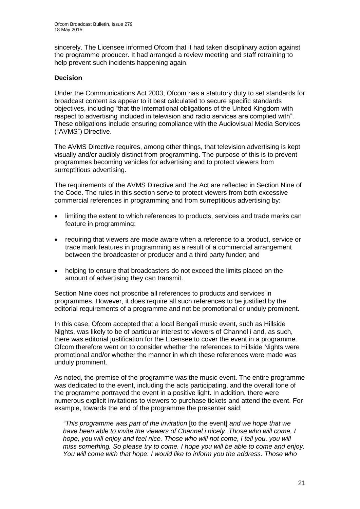sincerely. The Licensee informed Ofcom that it had taken disciplinary action against the programme producer. It had arranged a review meeting and staff retraining to help prevent such incidents happening again.

### **Decision**

Under the Communications Act 2003, Ofcom has a statutory duty to set standards for broadcast content as appear to it best calculated to secure specific standards objectives, including "that the international obligations of the United Kingdom with respect to advertising included in television and radio services are complied with". These obligations include ensuring compliance with the Audiovisual Media Services ("AVMS") Directive.

The AVMS Directive requires, among other things, that television advertising is kept visually and/or audibly distinct from programming. The purpose of this is to prevent programmes becoming vehicles for advertising and to protect viewers from surreptitious advertising.

The requirements of the AVMS Directive and the Act are reflected in Section Nine of the Code. The rules in this section serve to protect viewers from both excessive commercial references in programming and from surreptitious advertising by:

- limiting the extent to which references to products, services and trade marks can feature in programming;
- requiring that viewers are made aware when a reference to a product, service or trade mark features in programming as a result of a commercial arrangement between the broadcaster or producer and a third party funder; and
- helping to ensure that broadcasters do not exceed the limits placed on the amount of advertising they can transmit.

Section Nine does not proscribe all references to products and services in programmes. However, it does require all such references to be justified by the editorial requirements of a programme and not be promotional or unduly prominent.

In this case, Ofcom accepted that a local Bengali music event, such as Hillside Nights, was likely to be of particular interest to viewers of Channel i and, as such, there was editorial justification for the Licensee to cover the event in a programme. Ofcom therefore went on to consider whether the references to Hillside Nights were promotional and/or whether the manner in which these references were made was unduly prominent.

As noted, the premise of the programme was the music event. The entire programme was dedicated to the event, including the acts participating, and the overall tone of the programme portrayed the event in a positive light. In addition, there were numerous explicit invitations to viewers to purchase tickets and attend the event. For example, towards the end of the programme the presenter said:

*"This programme was part of the invitation* [to the event] *and we hope that we have been able to invite the viewers of Channel i nicely. Those who will come, I hope, you will enjoy and feel nice. Those who will not come, I tell you, you will miss something. So please try to come. I hope you will be able to come and enjoy. You will come with that hope. I would like to inform you the address. Those who*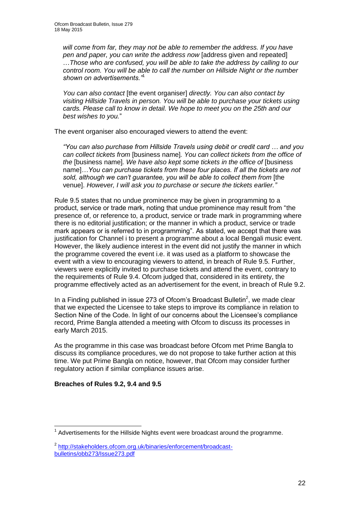*will come from far, they may not be able to remember the address. If you have pen and paper, you can write the address now* [address given and repeated] …*Those who are confused, you will be able to take the address by calling to our control room. You will be able to call the number on Hillside Night or the number shown on advertisements."*<sup>1</sup>

*You can also contact* [the event organiser] *directly. You can also contact by visiting Hillside Travels in person. You will be able to purchase your tickets using cards. Please call to know in detail. We hope to meet you on the 25th and our best wishes to you.*"

The event organiser also encouraged viewers to attend the event:

*"You can also purchase from Hillside Travels using debit or credit card … and you can collect tickets from* [business name]*. You can collect tickets from the office of the* [business name]*. We have also kept some tickets in the office of* [business name]*…You can purchase tickets from these four places. If all the tickets are not*  sold, although we can't guarantee, you will be able to collect them from [the venue]. *However, I will ask you to purchase or secure the tickets earlier."*

Rule 9.5 states that no undue prominence may be given in programming to a product, service or trade mark, noting that undue prominence may result from "the presence of, or reference to, a product, service or trade mark in programming where there is no editorial justification; or the manner in which a product, service or trade mark appears or is referred to in programming". As stated, we accept that there was justification for Channel i to present a programme about a local Bengali music event. However, the likely audience interest in the event did not justify the manner in which the programme covered the event i.e. it was used as a platform to showcase the event with a view to encouraging viewers to attend, in breach of Rule 9.5. Further, viewers were explicitly invited to purchase tickets and attend the event, contrary to the requirements of Rule 9.4. Ofcom judged that, considered in its entirety, the programme effectively acted as an advertisement for the event, in breach of Rule 9.2.

In a Finding published in issue 273 of Ofcom's Broadcast Bulletin<sup>2</sup>, we made clear that we expected the Licensee to take steps to improve its compliance in relation to Section Nine of the Code. In light of our concerns about the Licensee's compliance record, Prime Bangla attended a meeting with Ofcom to discuss its processes in early March 2015.

As the programme in this case was broadcast before Ofcom met Prime Bangla to discuss its compliance procedures, we do not propose to take further action at this time. We put Prime Bangla on notice, however, that Ofcom may consider further regulatory action if similar compliance issues arise.

### **Breaches of Rules 9.2, 9.4 and 9.5**

1

 $1$  Advertisements for the Hillside Nights event were broadcast around the programme.

<sup>&</sup>lt;sup>2</sup> [http://stakeholders.ofcom.org.uk/binaries/enforcement/broadcast](http://stakeholders.ofcom.org.uk/binaries/enforcement/broadcast-bulletins/obb273/Issue273.pdf)[bulletins/obb273/Issue273.pdf](http://stakeholders.ofcom.org.uk/binaries/enforcement/broadcast-bulletins/obb273/Issue273.pdf)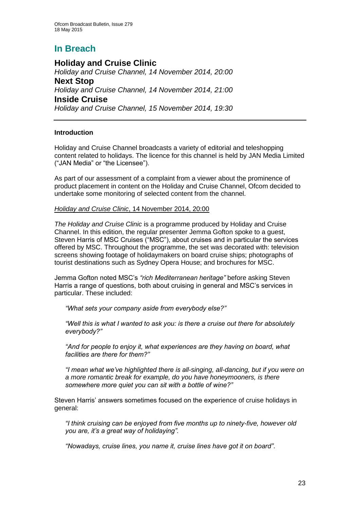# **In Breach**

**Holiday and Cruise Clinic** *Holiday and Cruise Channel, 14 November 2014, 20:00* **Next Stop** *Holiday and Cruise Channel, 14 November 2014, 21:00* **Inside Cruise** *Holiday and Cruise Channel, 15 November 2014, 19:30*

### **Introduction**

Holiday and Cruise Channel broadcasts a variety of editorial and teleshopping content related to holidays. The licence for this channel is held by JAN Media Limited ("JAN Media" or "the Licensee").

As part of our assessment of a complaint from a viewer about the prominence of product placement in content on the Holiday and Cruise Channel, Ofcom decided to undertake some monitoring of selected content from the channel.

### *Holiday and Cruise Clinic*, 14 November 2014, 20:00

*The Holiday and Cruise Clinic* is a programme produced by Holiday and Cruise Channel. In this edition, the regular presenter Jemma Gofton spoke to a guest, Steven Harris of MSC Cruises ("MSC"), about cruises and in particular the services offered by MSC. Throughout the programme, the set was decorated with: television screens showing footage of holidaymakers on board cruise ships; photographs of tourist destinations such as Sydney Opera House; and brochures for MSC.

Jemma Gofton noted MSC's *"rich Mediterranean heritage"* before asking Steven Harris a range of questions, both about cruising in general and MSC's services in particular. These included:

*"What sets your company aside from everybody else?"* 

*"Well this is what I wanted to ask you: is there a cruise out there for absolutely everybody?"*

*"And for people to enjoy it, what experiences are they having on board, what facilities are there for them?"*

*"I mean what we've highlighted there is all-singing, all-dancing, but if you were on a more romantic break for example, do you have honeymooners, is there somewhere more quiet you can sit with a bottle of wine?"*

Steven Harris' answers sometimes focused on the experience of cruise holidays in general:

*"I think cruising can be enjoyed from five months up to ninety-five, however old you are, it's a great way of holidaying".*

*"Nowadays, cruise lines, you name it, cruise lines have got it on board"*.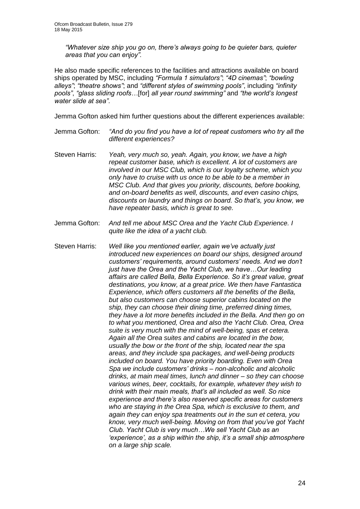*"Whatever size ship you go on, there's always going to be quieter bars, quieter areas that you can enjoy".*

He also made specific references to the facilities and attractions available on board ships operated by MSC, including *"Formula 1 simulators"*; *"4D cinemas"*; *"bowling alleys"*; *"theatre shows"*; and *"different styles of swimming pools"*, including *"infinity pools"*, *"glass sliding roofs…*[for] *all year round swimming"* and *"the world's longest water slide at sea"*.

Jemma Gofton asked him further questions about the different experiences available:

- Jemma Gofton: *"And do you find you have a lot of repeat customers who try all the different experiences?*
- Steven Harris: *Yeah, very much so, yeah. Again, you know, we have a high repeat customer base, which is excellent. A lot of customers are involved in our MSC Club, which is our loyalty scheme, which you only have to cruise with us once to be able to be a member in MSC Club. And that gives you priority, discounts, before booking, and on-board benefits as well, discounts, and even casino chips, discounts on laundry and things on board. So that's, you know, we have repeater basis, which is great to see.*
- Jemma Gofton: *And tell me about MSC Orea and the Yacht Club Experience. I quite like the idea of a yacht club.*
- Steven Harris: *Well like you mentioned earlier, again we've actually just introduced new experiences on board our ships, designed around customers' requirements, around customers' needs. And we don't just have the Orea and the Yacht Club, we have…Our leading affairs are called Bella, Bella Experience. So it's great value, great destinations, you know, at a great price. We then have Fantastica Experience, which offers customers all the benefits of the Bella, but also customers can choose superior cabins located on the ship, they can choose their dining time, preferred dining times, they have a lot more benefits included in the Bella. And then go on to what you mentioned, Orea and also the Yacht Club. Orea, Orea suite is very much with the mind of well-being, spas et cetera. Again all the Orea suites and cabins are located in the bow, usually the bow or the front of the ship, located near the spa areas, and they include spa packages, and well-being products included on board. You have priority boarding. Even with Orea Spa we include customers' drinks – non-alcoholic and alcoholic drinks, at main meal times, lunch and dinner – so they can choose various wines, beer, cocktails, for example, whatever they wish to drink with their main meals, that's all included as well. So nice experience and there's also reserved specific areas for customers who are staying in the Orea Spa, which is exclusive to them, and again they can enjoy spa treatments out in the sun et cetera, you know, very much well-being. Moving on from that you've got Yacht Club. Yacht Club is very much…We sell Yacht Club as an 'experience', as a ship within the ship, it's a small ship atmosphere on a large ship scale.*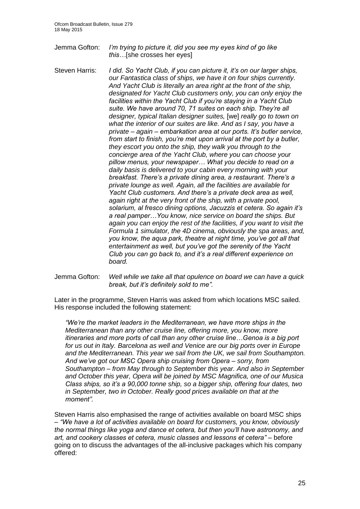- Jemma Gofton: *I'm trying to picture it, did you see my eyes kind of go like this…*[she crosses her eyes]
- Steven Harris: *I did. So Yacht Club, if you can picture it, it's on our larger ships, our Fantastica class of ships, we have it on four ships currently. And Yacht Club is literally an area right at the front of the ship, designated for Yacht Club customers only, you can only enjoy the facilities within the Yacht Club if you're staying in a Yacht Club suite. We have around 70, 71 suites on each ship. They're all designer, typical Italian designer suites,* [we] *really go to town on what the interior of our suites are like. And as I say, you have a private – again – embarkation area at our ports. It's butler service, from start to finish, you're met upon arrival at the port by a butler, they escort you onto the ship, they walk you through to the concierge area of the Yacht Club, where you can choose your pillow menus, your newspaper… What you decide to read on a daily basis is delivered to your cabin every morning with your breakfast. There's a private dining area, a restaurant. There's a private lounge as well. Again, all the facilities are available for Yacht Club customers. And there's a private deck area as well, again right at the very front of the ship, with a private pool, solarium, al fresco dining options, Jacuzzis et cetera. So again it's a real pamper…You know, nice service on board the ships. But again you can enjoy the rest of the facilities, if you want to visit the Formula 1 simulator, the 4D cinema, obviously the spa areas, and, you know, the aqua park, theatre at night time, you've got all that entertainment as well, but you've got the serenity of the Yacht Club you can go back to, and it's a real different experience on board.*
- Jemma Gofton: *Well while we take all that opulence on board we can have a quick break, but it's definitely sold to me".*

Later in the programme, Steven Harris was asked from which locations MSC sailed. His response included the following statement:

*"We're the market leaders in the Mediterranean, we have more ships in the Mediterranean than any other cruise line, offering more, you know, more itineraries and more ports of call than any other cruise line…Genoa is a big port for us out in Italy. Barcelona as well and Venice are our big ports over in Europe and the Mediterranean. This year we sail from the UK, we sail from Southampton. And we've got our MSC Opera ship cruising from Opera – sorry, from Southampton – from May through to September this year. And also in September and October this year, Opera will be joined by MSC Magnifica, one of our Musica Class ships, so it's a 90,000 tonne ship, so a bigger ship, offering four dates, two in September, two in October. Really good prices available on that at the moment".*

Steven Harris also emphasised the range of activities available on board MSC ships – *"We have a lot of activities available on board for customers, you know, obviously the normal things like yoga and dance et cetera, but then you'll have astronomy, and art, and cookery classes et cetera, music classes and lessons et cetera"* – before going on to discuss the advantages of the all-inclusive packages which his company offered: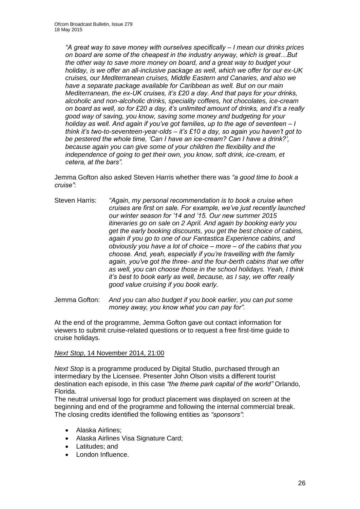*"A great way to save money with ourselves specifically – I mean our drinks prices on board are some of the cheapest in the industry anyway, which is great…But the other way to save more money on board, and a great way to budget your holiday, is we offer an all-inclusive package as well, which we offer for our ex-UK cruises, our Mediterranean cruises, Middle Eastern and Canaries, and also we have a separate package available for Caribbean as well. But on our main Mediterranean, the ex-UK cruises, it's £20 a day. And that pays for your drinks, alcoholic and non-alcoholic drinks, speciality coffees, hot chocolates, ice-cream on board as well, so for £20 a day, it's unlimited amount of drinks, and it's a really good way of saving, you know, saving some money and budgeting for your holiday as well. And again if you've got families, up to the age of seventeen – I think it's two-to-seventeen-year-olds – it's £10 a day, so again you haven't got to be pestered the whole time, 'Can I have an ice-cream? Can I have a drink?', because again you can give some of your children the flexibility and the independence of going to get their own, you know, soft drink, ice-cream, et cetera, at the bars".*

Jemma Gofton also asked Steven Harris whether there was *"a good time to book a cruise"*:

Steven Harris: *"Again, my personal recommendation is to book a cruise when cruises are first on sale. For example, we've just recently launched our winter season for '14 and '15. Our new summer 2015 itineraries go on sale on 2 April. And again by booking early you get the early booking discounts, you get the best choice of cabins, again if you go to one of our Fantastica Experience cabins, and obviously you have a lot of choice – more – of the cabins that you choose. And, yeah, especially if you're travelling with the family again, you've got the three- and the four-berth cabins that we offer as well, you can choose those in the school holidays. Yeah, I think it's best to book early as well, because, as I say, we offer really good value cruising if you book early.*

Jemma Gofton: *And you can also budget if you book earlier, you can put some money away, you know what you can pay for".*

At the end of the programme, Jemma Gofton gave out contact information for viewers to submit cruise-related questions or to request a free first-time guide to cruise holidays.

### *Next Stop*, 14 November 2014, 21:00

*Next Stop* is a programme produced by Digital Studio, purchased through an intermediary by the Licensee. Presenter John Olson visits a different tourist destination each episode, in this case *"the theme park capital of the world"* Orlando, Florida.

The neutral universal logo for product placement was displayed on screen at the beginning and end of the programme and following the internal commercial break. The closing credits identified the following entities as *"sponsors"*:

- Alaska Airlines;
- Alaska Airlines Visa Signature Card;
- Latitudes; and
- London Influence.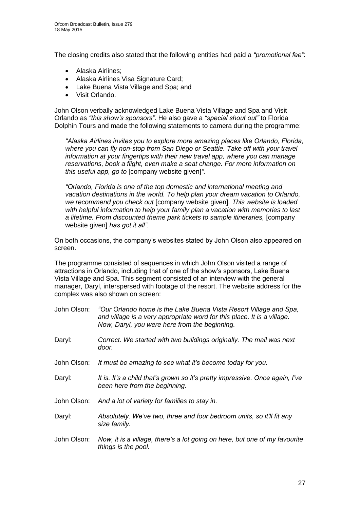The closing credits also stated that the following entities had paid a *"promotional fee"*:

- Alaska Airlines;
- Alaska Airlines Visa Signature Card;
- Lake Buena Vista Village and Spa; and
- Visit Orlando.

John Olson verbally acknowledged Lake Buena Vista Village and Spa and Visit Orlando as *"this show's sponsors"*. He also gave a *"special shout out"* to Florida Dolphin Tours and made the following statements to camera during the programme:

*"Alaska Airlines invites you to explore more amazing places like Orlando, Florida,*  where you can fly non-stop from San Diego or Seattle. Take off with your travel *information at your fingertips with their new travel app, where you can manage reservations, book a flight, even make a seat change. For more information on this useful app, go to* [company website given]*".*

*"Orlando, Florida is one of the top domestic and international meeting and vacation destinations in the world. To help plan your dream vacation to Orlando, we recommend you check out* [company website given]*. This website is loaded with helpful information to help your family plan a vacation with memories to last a lifetime. From discounted theme park tickets to sample itineraries,* [company website given] *has got it all".*

On both occasions, the company's websites stated by John Olson also appeared on screen.

The programme consisted of sequences in which John Olson visited a range of attractions in Orlando, including that of one of the show's sponsors, Lake Buena Vista Village and Spa. This segment consisted of an interview with the general manager, Daryl, interspersed with footage of the resort. The website address for the complex was also shown on screen:

| John Olson: | "Our Orlando home is the Lake Buena Vista Resort Village and Spa,<br>and village is a very appropriate word for this place. It is a village.<br>Now, Daryl, you were here from the beginning. |
|-------------|-----------------------------------------------------------------------------------------------------------------------------------------------------------------------------------------------|
| Daryl:      | Correct. We started with two buildings originally. The mall was next<br>door.                                                                                                                 |
| John Olson: | It must be amazing to see what it's become today for you.                                                                                                                                     |
| Daryl:      | It is. It's a child that's grown so it's pretty impressive. Once again, I've<br>been here from the beginning.                                                                                 |
| John Olson: | And a lot of variety for families to stay in.                                                                                                                                                 |
| Daryl:      | Absolutely. We've two, three and four bedroom units, so it'll fit any<br>size family.                                                                                                         |
| John Olson: | Now, it is a village, there's a lot going on here, but one of my favourite<br>things is the pool.                                                                                             |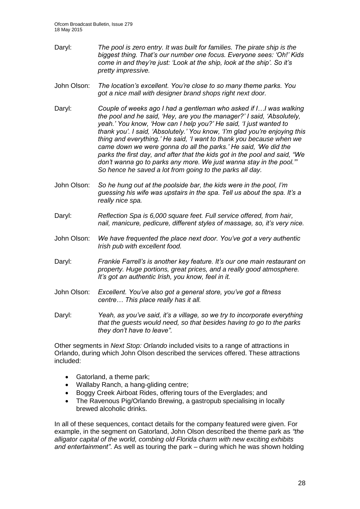- Daryl: *The pool is zero entry. It was built for families. The pirate ship is the biggest thing. That's our number one focus. Everyone sees: 'Oh!' Kids come in and they're just: 'Look at the ship, look at the ship'. So it's pretty impressive.*
- John Olson: *The location's excellent. You're close to so many theme parks. You got a nice mall with designer brand shops right next door.*
- Daryl: *Couple of weeks ago I had a gentleman who asked if I…I was walking the pool and he said, 'Hey, are you the manager?' I said, 'Absolutely, yeah.' You know, 'How can I help you?' He said, 'I just wanted to thank you'. I said, 'Absolutely.' You know, 'I'm glad you're enjoying this thing and everything.' He said, 'I want to thank you because when we came down we were gonna do all the parks.' He said, 'We did the parks the first day, and after that the kids got in the pool and said, "We don't wanna go to parks any more. We just wanna stay in the pool."' So hence he saved a lot from going to the parks all day.*
- John Olson: *So he hung out at the poolside bar, the kids were in the pool, I'm guessing his wife was upstairs in the spa. Tell us about the spa. It's a really nice spa.*
- Daryl: *Reflection Spa is 6,000 square feet. Full service offered, from hair, nail, manicure, pedicure, different styles of massage, so, it's very nice.*
- John Olson: *We have frequented the place next door. You've got a very authentic Irish pub with excellent food.*
- Daryl: *Frankie Farrell's is another key feature. It's our one main restaurant on property. Huge portions, great prices, and a really good atmosphere. It's got an authentic Irish, you know, feel in it.*
- John Olson: *Excellent. You've also got a general store, you've got a fitness centre… This place really has it all.*
- Daryl: *Yeah, as you've said, it's a village, so we try to incorporate everything that the guests would need, so that besides having to go to the parks they don't have to leave".*

Other segments in *Next Stop: Orlando* included visits to a range of attractions in Orlando, during which John Olson described the services offered. These attractions included:

- Gatorland, a theme park;
- Wallaby Ranch, a hang-gliding centre;
- Boggy Creek Airboat Rides, offering tours of the Everglades; and
- The Ravenous Pig/Orlando Brewing, a gastropub specialising in locally brewed alcoholic drinks.

In all of these sequences, contact details for the company featured were given. For example, in the segment on Gatorland, John Olson described the theme park as *"the alligator capital of the world, combing old Florida charm with new exciting exhibits and entertainment"*. As well as touring the park – during which he was shown holding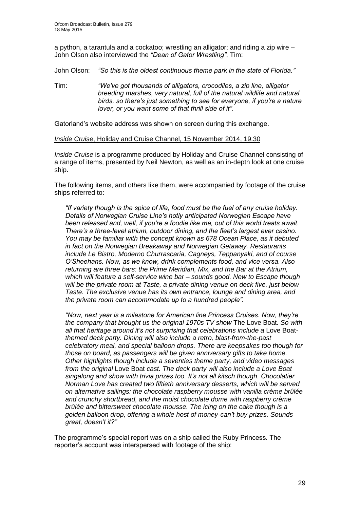a python, a tarantula and a cockatoo; wrestling an alligator; and riding a zip wire – John Olson also interviewed the *"Dean of Gator Wrestling"*, Tim:

John Olson: *"So this is the oldest continuous theme park in the state of Florida."*

Tim: *"We've got thousands of alligators, crocodiles, a zip line, alligator breeding marshes, very natural, full of the natural wildlife and natural birds, so there's just something to see for everyone, if you're a nature lover, or you want some of that thrill side of it".*

Gatorland's website address was shown on screen during this exchange.

### *Inside Cruise*, Holiday and Cruise Channel, 15 November 2014, 19.30

*Inside Cruise* is a programme produced by Holiday and Cruise Channel consisting of a range of items, presented by Neil Newton, as well as an in-depth look at one cruise ship.

The following items, and others like them, were accompanied by footage of the cruise ships referred to:

*"If variety though is the spice of life, food must be the fuel of any cruise holiday. Details of Norwegian Cruise Line's hotly anticipated Norwegian Escape have been released and, well, if you're a foodie like me, out of this world treats await. There's a three-level atrium, outdoor dining, and the fleet's largest ever casino. You may be familiar with the concept known as 678 Ocean Place, as it debuted in fact on the Norwegian Breakaway and Norwegian Getaway. Restaurants include Le Bistro, Moderno Churrascaria, Cagneys, Teppanyaki, and of course O'Sheehans. Now, as we know, drink complements food, and vice versa. Also returning are three bars: the Prime Meridian, Mix, and the Bar at the Atrium, which will feature a self-service wine bar – sounds good. New to Escape though will be the private room at Taste, a private dining venue on deck five, just below Taste. The exclusive venue has its own entrance, lounge and dining area, and the private room can accommodate up to a hundred people".*

*"Now, next year is a milestone for American line Princess Cruises. Now, they're the company that brought us the original 1970s TV show* The Love Boat*. So with all that heritage around it's not surprising that celebrations include a* Love Boat*themed deck party. Dining will also include a retro, blast-from-the-past celebratory meal, and special balloon drops. There are keepsakes too though for those on board, as passengers will be given anniversary gifts to take home. Other highlights though include a seventies theme party, and video messages from the original* Love Boat *cast. The deck party will also include a Love Boat singalong and show with trivia prizes too. It's not all kitsch though. Chocolatier Norman Love has created two fiftieth anniversary desserts, which will be served on alternative sailings: the chocolate raspberry mousse with vanilla crème brûlée and crunchy shortbread, and the moist chocolate dome with raspberry crème brûlée and bittersweet chocolate mousse. The icing on the cake though is a golden balloon drop, offering a whole host of money-can't-buy prizes. Sounds great, doesn't it?"*

The programme's special report was on a ship called the Ruby Princess. The reporter's account was interspersed with footage of the ship: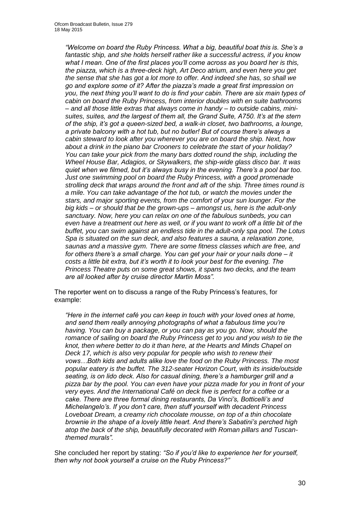*"Welcome on board the Ruby Princess. What a big, beautiful boat this is. She's a fantastic ship, and she holds herself rather like a successful actress, if you know what I mean. One of the first places you'll come across as you board her is this, the piazza, which is a three-deck high, Art Deco atrium, and even here you get the sense that she has got a lot more to offer. And indeed she has, so shall we go and explore some of it? After the piazza's made a great first impression on you, the next thing you'll want to do is find your cabin. There are six main types of cabin on board the Ruby Princess, from interior doubles with en suite bathrooms – and all those little extras that always come in handy – to outside cabins, minisuites, suites, and the largest of them all, the Grand Suite, A750. It's at the stern of the ship, it's got a queen-sized bed, a walk-in closet, two bathrooms, a lounge, a private balcony with a hot tub, but no butler! But of course there's always a cabin steward to look after you wherever you are on board the ship. Next, how about a drink in the piano bar Crooners to celebrate the start of your holiday? You can take your pick from the many bars dotted round the ship, including the Wheel House Bar, Adagios, or Skywalkers, the ship-wide glass disco bar. It was quiet when we filmed, but it's always busy in the evening. There's a pool bar too. Just one swimming pool on board the Ruby Princess, with a good promenade strolling deck that wraps around the front and aft of the ship. Three times round is a mile. You can take advantage of the hot tub, or watch the movies under the stars, and major sporting events, from the comfort of your sun lounger. For the big kids – or should that be the grown-ups – amongst us, here is the adult-only sanctuary. Now, here you can relax on one of the fabulous sunbeds, you can*  even have a treatment out here as well, or if you want to work off a little bit of the *buffet, you can swim against an endless tide in the adult-only spa pool. The Lotus Spa is situated on the sun deck, and also features a sauna, a relaxation zone, saunas and a massive gym. There are some fitness classes which are free, and for others there's a small charge. You can get your hair or your nails done – it costs a little bit extra, but it's worth it to look your best for the evening. The Princess Theatre puts on some great shows, it spans two decks, and the team are all looked after by cruise director Martin Moss".*

The reporter went on to discuss a range of the Ruby Princess's features, for example:

*"Here in the internet café you can keep in touch with your loved ones at home, and send them really annoying photographs of what a fabulous time you're having. You can buy a package, or you can pay as you go. Now, should the romance of sailing on board the Ruby Princess get to you and you wish to tie the knot, then where better to do it than here, at the Hearts and Minds Chapel on Deck 17, which is also very popular for people who wish to renew their vows…Both kids and adults alike love the food on the Ruby Princess. The most popular eatery is the buffet. The 312-seater Horizon Court, with its inside/outside seating, is on lido deck. Also for casual dining, there's a hamburger grill and a pizza bar by the pool. You can even have your pizza made for you in front of your very eyes. And the International Café on deck five is perfect for a coffee or a cake. There are three formal dining restaurants, Da Vinci's, Botticelli's and Michelangelo's. If you don't care, then stuff yourself with decadent Princess Loveboat Dream, a creamy rich chocolate mousse, on top of a thin chocolate brownie in the shape of a lovely little heart. And there's Sabatini's perched high atop the back of the ship, beautifully decorated with Roman pillars and Tuscanthemed murals".*

She concluded her report by stating: *"So if you'd like to experience her for yourself, then why not book yourself a cruise on the Ruby Princess?"*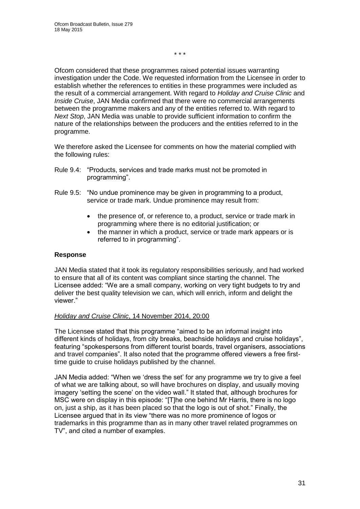\* \* \*

Ofcom considered that these programmes raised potential issues warranting investigation under the Code. We requested information from the Licensee in order to establish whether the references to entities in these programmes were included as the result of a commercial arrangement. With regard to *Holiday and Cruise Clinic* and *Inside Cruise*, JAN Media confirmed that there were no commercial arrangements between the programme makers and any of the entities referred to. With regard to *Next Stop*, JAN Media was unable to provide sufficient information to confirm the nature of the relationships between the producers and the entities referred to in the programme.

We therefore asked the Licensee for comments on how the material complied with the following rules:

- Rule 9.4: "Products, services and trade marks must not be promoted in programming".
- Rule 9.5: "No undue prominence may be given in programming to a product, service or trade mark. Undue prominence may result from:
	- the presence of, or reference to, a product, service or trade mark in programming where there is no editorial justification; or
	- the manner in which a product, service or trade mark appears or is referred to in programming".

### **Response**

JAN Media stated that it took its regulatory responsibilities seriously, and had worked to ensure that all of its content was compliant since starting the channel. The Licensee added: "We are a small company, working on very tight budgets to try and deliver the best quality television we can, which will enrich, inform and delight the viewer."

### *Holiday and Cruise Clinic*, 14 November 2014, 20:00

The Licensee stated that this programme "aimed to be an informal insight into different kinds of holidays, from city breaks, beachside holidays and cruise holidays", featuring "spokespersons from different tourist boards, travel organisers, associations and travel companies". It also noted that the programme offered viewers a free firsttime guide to cruise holidays published by the channel.

JAN Media added: "When we 'dress the set' for any programme we try to give a feel of what we are talking about, so will have brochures on display, and usually moving imagery 'setting the scene' on the video wall." It stated that, although brochures for MSC were on display in this episode: "[T]he one behind Mr Harris, there is no logo on, just a ship, as it has been placed so that the logo is out of shot." Finally, the Licensee argued that in its view "there was no more prominence of logos or trademarks in this programme than as in many other travel related programmes on TV", and cited a number of examples.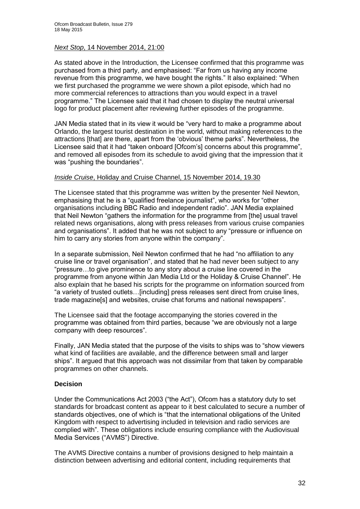### *Next Stop*, 14 November 2014, 21:00

As stated above in the Introduction, the Licensee confirmed that this programme was purchased from a third party, and emphasised: "Far from us having any income revenue from this programme, we have bought the rights." It also explained: "When we first purchased the programme we were shown a pilot episode, which had no more commercial references to attractions than you would expect in a travel programme." The Licensee said that it had chosen to display the neutral universal logo for product placement after reviewing further episodes of the programme.

JAN Media stated that in its view it would be "very hard to make a programme about Orlando, the largest tourist destination in the world, without making references to the attractions [that] are there, apart from the 'obvious' theme parks". Nevertheless, the Licensee said that it had "taken onboard [Ofcom's] concerns about this programme", and removed all episodes from its schedule to avoid giving that the impression that it was "pushing the boundaries".

### *Inside Cruise*, Holiday and Cruise Channel, 15 November 2014, 19.30

The Licensee stated that this programme was written by the presenter Neil Newton, emphasising that he is a "qualified freelance journalist", who works for "other organisations including BBC Radio and independent radio". JAN Media explained that Neil Newton "gathers the information for the programme from [the] usual travel related news organisations, along with press releases from various cruise companies and organisations". It added that he was not subject to any "pressure or influence on him to carry any stories from anyone within the company".

In a separate submission, Neil Newton confirmed that he had "no affiliation to any cruise line or travel organisation", and stated that he had never been subject to any "pressure…to give prominence to any story about a cruise line covered in the programme from anyone within Jan Media Ltd or the Holiday & Cruise Channel". He also explain that he based his scripts for the programme on information sourced from "a variety of trusted outlets…[including] press releases sent direct from cruise lines, trade magazine[s] and websites, cruise chat forums and national newspapers".

The Licensee said that the footage accompanying the stories covered in the programme was obtained from third parties, because "we are obviously not a large company with deep resources".

Finally, JAN Media stated that the purpose of the visits to ships was to "show viewers what kind of facilities are available, and the difference between small and larger ships". It argued that this approach was not dissimilar from that taken by comparable programmes on other channels.

### **Decision**

Under the Communications Act 2003 ("the Act"), Ofcom has a statutory duty to set standards for broadcast content as appear to it best calculated to secure a number of standards objectives, one of which is "that the international obligations of the United Kingdom with respect to advertising included in television and radio services are complied with". These obligations include ensuring compliance with the Audiovisual Media Services ("AVMS") Directive.

The AVMS Directive contains a number of provisions designed to help maintain a distinction between advertising and editorial content, including requirements that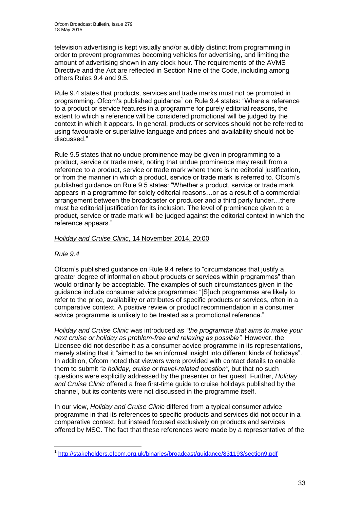television advertising is kept visually and/or audibly distinct from programming in order to prevent programmes becoming vehicles for advertising, and limiting the amount of advertising shown in any clock hour. The requirements of the AVMS Directive and the Act are reflected in Section Nine of the Code, including among others Rules 9.4 and 9.5.

Rule 9.4 states that products, services and trade marks must not be promoted in programming. Ofcom's published guidance<sup>1</sup> on Rule 9.4 states: "Where a reference to a product or service features in a programme for purely editorial reasons, the extent to which a reference will be considered promotional will be judged by the context in which it appears. In general, products or services should not be referred to using favourable or superlative language and prices and availability should not be discussed."

Rule 9.5 states that no undue prominence may be given in programming to a product, service or trade mark, noting that undue prominence may result from a reference to a product, service or trade mark where there is no editorial justification, or from the manner in which a product, service or trade mark is referred to. Ofcom's published guidance on Rule 9.5 states: "Whether a product, service or trade mark appears in a programme for solely editorial reasons…or as a result of a commercial arrangement between the broadcaster or producer and a third party funder…there must be editorial justification for its inclusion. The level of prominence given to a product, service or trade mark will be judged against the editorial context in which the reference appears."

### *Holiday and Cruise Clinic*, 14 November 2014, 20:00

### *Rule 9.4*

1

Ofcom's published guidance on Rule 9.4 refers to "circumstances that justify a greater degree of information about products or services within programmes" than would ordinarily be acceptable. The examples of such circumstances given in the guidance include consumer advice programmes: "[S]uch programmes are likely to refer to the price, availability or attributes of specific products or services, often in a comparative context. A positive review or product recommendation in a consumer advice programme is unlikely to be treated as a promotional reference."

*Holiday and Cruise Clinic* was introduced as *"the programme that aims to make your next cruise or holiday as problem-free and relaxing as possible"*. However, the Licensee did not describe it as a consumer advice programme in its representations, merely stating that it "aimed to be an informal insight into different kinds of holidays". In addition, Ofcom noted that viewers were provided with contact details to enable them to submit *"a holiday, cruise or travel-related question"*, but that no such questions were explicitly addressed by the presenter or her guest. Further, *Holiday and Cruise Clinic* offered a free first-time guide to cruise holidays published by the channel, but its contents were not discussed in the programme itself.

In our view, *Holiday and Cruise Clinic* differed from a typical consumer advice programme in that its references to specific products and services did not occur in a comparative context, but instead focused exclusively on products and services offered by MSC. The fact that these references were made by a representative of the

<sup>&</sup>lt;sup>1</sup> <http://stakeholders.ofcom.org.uk/binaries/broadcast/guidance/831193/section9.pdf>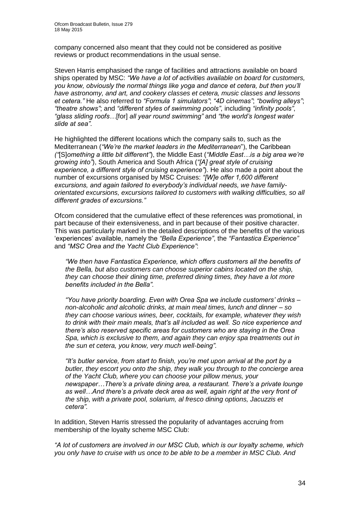company concerned also meant that they could not be considered as positive reviews or product recommendations in the usual sense.

Steven Harris emphasised the range of facilities and attractions available on board ships operated by MSC: *"We have a lot of activities available on board for customers, you know, obviously the normal things like yoga and dance et cetera, but then you'll have astronomy, and art, and cookery classes et cetera, music classes and lessons et cetera."* He also referred to *"Formula 1 simulators"*; *"4D cinemas"*; *"bowling alleys"*; *"theatre shows"*; and *"different styles of swimming pools"*, including *"infinity pools"*, *"glass sliding roofs…*[for] *all year round swimming"* and *"the world's longest water slide at sea"*.

He highlighted the different locations which the company sails to, such as the Mediterranean (*"We're the market leaders in the Mediterranean*"), the Caribbean *("*[S]*omething a little bit different"*), the Middle East (*"Middle East…is a big area we're growing into"*), South America and South Africa (*"[A] great style of cruising experience, a different style of cruising experience"*). He also made a point about the number of excursions organised by MSC Cruises: *"[W]e offer 1,600 different excursions, and again tailored to everybody's individual needs, we have familyorientated excursions, excursions tailored to customers with walking difficulties, so all different grades of excursions."*

Ofcom considered that the cumulative effect of these references was promotional, in part because of their extensiveness, and in part because of their positive character. This was particularly marked in the detailed descriptions of the benefits of the various 'experiences' available, namely the *"Bella Experience"*, the *"Fantastica Experience"*  and *"MSC Orea and the Yacht Club Experience"*:

*"We then have Fantastica Experience, which offers customers all the benefits of the Bella, but also customers can choose superior cabins located on the ship, they can choose their dining time, preferred dining times, they have a lot more benefits included in the Bella".*

*"You have priority boarding. Even with Orea Spa we include customers' drinks – non-alcoholic and alcoholic drinks, at main meal times, lunch and dinner – so they can choose various wines, beer, cocktails, for example, whatever they wish to drink with their main meals, that's all included as well. So nice experience and there's also reserved specific areas for customers who are staying in the Orea Spa, which is exclusive to them, and again they can enjoy spa treatments out in the sun et cetera, you know, very much well-being".*

*"It's butler service, from start to finish, you're met upon arrival at the port by a butler, they escort you onto the ship, they walk you through to the concierge area of the Yacht Club, where you can choose your pillow menus, your newspaper…There's a private dining area, a restaurant. There's a private lounge*  as well...And there's a private deck area as well, again right at the very front of *the ship, with a private pool, solarium, al fresco dining options, Jacuzzis et cetera".*

In addition, Steven Harris stressed the popularity of advantages accruing from membership of the loyalty scheme MSC Club:

*"A lot of customers are involved in our MSC Club, which is our loyalty scheme, which you only have to cruise with us once to be able to be a member in MSC Club. And*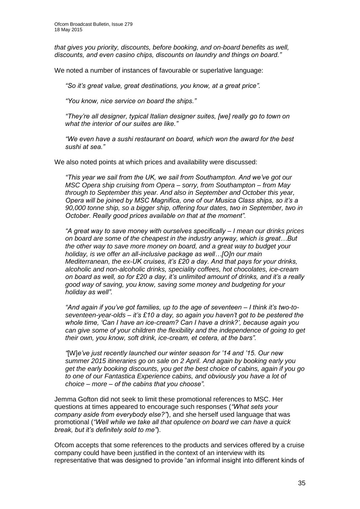*that gives you priority, discounts, before booking, and on-board benefits as well, discounts, and even casino chips, discounts on laundry and things on board."*

We noted a number of instances of favourable or superlative language:

*"So it's great value, great destinations, you know, at a great price".*

*"You know, nice service on board the ships."*

*"They're all designer, typical Italian designer suites, [we] really go to town on what the interior of our suites are like."*

*"We even have a sushi restaurant on board, which won the award for the best sushi at sea."*

We also noted points at which prices and availability were discussed:

*"This year we sail from the UK, we sail from Southampton. And we've got our MSC Opera ship cruising from Opera – sorry, from Southampton – from May through to September this year. And also in September and October this year, Opera will be joined by MSC Magnifica, one of our Musica Class ships, so it's a 90,000 tonne ship, so a bigger ship, offering four dates, two in September, two in October. Really good prices available on that at the moment".*

*"A great way to save money with ourselves specifically – I mean our drinks prices on board are some of the cheapest in the industry anyway, which is great…But the other way to save more money on board, and a great way to budget your holiday, is we offer an all-inclusive package as well…[O]n our main Mediterranean, the ex-UK cruises, it's £20 a day. And that pays for your drinks, alcoholic and non-alcoholic drinks, speciality coffees, hot chocolates, ice-cream on board as well, so for £20 a day, it's unlimited amount of drinks, and it's a really good way of saving, you know, saving some money and budgeting for your holiday as well".*

*"And again if you've got families, up to the age of seventeen – I think it's two-toseventeen-year-olds – it's £10 a day, so again you haven't got to be pestered the whole time, 'Can I have an ice-cream? Can I have a drink?', because again you can give some of your children the flexibility and the independence of going to get their own, you know, soft drink, ice-cream, et cetera, at the bars".*

*"*[W]*e've just recently launched our winter season for '14 and '15. Our new summer 2015 itineraries go on sale on 2 April. And again by booking early you get the early booking discounts, you get the best choice of cabins, again if you go to one of our Fantastica Experience cabins, and obviously you have a lot of choice – more – of the cabins that you choose".*

Jemma Gofton did not seek to limit these promotional references to MSC. Her questions at times appeared to encourage such responses (*"What sets your company aside from everybody else?"*), and she herself used language that was promotional (*"Well while we take all that opulence on board we can have a quick break, but it's definitely sold to me"*).

Ofcom accepts that some references to the products and services offered by a cruise company could have been justified in the context of an interview with its representative that was designed to provide "an informal insight into different kinds of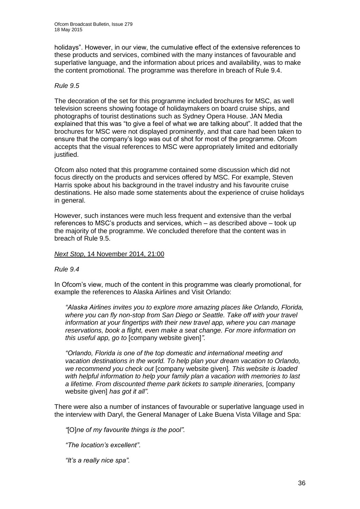holidays". However, in our view, the cumulative effect of the extensive references to these products and services, combined with the many instances of favourable and superlative language, and the information about prices and availability, was to make the content promotional. The programme was therefore in breach of Rule 9.4.

### *Rule 9.5*

The decoration of the set for this programme included brochures for MSC, as well television screens showing footage of holidaymakers on board cruise ships, and photographs of tourist destinations such as Sydney Opera House. JAN Media explained that this was "to give a feel of what we are talking about". It added that the brochures for MSC were not displayed prominently, and that care had been taken to ensure that the company's logo was out of shot for most of the programme. Ofcom accepts that the visual references to MSC were appropriately limited and editorially justified.

Ofcom also noted that this programme contained some discussion which did not focus directly on the products and services offered by MSC. For example, Steven Harris spoke about his background in the travel industry and his favourite cruise destinations. He also made some statements about the experience of cruise holidays in general.

However, such instances were much less frequent and extensive than the verbal references to MSC's products and services, which – as described above – took up the majority of the programme. We concluded therefore that the content was in breach of Rule 9.5.

### *Next Stop*, 14 November 2014, 21:00

### *Rule 9.4*

In Ofcom's view, much of the content in this programme was clearly promotional, for example the references to Alaska Airlines and Visit Orlando:

*"Alaska Airlines invites you to explore more amazing places like Orlando, Florida, where you can fly non-stop from San Diego or Seattle. Take off with your travel information at your fingertips with their new travel app, where you can manage reservations, book a flight, even make a seat change. For more information on this useful app, go to* [company website given]*".*

*"Orlando, Florida is one of the top domestic and international meeting and vacation destinations in the world. To help plan your dream vacation to Orlando, we recommend you check out* [company website given]*. This website is loaded with helpful information to help your family plan a vacation with memories to last a lifetime. From discounted theme park tickets to sample itineraries,* [company website given] *has got it all".*

There were also a number of instances of favourable or superlative language used in the interview with Daryl, the General Manager of Lake Buena Vista Village and Spa:

*"*[O]*ne of my favourite things is the pool".*

*"The location's excellent".*

*"It's a really nice spa".*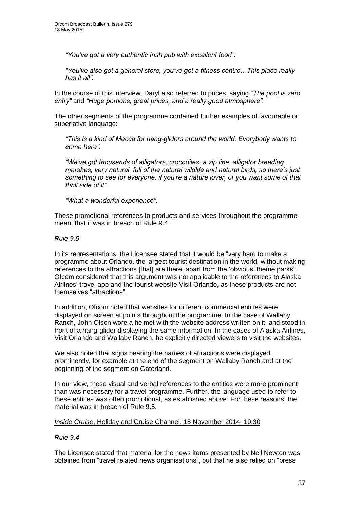*"You've got a very authentic Irish pub with excellent food".*

*"You've also got a general store, you've got a fitness centre…This place really has it all".*

In the course of this interview, Daryl also referred to prices, saying *"The pool is zero entry"* and *"Huge portions, great prices, and a really good atmosphere".*

The other segments of the programme contained further examples of favourable or superlative language:

*"This is a kind of Mecca for hang-gliders around the world. Everybody wants to come here".*

*"We've got thousands of alligators, crocodiles, a zip line, alligator breeding marshes, very natural, full of the natural wildlife and natural birds, so there's just something to see for everyone, if you're a nature lover, or you want some of that thrill side of it".*

*"What a wonderful experience".*

These promotional references to products and services throughout the programme meant that it was in breach of Rule 9.4.

#### *Rule 9.5*

In its representations, the Licensee stated that it would be "very hard to make a programme about Orlando, the largest tourist destination in the world, without making references to the attractions [that] are there, apart from the 'obvious' theme parks". Ofcom considered that this argument was not applicable to the references to Alaska Airlines' travel app and the tourist website Visit Orlando, as these products are not themselves "attractions".

In addition, Ofcom noted that websites for different commercial entities were displayed on screen at points throughout the programme. In the case of Wallaby Ranch, John Olson wore a helmet with the website address written on it, and stood in front of a hang-glider displaying the same information. In the cases of Alaska Airlines, Visit Orlando and Wallaby Ranch, he explicitly directed viewers to visit the websites.

We also noted that signs bearing the names of attractions were displayed prominently, for example at the end of the segment on Wallaby Ranch and at the beginning of the segment on Gatorland.

In our view, these visual and verbal references to the entities were more prominent than was necessary for a travel programme. Further, the language used to refer to these entities was often promotional, as established above. For these reasons, the material was in breach of Rule 9.5.

#### *Inside Cruise*, Holiday and Cruise Channel, 15 November 2014, 19.30

### *Rule 9.4*

The Licensee stated that material for the news items presented by Neil Newton was obtained from "travel related news organisations", but that he also relied on "press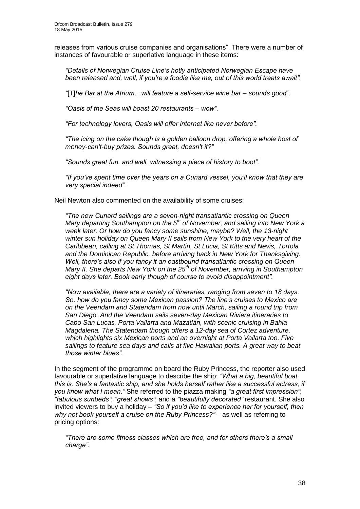releases from various cruise companies and organisations". There were a number of instances of favourable or superlative language in these items:

*"Details of Norwegian Cruise Line's hotly anticipated Norwegian Escape have been released and, well, if you're a foodie like me, out of this world treats await".*

*"*[T]*he Bar at the Atrium…will feature a self-service wine bar – sounds good".*

*"Oasis of the Seas will boast 20 restaurants – wow".*

*"For technology lovers, Oasis will offer internet like never before".*

*"The icing on the cake though is a golden balloon drop, offering a whole host of money-can't-buy prizes. Sounds great, doesn't it?"*

*"Sounds great fun, and well, witnessing a piece of history to boot".*

*"If you've spent time over the years on a Cunard vessel, you'll know that they are very special indeed".*

Neil Newton also commented on the availability of some cruises:

*"The new Cunard sailings are a seven-night transatlantic crossing on Queen Mary departing Southampton on the 5th of November, and sailing into New York a week later. Or how do you fancy some sunshine, maybe? Well, the 13-night winter sun holiday on Queen Mary II sails from New York to the very heart of the Caribbean, calling at St Thomas, St Martin, St Lucia, St Kitts and Nevis, Tortola and the Dominican Republic, before arriving back in New York for Thanksgiving. Well, there's also if you fancy it an eastbound transatlantic crossing on Queen Mary II. She departs New York on the 25th of November, arriving in Southampton eight days later. Book early though of course to avoid disappointment".*

*"Now available, there are a variety of itineraries, ranging from seven to 18 days. So, how do you fancy some Mexican passion? The line's cruises to Mexico are on the Veendam and Statendam from now until March, sailing a round trip from San Diego. And the Veendam sails seven-day Mexican Riviera itineraries to Cabo San Lucas, Porta Vallarta and Mazatlán, with scenic cruising in Bahia Magdalena. The Statendam though offers a 12-day sea of Cortez adventure, which highlights six Mexican ports and an overnight at Porta Vallarta too. Five sailings to feature sea days and calls at five Hawaiian ports. A great way to beat those winter blues"*.

In the segment of the programme on board the Ruby Princess, the reporter also used favourable or superlative language to describe the ship: *"What a big, beautiful boat this is. She's a fantastic ship, and she holds herself rather like a successful actress, if you know what I mean."* She referred to the piazza making *"a great first impression"*; *"fabulous sunbeds"*; *"great shows"*; and a *"beautifully decorated"* restaurant. She also invited viewers to buy a holiday *– "So if you'd like to experience her for yourself, then why not book yourself a cruise on the Ruby Princess?"* – as well as referring to pricing options:

*"There are some fitness classes which are free, and for others there's a small charge".*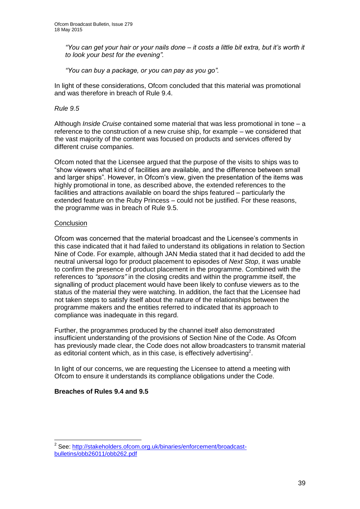*"You can get your hair or your nails done – it costs a little bit extra, but it's worth it to look your best for the evening".*

*"You can buy a package, or you can pay as you go".*

In light of these considerations, Ofcom concluded that this material was promotional and was therefore in breach of Rule 9.4.

### *Rule 9.5*

Although *Inside Cruise* contained some material that was less promotional in tone – a reference to the construction of a new cruise ship, for example – we considered that the vast majority of the content was focused on products and services offered by different cruise companies.

Ofcom noted that the Licensee argued that the purpose of the visits to ships was to "show viewers what kind of facilities are available, and the difference between small and larger ships". However, in Ofcom's view, given the presentation of the items was highly promotional in tone, as described above, the extended references to the facilities and attractions available on board the ships featured – particularly the extended feature on the Ruby Princess – could not be justified. For these reasons, the programme was in breach of Rule 9.5.

### **Conclusion**

Ofcom was concerned that the material broadcast and the Licensee's comments in this case indicated that it had failed to understand its obligations in relation to Section Nine of Code. For example, although JAN Media stated that it had decided to add the neutral universal logo for product placement to episodes of *Next Stop*, it was unable to confirm the presence of product placement in the programme. Combined with the references to *"sponsors"* in the closing credits and within the programme itself, the signalling of product placement would have been likely to confuse viewers as to the status of the material they were watching. In addition, the fact that the Licensee had not taken steps to satisfy itself about the nature of the relationships between the programme makers and the entities referred to indicated that its approach to compliance was inadequate in this regard.

Further, the programmes produced by the channel itself also demonstrated insufficient understanding of the provisions of Section Nine of the Code. As Ofcom has previously made clear, the Code does not allow broadcasters to transmit material as editorial content which, as in this case, is effectively advertising<sup>2</sup>.

In light of our concerns, we are requesting the Licensee to attend a meeting with Ofcom to ensure it understands its compliance obligations under the Code.

### **Breaches of Rules 9.4 and 9.5**

1

<sup>&</sup>lt;sup>2</sup> See: [http://stakeholders.ofcom.org.uk/binaries/enforcement/broadcast](http://stakeholders.ofcom.org.uk/binaries/enforcement/broadcast-bulletins/obb26011/obb262.pdf)[bulletins/obb26011/obb262.pdf](http://stakeholders.ofcom.org.uk/binaries/enforcement/broadcast-bulletins/obb26011/obb262.pdf)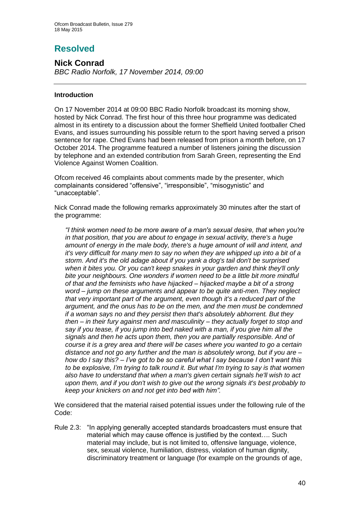# **Resolved**

**Nick Conrad**  *BBC Radio Norfolk, 17 November 2014, 09:00*

### **Introduction**

On 17 November 2014 at 09:00 BBC Radio Norfolk broadcast its morning show, hosted by Nick Conrad. The first hour of this three hour programme was dedicated almost in its entirety to a discussion about the former Sheffield United footballer Ched Evans, and issues surrounding his possible return to the sport having served a prison sentence for rape. Ched Evans had been released from prison a month before, on 17 October 2014. The programme featured a number of listeners joining the discussion by telephone and an extended contribution from Sarah Green, representing the End Violence Against Women Coalition.

Ofcom received 46 complaints about comments made by the presenter, which complainants considered "offensive", "irresponsible", "misogynistic" and "unacceptable".

Nick Conrad made the following remarks approximately 30 minutes after the start of the programme:

*"I think women need to be more aware of a man's sexual desire, that when you're in that position, that you are about to engage in sexual activity, there's a huge amount of energy in the male body, there's a huge amount of will and intent, and it's very difficult for many men to say no when they are whipped up into a bit of a storm. And it's the old adage about if you yank a dog's tail don't be surprised when it bites you. Or you can't keep snakes in your garden and think they'll only bite your neighbours. One wonders if women need to be a little bit more mindful of that and the feminists who have hijacked – hijacked maybe a bit of a strong word – jump on these arguments and appear to be quite anti-men. They neglect that very important part of the argument, even though it's a reduced part of the argument, and the onus has to be on the men, and the men must be condemned if a woman says no and they persist then that's absolutely abhorrent. But they then – in their fury against men and masculinity – they actually forget to stop and say if you tease, if you jump into bed naked with a man, if you give him all the signals and then he acts upon them, then you are partially responsible. And of course it is a grey area and there will be cases where you wanted to go a certain distance and not go any further and the man is absolutely wrong, but if you are – how do I say this? – I've got to be so careful what I say because I don't want this to be explosive, I'm trying to talk round it. But what I'm trying to say is that women also have to understand that when a man's given certain signals he'll wish to act upon them, and if you don't wish to give out the wrong signals it's best probably to keep your knickers on and not get into bed with him".*

We considered that the material raised potential issues under the following rule of the Code:

Rule 2.3: "In applying generally accepted standards broadcasters must ensure that material which may cause offence is justified by the context…. Such material may include, but is not limited to, offensive language, violence, sex, sexual violence, humiliation, distress, violation of human dignity, discriminatory treatment or language (for example on the grounds of age,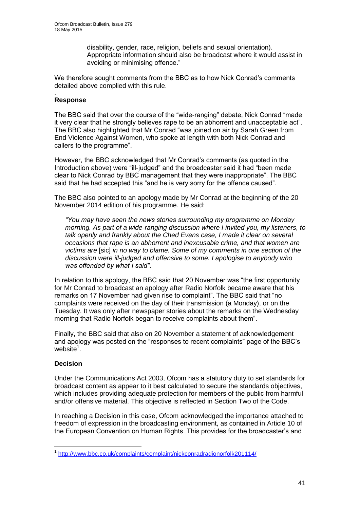disability, gender, race, religion, beliefs and sexual orientation). Appropriate information should also be broadcast where it would assist in avoiding or minimising offence."

We therefore sought comments from the BBC as to how Nick Conrad's comments detailed above complied with this rule.

#### . **Response**

The BBC said that over the course of the "wide-ranging" debate, Nick Conrad "made it very clear that he strongly believes rape to be an abhorrent and unacceptable act". The BBC also highlighted that Mr Conrad "was joined on air by Sarah Green from End Violence Against Women, who spoke at length with both Nick Conrad and callers to the programme".

However, the BBC acknowledged that Mr Conrad's comments (as quoted in the Introduction above) were "ill-judged" and the broadcaster said it had "been made clear to Nick Conrad by BBC management that they were inappropriate". The BBC said that he had accepted this "and he is very sorry for the offence caused".

The BBC also pointed to an apology made by Mr Conrad at the beginning of the 20 November 2014 edition of his programme. He said:

*"You may have seen the news stories surrounding my programme on Monday morning. As part of a wide-ranging discussion where I invited you, my listeners, to talk openly and frankly about the Ched Evans case, I made it clear on several occasions that rape is an abhorrent and inexcusable crime, and that women are victims are* [sic] *in no way to blame. Some of my comments in one section of the discussion were ill-judged and offensive to some. I apologise to anybody who was offended by what I said"*.

In relation to this apology, the BBC said that 20 November was "the first opportunity for Mr Conrad to broadcast an apology after Radio Norfolk became aware that his remarks on 17 November had given rise to complaint". The BBC said that "no complaints were received on the day of their transmission (a Monday), or on the Tuesday. It was only after newspaper stories about the remarks on the Wednesday morning that Radio Norfolk began to receive complaints about them".

Finally, the BBC said that also on 20 November a statement of acknowledgement and apology was posted on the "responses to recent complaints" page of the BBC's website $1$ .

### **Decision**

1

Under the Communications Act 2003, Ofcom has a statutory duty to set standards for broadcast content as appear to it best calculated to secure the standards objectives, which includes providing adequate protection for members of the public from harmful and/or offensive material. This objective is reflected in Section Two of the Code.

In reaching a Decision in this case, Ofcom acknowledged the importance attached to freedom of expression in the broadcasting environment, as contained in Article 10 of the European Convention on Human Rights. This provides for the broadcaster's and

<sup>&</sup>lt;sup>1</sup> <http://www.bbc.co.uk/complaints/complaint/nickconradradionorfolk201114/>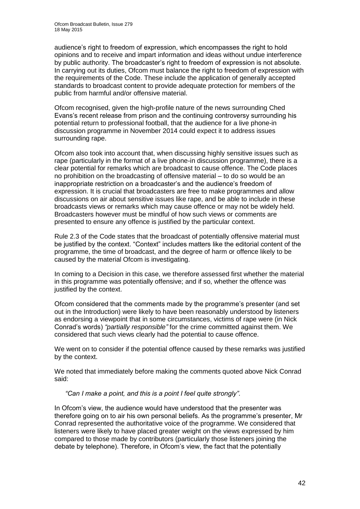audience's right to freedom of expression, which encompasses the right to hold opinions and to receive and impart information and ideas without undue interference by public authority. The broadcaster's right to freedom of expression is not absolute. In carrying out its duties, Ofcom must balance the right to freedom of expression with the requirements of the Code. These include the application of generally accepted standards to broadcast content to provide adequate protection for members of the public from harmful and/or offensive material.

Ofcom recognised, given the high-profile nature of the news surrounding Ched Evans's recent release from prison and the continuing controversy surrounding his potential return to professional football, that the audience for a live phone-in discussion programme in November 2014 could expect it to address issues surrounding rape.

Ofcom also took into account that, when discussing highly sensitive issues such as rape (particularly in the format of a live phone-in discussion programme), there is a clear potential for remarks which are broadcast to cause offence. The Code places no prohibition on the broadcasting of offensive material – to do so would be an inappropriate restriction on a broadcaster's and the audience's freedom of expression. It is crucial that broadcasters are free to make programmes and allow discussions on air about sensitive issues like rape, and be able to include in these broadcasts views or remarks which may cause offence or may not be widely held. Broadcasters however must be mindful of how such views or comments are presented to ensure any offence is justified by the particular context.

Rule 2.3 of the Code states that the broadcast of potentially offensive material must be justified by the context. "Context" includes matters like the editorial content of the programme, the time of broadcast, and the degree of harm or offence likely to be caused by the material Ofcom is investigating.

In coming to a Decision in this case, we therefore assessed first whether the material in this programme was potentially offensive; and if so, whether the offence was justified by the context.

Ofcom considered that the comments made by the programme's presenter (and set out in the Introduction) were likely to have been reasonably understood by listeners as endorsing a viewpoint that in some circumstances, victims of rape were (in Nick Conrad's words) *"partially responsible"* for the crime committed against them. We considered that such views clearly had the potential to cause offence.

We went on to consider if the potential offence caused by these remarks was justified by the context.

We noted that immediately before making the comments quoted above Nick Conrad said:

*"Can I make a point, and this is a point I feel quite strongly"*.

In Ofcom's view, the audience would have understood that the presenter was therefore going on to air his own personal beliefs. As the programme's presenter, Mr Conrad represented the authoritative voice of the programme. We considered that listeners were likely to have placed greater weight on the views expressed by him compared to those made by contributors (particularly those listeners joining the debate by telephone). Therefore, in Ofcom's view, the fact that the potentially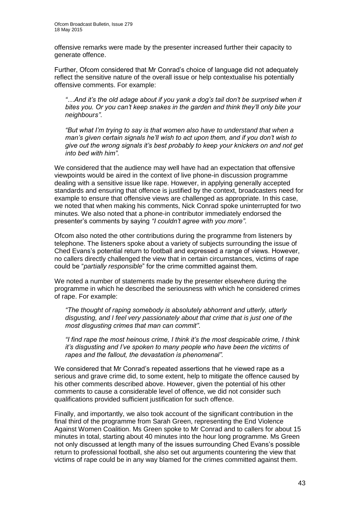offensive remarks were made by the presenter increased further their capacity to generate offence.

Further, Ofcom considered that Mr Conrad's choice of language did not adequately reflect the sensitive nature of the overall issue or help contextualise his potentially offensive comments. For example:

*"…And it's the old adage about if you yank a dog's tail don't be surprised when it bites you. Or you can't keep snakes in the garden and think they'll only bite your neighbours"*.

*"But what I'm trying to say is that women also have to understand that when a man's given certain signals he'll wish to act upon them, and if you don't wish to give out the wrong signals it's best probably to keep your knickers on and not get into bed with him"*.

We considered that the audience may well have had an expectation that offensive viewpoints would be aired in the context of live phone-in discussion programme dealing with a sensitive issue like rape. However, in applying generally accepted standards and ensuring that offence is justified by the context, broadcasters need for example to ensure that offensive views are challenged as appropriate. In this case, we noted that when making his comments, Nick Conrad spoke uninterrupted for two minutes. We also noted that a phone-in contributor immediately endorsed the presenter's comments by saying *"I couldn't agree with you more"*.

Ofcom also noted the other contributions during the programme from listeners by telephone. The listeners spoke about a variety of subjects surrounding the issue of Ched Evans's potential return to football and expressed a range of views. However, no callers directly challenged the view that in certain circumstances, victims of rape could be "*partially responsible*" for the crime committed against them.

We noted a number of statements made by the presenter elsewhere during the programme in which he described the seriousness with which he considered crimes of rape. For example:

*"The thought of raping somebody is absolutely abhorrent and utterly, utterly disgusting, and I feel very passionately about that crime that is just one of the most disgusting crimes that man can commit"*.

*"I find rape the most heinous crime, I think it's the most despicable crime, I think it's disgusting and I've spoken to many people who have been the victims of rapes and the fallout, the devastation is phenomenal".*

We considered that Mr Conrad's repeated assertions that he viewed rape as a serious and grave crime did, to some extent, help to mitigate the offence caused by his other comments described above. However, given the potential of his other comments to cause a considerable level of offence, we did not consider such qualifications provided sufficient justification for such offence.

Finally, and importantly, we also took account of the significant contribution in the final third of the programme from Sarah Green, representing the End Violence Against Women Coalition. Ms Green spoke to Mr Conrad and to callers for about 15 minutes in total, starting about 40 minutes into the hour long programme. Ms Green not only discussed at length many of the issues surrounding Ched Evans's possible return to professional football, she also set out arguments countering the view that victims of rape could be in any way blamed for the crimes committed against them.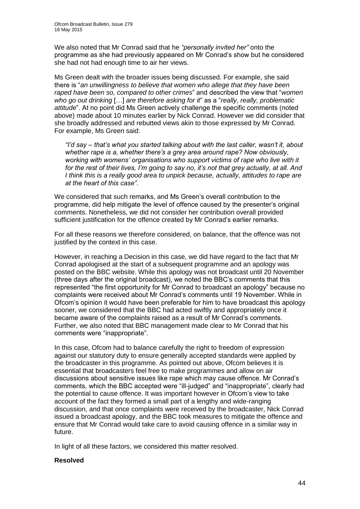We also noted that Mr Conrad said that he *"personally invited her"* onto the programme as she had previously appeared on Mr Conrad's show but he considered she had not had enough time to air her views.

Ms Green dealt with the broader issues being discussed. For example, she said there is "*an unwillingness to believe that women who allege that they have been raped have been so, compared to other crimes*" and described the view that "*women who go out drinking* […] *are therefore asking for it*" as a "*really, really, problematic attitude*". At no point did Ms Green actively challenge the specific comments (noted above) made about 10 minutes earlier by Nick Conrad. However we did consider that she broadly addressed and rebutted views akin to those expressed by Mr Conrad. For example, Ms Green said:

*"I'd say – that's what you started talking about with the last caller, wasn't it, about whether rape is a, whether there's a grey area around rape? Now obviously, working with womens' organisations who support victims of rape who live with it for the rest of their lives, I'm going to say no, it's not that grey actually, at all. And I think this is a really good area to unpick because, actually, attitudes to rape are at the heart of this case"*.

We considered that such remarks, and Ms Green's overall contribution to the programme, did help mitigate the level of offence caused by the presenter's original comments. Nonetheless, we did not consider her contribution overall provided sufficient justification for the offence created by Mr Conrad's earlier remarks.

For all these reasons we therefore considered, on balance, that the offence was not justified by the context in this case.

However, in reaching a Decision in this case, we did have regard to the fact that Mr Conrad apologised at the start of a subsequent programme and an apology was posted on the BBC website. While this apology was not broadcast until 20 November (three days after the original broadcast), we noted the BBC's comments that this represented "the first opportunity for Mr Conrad to broadcast an apology" because no complaints were received about Mr Conrad's comments until 19 November. While in Ofcom's opinion it would have been preferable for him to have broadcast this apology sooner, we considered that the BBC had acted swiftly and appropriately once it became aware of the complaints raised as a result of Mr Conrad's comments. Further, we also noted that BBC management made clear to Mr Conrad that his comments were "inappropriate".

In this case, Ofcom had to balance carefully the right to freedom of expression against our statutory duty to ensure generally accepted standards were applied by the broadcaster in this programme. As pointed out above, Ofcom believes it is essential that broadcasters feel free to make programmes and allow on air discussions about sensitive issues like rape which may cause offence. Mr Conrad's comments, which the BBC accepted were "ill-judged" and "inappropriate", clearly had the potential to cause offence. It was important however in Ofcom's view to take account of the fact they formed a small part of a lengthy and wide-ranging discussion, and that once complaints were received by the broadcaster, Nick Conrad issued a broadcast apology, and the BBC took measures to mitigate the offence and ensure that Mr Conrad would take care to avoid causing offence in a similar way in future.

In light of all these factors, we considered this matter resolved.

### **Resolved**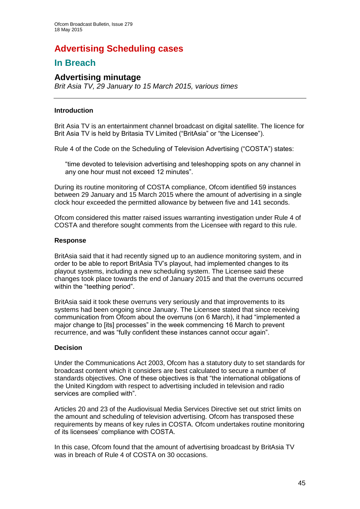# **Advertising Scheduling cases**

## **In Breach**

### **Advertising minutage**

*Brit Asia TV, 29 January to 15 March 2015, various times*

### **Introduction**

Brit Asia TV is an entertainment channel broadcast on digital satellite. The licence for Brit Asia TV is held by Britasia TV Limited ("BritAsia" or "the Licensee").

Rule 4 of the Code on the Scheduling of Television Advertising ("COSTA") states:

"time devoted to television advertising and teleshopping spots on any channel in any one hour must not exceed 12 minutes".

During its routine monitoring of COSTA compliance, Ofcom identified 59 instances between 29 January and 15 March 2015 where the amount of advertising in a single clock hour exceeded the permitted allowance by between five and 141 seconds.

Ofcom considered this matter raised issues warranting investigation under Rule 4 of COSTA and therefore sought comments from the Licensee with regard to this rule.

#### **Response**

BritAsia said that it had recently signed up to an audience monitoring system, and in order to be able to report BritAsia TV's playout, had implemented changes to its playout systems, including a new scheduling system. The Licensee said these changes took place towards the end of January 2015 and that the overruns occurred within the "teething period".

BritAsia said it took these overruns very seriously and that improvements to its systems had been ongoing since January. The Licensee stated that since receiving communication from Ofcom about the overruns (on 6 March), it had "implemented a major change to [its] processes" in the week commencing 16 March to prevent recurrence, and was "fully confident these instances cannot occur again".

### **Decision**

Under the Communications Act 2003, Ofcom has a statutory duty to set standards for broadcast content which it considers are best calculated to secure a number of standards objectives. One of these objectives is that "the international obligations of the United Kingdom with respect to advertising included in television and radio services are complied with".

Articles 20 and 23 of the Audiovisual Media Services Directive set out strict limits on the amount and scheduling of television advertising. Ofcom has transposed these requirements by means of key rules in COSTA. Ofcom undertakes routine monitoring of its licensees' compliance with COSTA.

In this case, Ofcom found that the amount of advertising broadcast by BritAsia TV was in breach of Rule 4 of COSTA on 30 occasions.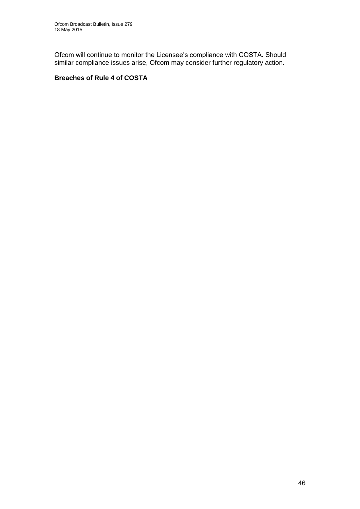Ofcom will continue to monitor the Licensee's compliance with COSTA. Should similar compliance issues arise, Ofcom may consider further regulatory action.

### **Breaches of Rule 4 of COSTA**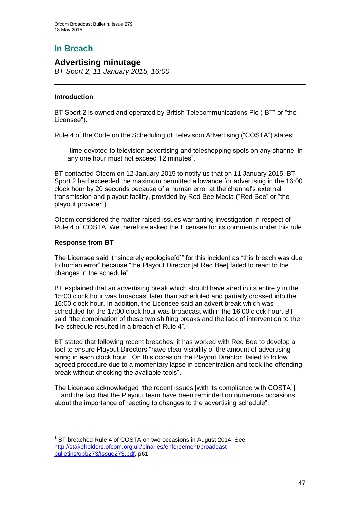## **In Breach**

### **Advertising minutage**

*BT Sport 2, 11 January 2015, 16:00*

### **Introduction**

BT Sport 2 is owned and operated by British Telecommunications Plc ("BT" or "the Licensee").

Rule 4 of the Code on the Scheduling of Television Advertising ("COSTA") states:

"time devoted to television advertising and teleshopping spots on any channel in any one hour must not exceed 12 minutes".

BT contacted Ofcom on 12 January 2015 to notify us that on 11 January 2015, BT Sport 2 had exceeded the maximum permitted allowance for advertising in the 16:00 clock hour by 20 seconds because of a human error at the channel's external transmission and playout facility, provided by Red Bee Media ("Red Bee" or "the playout provider").

Ofcom considered the matter raised issues warranting investigation in respect of Rule 4 of COSTA. We therefore asked the Licensee for its comments under this rule.

### **Response from BT**

1

The Licensee said it "sincerely apologise[d]" for this incident as "this breach was due to human error" because "the Playout Director [at Red Bee] failed to react to the changes in the schedule".

BT explained that an advertising break which should have aired in its entirety in the 15:00 clock hour was broadcast later than scheduled and partially crossed into the 16:00 clock hour. In addition, the Licensee said an advert break which was scheduled for the 17:00 clock hour was broadcast within the 16:00 clock hour. BT said "the combination of these two shifting breaks and the lack of intervention to the live schedule resulted in a breach of Rule 4".

BT stated that following recent breaches, it has worked with Red Bee to develop a tool to ensure Playout Directors "have clear visibility of the amount of advertising airing in each clock hour". On this occasion the Playout Director "failed to follow agreed procedure due to a momentary lapse in concentration and took the offending break without checking the available tools".

The Licensee acknowledged "the recent issues [with its compliance with  $COSTA<sup>1</sup>$ ] …and the fact that the Playout team have been reminded on numerous occasions about the importance of reacting to changes to the advertising schedule".

<sup>1</sup> BT breached Rule 4 of COSTA on two occasions in August 2014. See [http://stakeholders.ofcom.org.uk/binaries/enforcement/broadcast](http://stakeholders.ofcom.org.uk/binaries/enforcement/broadcast-bulletins/obb273/Issue273.pdf)[bulletins/obb273/Issue273.pdf,](http://stakeholders.ofcom.org.uk/binaries/enforcement/broadcast-bulletins/obb273/Issue273.pdf) p61.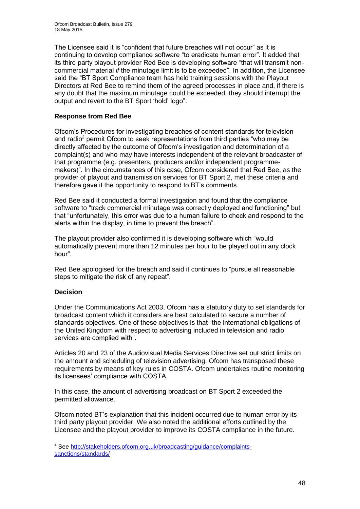The Licensee said it is "confident that future breaches will not occur" as it is continuing to develop compliance software "to eradicate human error". It added that its third party playout provider Red Bee is developing software "that will transmit noncommercial material *if* the minutage limit is to be exceeded". In addition, the Licensee said the "BT Sport Compliance team has held training sessions with the Playout Directors at Red Bee to remind them of the agreed processes in place and, if there is any doubt that the maximum minutage could be exceeded, they should interrupt the output and revert to the BT Sport 'hold' logo".

### **Response from Red Bee**

Ofcom's Procedures for investigating breaches of content standards for television and radio<sup>2</sup> permit Ofcom to seek representations from third parties "who may be directly affected by the outcome of Ofcom's investigation and determination of a complaint(s) and who may have interests independent of the relevant broadcaster of that programme (e.g. presenters, producers and/or independent programmemakers)". In the circumstances of this case, Ofcom considered that Red Bee, as the provider of playout and transmission services for BT Sport 2, met these criteria and therefore gave it the opportunity to respond to BT's comments.

Red Bee said it conducted a formal investigation and found that the compliance software to "track commercial minutage was correctly deployed and functioning" but that "unfortunately, this error was due to a human failure to check and respond to the alerts within the display, in time to prevent the breach".

The playout provider also confirmed it is developing software which "would automatically prevent more than 12 minutes per hour to be played out in any clock hour".

Red Bee apologised for the breach and said it continues to "pursue all reasonable steps to mitigate the risk of any repeat".

### **Decision**

1

Under the Communications Act 2003, Ofcom has a statutory duty to set standards for broadcast content which it considers are best calculated to secure a number of standards objectives. One of these objectives is that "the international obligations of the United Kingdom with respect to advertising included in television and radio services are complied with".

Articles 20 and 23 of the Audiovisual Media Services Directive set out strict limits on the amount and scheduling of television advertising. Ofcom has transposed these requirements by means of key rules in COSTA. Ofcom undertakes routine monitoring its licensees' compliance with COSTA.

In this case, the amount of advertising broadcast on BT Sport 2 exceeded the permitted allowance.

Ofcom noted BT's explanation that this incident occurred due to human error by its third party playout provider. We also noted the additional efforts outlined by the Licensee and the playout provider to improve its COSTA compliance in the future.

<sup>&</sup>lt;sup>2</sup> See [http://stakeholders.ofcom.org.uk/broadcasting/guidance/complaints](http://stakeholders.ofcom.org.uk/broadcasting/guidance/complaints-sanctions/standards/)[sanctions/standards/](http://stakeholders.ofcom.org.uk/broadcasting/guidance/complaints-sanctions/standards/)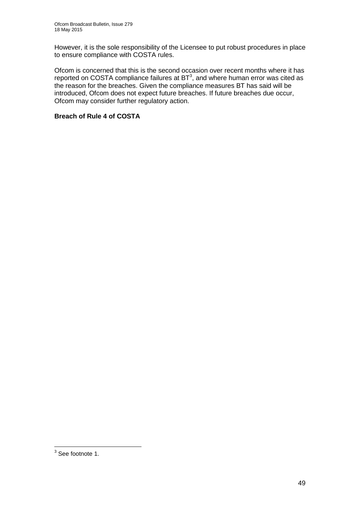However, it is the sole responsibility of the Licensee to put robust procedures in place to ensure compliance with COSTA rules.

Ofcom is concerned that this is the second occasion over recent months where it has reported on COSTA compliance failures at  $BT^3$ , and where human error was cited as the reason for the breaches. Given the compliance measures BT has said will be introduced, Ofcom does not expect future breaches. If future breaches due occur, Ofcom may consider further regulatory action.

### **Breach of Rule 4 of COSTA**

 3 See footnote 1.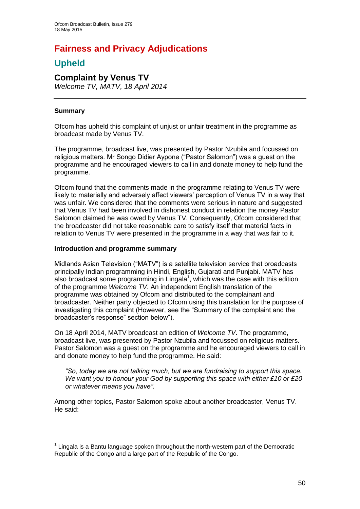# **Fairness and Privacy Adjudications**

## **Upheld**

## **Complaint by Venus TV**

*Welcome TV, MATV, 18 April 2014*

### **Summary**

Ofcom has upheld this complaint of unjust or unfair treatment in the programme as broadcast made by Venus TV.

The programme, broadcast live, was presented by Pastor Nzubila and focussed on religious matters. Mr Songo Didier Aypone ("Pastor Salomon") was a guest on the programme and he encouraged viewers to call in and donate money to help fund the programme.

Ofcom found that the comments made in the programme relating to Venus TV were likely to materially and adversely affect viewers' perception of Venus TV in a way that was unfair. We considered that the comments were serious in nature and suggested that Venus TV had been involved in dishonest conduct in relation the money Pastor Salomon claimed he was owed by Venus TV. Consequently, Ofcom considered that the broadcaster did not take reasonable care to satisfy itself that material facts in relation to Venus TV were presented in the programme in a way that was fair to it.

### **Introduction and programme summary**

Midlands Asian Television ("MATV") is a satellite television service that broadcasts principally Indian programming in Hindi, English, Gujarati and Punjabi. MATV has also broadcast some programming in Lingala<sup>1</sup>, which was the case with this edition of the programme *Welcome TV*. An independent English translation of the programme was obtained by Ofcom and distributed to the complainant and broadcaster. Neither party objected to Ofcom using this translation for the purpose of investigating this complaint (However, see the "Summary of the complaint and the broadcaster's response" section below").

On 18 April 2014, MATV broadcast an edition of *Welcome TV*. The programme, broadcast live, was presented by Pastor Nzubila and focussed on religious matters. Pastor Salomon was a guest on the programme and he encouraged viewers to call in and donate money to help fund the programme. He said:

*"So, today we are not talking much, but we are fundraising to support this space. We want you to honour your God by supporting this space with either £10 or £20 or whatever means you have"*.

Among other topics, Pastor Salomon spoke about another broadcaster, Venus TV. He said:

<sup>1</sup>  $1$  Lingala is a Bantu language spoken throughout the north-western part of the Democratic Republic of the Congo and a large part of the Republic of the Congo.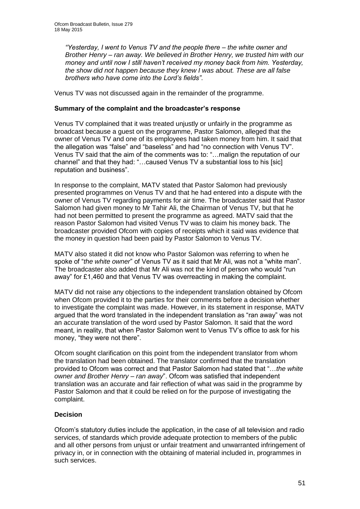*"Yesterday, I went to Venus TV and the people there – the white owner and Brother Henry – ran away. We believed in Brother Henry, we trusted him with our money and until now I still haven't received my money back from him. Yesterday, the show did not happen because they knew I was about. These are all false brothers who have come into the Lord's fields"*.

Venus TV was not discussed again in the remainder of the programme.

### **Summary of the complaint and the broadcaster's response**

Venus TV complained that it was treated unjustly or unfairly in the programme as broadcast because a guest on the programme, Pastor Salomon, alleged that the owner of Venus TV and one of its employees had taken money from him. It said that the allegation was "false" and "baseless" and had "no connection with Venus TV". Venus TV said that the aim of the comments was to: "…malign the reputation of our channel" and that they had: "…caused Venus TV a substantial loss to his [sic] reputation and business".

In response to the complaint, MATV stated that Pastor Salomon had previously presented programmes on Venus TV and that he had entered into a dispute with the owner of Venus TV regarding payments for air time. The broadcaster said that Pastor Salomon had given money to Mr Tahir Ali, the Chairman of Venus TV, but that he had not been permitted to present the programme as agreed. MATV said that the reason Pastor Salomon had visited Venus TV was to claim his money back. The broadcaster provided Ofcom with copies of receipts which it said was evidence that the money in question had been paid by Pastor Salomon to Venus TV.

MATV also stated it did not know who Pastor Salomon was referring to when he spoke of "*the white owner*" of Venus TV as it said that Mr Ali, was not a "white man". The broadcaster also added that Mr Ali was not the kind of person who would "run away" for £1,460 and that Venus TV was overreacting in making the complaint.

MATV did not raise any objections to the independent translation obtained by Ofcom when Ofcom provided it to the parties for their comments before a decision whether to investigate the complaint was made. However, in its statement in response, MATV argued that the word translated in the independent translation as "ran away" was not an accurate translation of the word used by Pastor Salomon. It said that the word meant, in reality, that when Pastor Salomon went to Venus TV's office to ask for his money, "they were not there".

Ofcom sought clarification on this point from the independent translator from whom the translation had been obtained. The translator confirmed that the translation provided to Ofcom was correct and that Pastor Salomon had stated that "…*the white owner and Brother Henry – ran away*". Ofcom was satisfied that independent translation was an accurate and fair reflection of what was said in the programme by Pastor Salomon and that it could be relied on for the purpose of investigating the complaint.

### **Decision**

Ofcom's statutory duties include the application, in the case of all television and radio services, of standards which provide adequate protection to members of the public and all other persons from unjust or unfair treatment and unwarranted infringement of privacy in, or in connection with the obtaining of material included in, programmes in such services.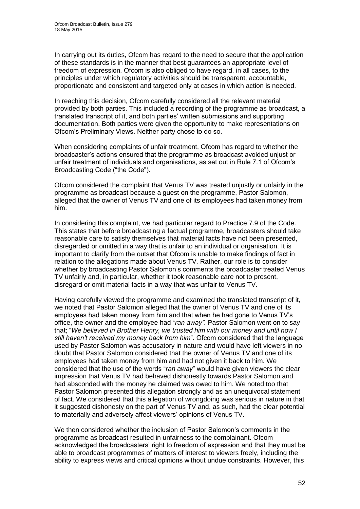In carrying out its duties, Ofcom has regard to the need to secure that the application of these standards is in the manner that best guarantees an appropriate level of freedom of expression. Ofcom is also obliged to have regard, in all cases, to the principles under which regulatory activities should be transparent, accountable, proportionate and consistent and targeted only at cases in which action is needed.

In reaching this decision, Ofcom carefully considered all the relevant material provided by both parties. This included a recording of the programme as broadcast, a translated transcript of it, and both parties' written submissions and supporting documentation. Both parties were given the opportunity to make representations on Ofcom's Preliminary Views. Neither party chose to do so.

When considering complaints of unfair treatment, Ofcom has regard to whether the broadcaster's actions ensured that the programme as broadcast avoided unjust or unfair treatment of individuals and organisations, as set out in Rule 7.1 of Ofcom's Broadcasting Code ("the Code").

Ofcom considered the complaint that Venus TV was treated unjustly or unfairly in the programme as broadcast because a guest on the programme, Pastor Salomon, alleged that the owner of Venus TV and one of its employees had taken money from him.

In considering this complaint, we had particular regard to Practice 7.9 of the Code. This states that before broadcasting a factual programme, broadcasters should take reasonable care to satisfy themselves that material facts have not been presented, disregarded or omitted in a way that is unfair to an individual or organisation. It is important to clarify from the outset that Ofcom is unable to make findings of fact in relation to the allegations made about Venus TV. Rather, our role is to consider whether by broadcasting Pastor Salomon's comments the broadcaster treated Venus TV unfairly and, in particular, whether it took reasonable care not to present, disregard or omit material facts in a way that was unfair to Venus TV.

Having carefully viewed the programme and examined the translated transcript of it, we noted that Pastor Salomon alleged that the owner of Venus TV and one of its employees had taken money from him and that when he had gone to Venus TV's office, the owner and the employee had *"ran away".* Pastor Salomon went on to say that; "*We believed in Brother Henry, we trusted him with our money and until now I still haven't received my money back from him*". Ofcom considered that the language used by Pastor Salomon was accusatory in nature and would have left viewers in no doubt that Pastor Salomon considered that the owner of Venus TV and one of its employees had taken money from him and had not given it back to him. We considered that the use of the words "*ran away*" would have given viewers the clear impression that Venus TV had behaved dishonestly towards Pastor Salomon and had absconded with the money he claimed was owed to him. We noted too that Pastor Salomon presented this allegation strongly and as an unequivocal statement of fact. We considered that this allegation of wrongdoing was serious in nature in that it suggested dishonesty on the part of Venus TV and, as such, had the clear potential to materially and adversely affect viewers' opinions of Venus TV.

We then considered whether the inclusion of Pastor Salomon's comments in the programme as broadcast resulted in unfairness to the complainant. Ofcom acknowledged the broadcasters' right to freedom of expression and that they must be able to broadcast programmes of matters of interest to viewers freely, including the ability to express views and critical opinions without undue constraints. However, this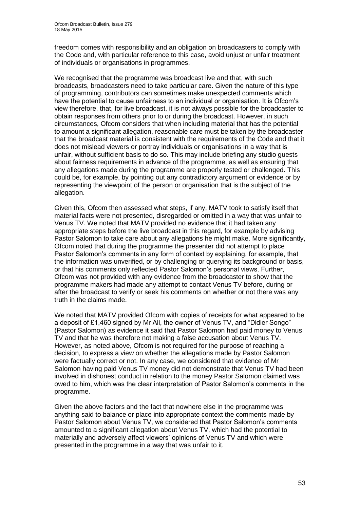freedom comes with responsibility and an obligation on broadcasters to comply with the Code and, with particular reference to this case, avoid unjust or unfair treatment of individuals or organisations in programmes.

We recognised that the programme was broadcast live and that, with such broadcasts, broadcasters need to take particular care. Given the nature of this type of programming, contributors can sometimes make unexpected comments which have the potential to cause unfairness to an individual or organisation. It is Ofcom's view therefore, that, for live broadcast, it is not always possible for the broadcaster to obtain responses from others prior to or during the broadcast. However, in such circumstances, Ofcom considers that when including material that has the potential to amount a significant allegation, reasonable care must be taken by the broadcaster that the broadcast material is consistent with the requirements of the Code and that it does not mislead viewers or portray individuals or organisations in a way that is unfair, without sufficient basis to do so. This may include briefing any studio guests about fairness requirements in advance of the programme, as well as ensuring that any allegations made during the programme are properly tested or challenged. This could be, for example, by pointing out any contradictory argument or evidence or by representing the viewpoint of the person or organisation that is the subject of the allegation.

Given this, Ofcom then assessed what steps, if any, MATV took to satisfy itself that material facts were not presented, disregarded or omitted in a way that was unfair to Venus TV. We noted that MATV provided no evidence that it had taken any appropriate steps before the live broadcast in this regard, for example by advising Pastor Salomon to take care about any allegations he might make. More significantly, Ofcom noted that during the programme the presenter did not attempt to place Pastor Salomon's comments in any form of context by explaining, for example, that the information was unverified, or by challenging or querying its background or basis, or that his comments only reflected Pastor Salomon's personal views. Further, Ofcom was not provided with any evidence from the broadcaster to show that the programme makers had made any attempt to contact Venus TV before, during or after the broadcast to verify or seek his comments on whether or not there was any truth in the claims made.

We noted that MATV provided Ofcom with copies of receipts for what appeared to be a deposit of £1,460 signed by Mr Ali, the owner of Venus TV, and "Didier Songo" (Pastor Salomon) as evidence it said that Pastor Salomon had paid money to Venus TV and that he was therefore not making a false accusation about Venus TV. However, as noted above, Ofcom is not required for the purpose of reaching a decision, to express a view on whether the allegations made by Pastor Salomon were factually correct or not. In any case, we considered that evidence of Mr Salomon having paid Venus TV money did not demonstrate that Venus TV had been involved in dishonest conduct in relation to the money Pastor Salomon claimed was owed to him, which was the clear interpretation of Pastor Salomon's comments in the programme.

Given the above factors and the fact that nowhere else in the programme was anything said to balance or place into appropriate context the comments made by Pastor Salomon about Venus TV, we considered that Pastor Salomon's comments amounted to a significant allegation about Venus TV, which had the potential to materially and adversely affect viewers' opinions of Venus TV and which were presented in the programme in a way that was unfair to it.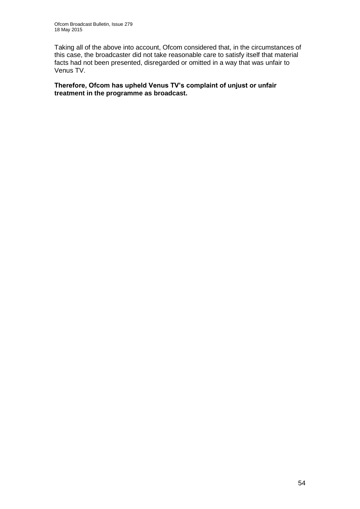Taking all of the above into account, Ofcom considered that, in the circumstances of this case, the broadcaster did not take reasonable care to satisfy itself that material facts had not been presented, disregarded or omitted in a way that was unfair to Venus TV.

**Therefore, Ofcom has upheld Venus TV's complaint of unjust or unfair treatment in the programme as broadcast.**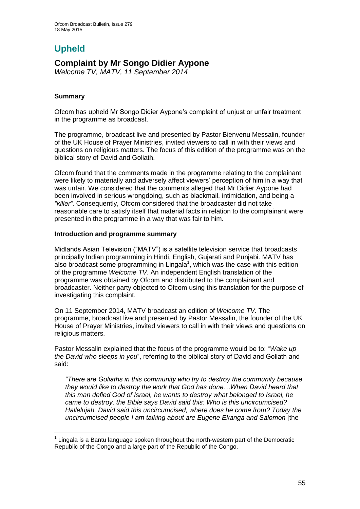# **Upheld**

## **Complaint by Mr Songo Didier Aypone**

*Welcome TV, MATV, 11 September 2014*

### **Summary**

1

Ofcom has upheld Mr Songo Didier Aypone's complaint of unjust or unfair treatment in the programme as broadcast.

The programme, broadcast live and presented by Pastor Bienvenu Messalin, founder of the UK House of Prayer Ministries, invited viewers to call in with their views and questions on religious matters. The focus of this edition of the programme was on the biblical story of David and Goliath.

Ofcom found that the comments made in the programme relating to the complainant were likely to materially and adversely affect viewers' perception of him in a way that was unfair. We considered that the comments alleged that Mr Didier Aypone had been involved in serious wrongdoing, such as blackmail, intimidation, and being a *"killer"*. Consequently, Ofcom considered that the broadcaster did not take reasonable care to satisfy itself that material facts in relation to the complainant were presented in the programme in a way that was fair to him.

### **Introduction and programme summary**

Midlands Asian Television ("MATV") is a satellite television service that broadcasts principally Indian programming in Hindi, English, Gujarati and Punjabi. MATV has also broadcast some programming in Lingala<sup>1</sup>, which was the case with this edition of the programme *Welcome TV*. An independent English translation of the programme was obtained by Ofcom and distributed to the complainant and broadcaster. Neither party objected to Ofcom using this translation for the purpose of investigating this complaint.

On 11 September 2014, MATV broadcast an edition of *Welcome TV.* The programme, broadcast live and presented by Pastor Messalin, the founder of the UK House of Prayer Ministries, invited viewers to call in with their views and questions on religious matters.

Pastor Messalin explained that the focus of the programme would be to: "*Wake up the David who sleeps in you*", referring to the biblical story of David and Goliath and said:

*"There are Goliaths in this community who try to destroy the community because they would like to destroy the work that God has done…When David heard that this man defied God of Israel, he wants to destroy what belonged to Israel, he came to destroy, the Bible says David said this: Who is this uncircumcised? Hallelujah. David said this uncircumcised, where does he come from? Today the uncircumcised people I am talking about are Eugene Ekanga and Salomon* [the

 $1$  Lingala is a Bantu language spoken throughout the north-western part of the Democratic Republic of the Congo and a large part of the Republic of the Congo.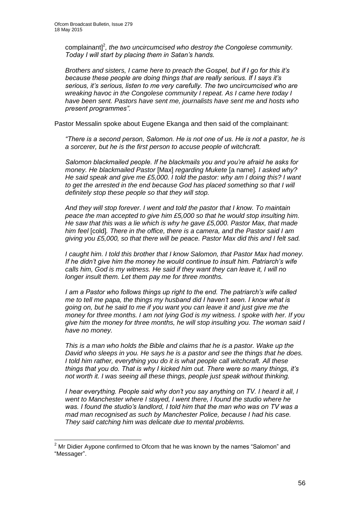complainant]<sup>2</sup>, the two uncircumcised who destroy the Congolese community. *Today I will start by placing them in Satan's hands.*

*Brothers and sisters, I came here to preach the Gospel, but if I go for this it's because these people are doing things that are really serious. If I says it's serious, it's serious, listen to me very carefully. The two uncircumcised who are wreaking havoc in the Congolese community I repeat. As I came here today I have been sent. Pastors have sent me, journalists have sent me and hosts who present programmes".* 

Pastor Messalin spoke about Eugene Ekanga and then said of the complainant:

*"There is a second person, Salomon. He is not one of us. He is not a pastor, he is a sorcerer, but he is the first person to accuse people of witchcraft.*

*Salomon blackmailed people. If he blackmails you and you're afraid he asks for money. He blackmailed Pastor* [Max] *regarding Mukete* [a name]*. I asked why? He said speak and give me £5,000. I told the pastor: why am I doing this? I want to get the arrested in the end because God has placed something so that I will definitely stop these people so that they will stop.*

*And they will stop forever. I went and told the pastor that I know. To maintain peace the man accepted to give him £5,000 so that he would stop insulting him. He saw that this was a lie which is why he gave £5,000. Pastor Max, that made him feel* [cold]*. There in the office, there is a camera, and the Pastor said I am giving you £5,000, so that there will be peace. Pastor Max did this and I felt sad.*

*I caught him. I told this brother that I know Salomon, that Pastor Max had money. If he didn't give him the money he would continue to insult him. Patriarch's wife calls him, God is my witness. He said if they want they can leave it, I will no longer insult them. Let them pay me for three months.*

*I am a Pastor who follows things up right to the end. The patriarch's wife called me to tell me papa, the things my husband did I haven't seen. I know what is going on, but he said to me if you want you can leave it and just give me the money for three months. I am not lying God is my witness. I spoke with her. If you give him the money for three months, he will stop insulting you. The woman said I have no money.*

*This is a man who holds the Bible and claims that he is a pastor. Wake up the David who sleeps in you. He says he is a pastor and see the things that he does. I told him rather, everything you do it is what people call witchcraft. All these things that you do. That is why I kicked him out. There were so many things, it's not worth it. I was seeing all these things, people just speak without thinking.* 

*I hear everything. People said why don't you say anything on TV. I heard it all, I went to Manchester where I stayed, I went there, I found the studio where he was. I found the studio's landlord, I told him that the man who was on TV was a mad man recognised as such by Manchester Police, because I had his case. They said catching him was delicate due to mental problems.*

1

 $2<sup>2</sup>$  Mr Didier Aypone confirmed to Ofcom that he was known by the names "Salomon" and "Messager".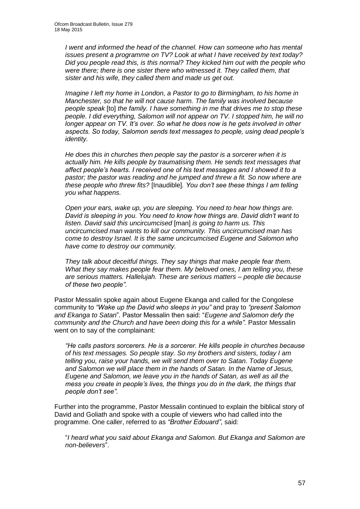*I* went and informed the head of the channel. How can someone who has mental *issues present a programme on TV? Look at what I have received by text today? Did you people read this, is this normal? They kicked him out with the people who were there; there is one sister there who witnessed it. They called them, that sister and his wife, they called them and made us get out.* 

*Imagine I left my home in London, a Pastor to go to Birmingham, to his home in Manchester, so that he will not cause harm. The family was involved because people speak* [to] *the family. I have something in me that drives me to stop these people. I did everything, Salomon will not appear on TV. I stopped him, he will no longer appear on TV. It's over. So what he does now is he gets involved in other aspects. So today, Salomon sends text messages to people, using dead people's identity.* 

*He does this in churches then people say the pastor is a sorcerer when it is actually him. He kills people by traumatising them. He sends text messages that affect people's hearts. I received one of his text messages and I showed it to a pastor; the pastor was reading and he jumped and threw a fit. So now where are these people who threw fits?* [Inaudible]*. You don't see these things I am telling you what happens.* 

*Open your ears, wake up, you are sleeping. You need to hear how things are. David is sleeping in you. You need to know how things are. David didn't want to listen. David said this uncircumcised* [man] *is going to harm us. This uncircumcised man wants to kill our community. This uncircumcised man has come to destroy Israel. It is the same uncircumcised Eugene and Salomon who have come to destroy our community.*

*They talk about deceitful things. They say things that make people fear them. What they say makes people fear them. My beloved ones, I am telling you, these are serious matters. Hallelujah. These are serious matters – people die because of these two people".* 

Pastor Messalin spoke again about Eugene Ekanga and called for the Congolese community to *"Wake up the David who sleeps in you"* and pray to *"present Salomon and Ekanga to Satan*"*.* Pastor Messalin then said: "*Eugene and Salomon defy the community and the Church and have been doing this for a while".* Pastor Messalin went on to say of the complainant:

*"He calls pastors sorcerers. He is a sorcerer. He kills people in churches because of his text messages. So people stay. So my brothers and sisters, today I am telling you, raise your hands, we will send them over to Satan. Today Eugene and Salomon we will place them in the hands of Satan. In the Name of Jesus, Eugene and Salomon, we leave you in the hands of Satan, as well as all the mess you create in people's lives, the things you do in the dark, the things that people don't see".*

Further into the programme, Pastor Messalin continued to explain the biblical story of David and Goliath and spoke with a couple of viewers who had called into the programme. One caller, referred to as *"Brother Edouard"*, said:

"*I heard what you said about Ekanga and Salomon. But Ekanga and Salomon are non-believers*".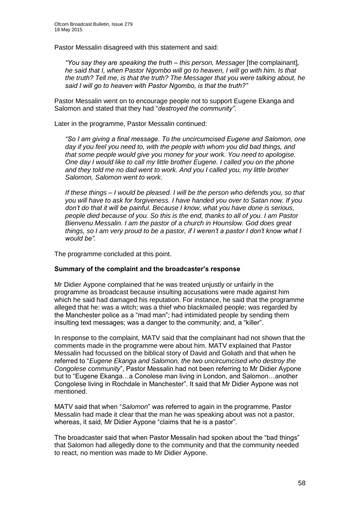Pastor Messalin disagreed with this statement and said:

*"You say they are speaking the truth – this person, Messager* [the complainant]*, he said that I, when Pastor Ngombo will go to heaven, I will go with him. Is that the truth? Tell me, is that the truth? The Messager that you were talking about, he said I will go to heaven with Pastor Ngombo, is that the truth?"*

Pastor Messalin went on to encourage people not to support Eugene Ekanga and Salomon and stated that they had "*destroyed the community"*.

Later in the programme, Pastor Messalin continued:

*"So I am giving a final message. To the uncircumcised Eugene and Salomon, one day if you feel you need to, with the people with whom you did bad things, and that some people would give you money for your work. You need to apologise. One day I would like to call my little brother Eugene. I called you on the phone and they told me no dad went to work. And you I called you, my little brother Salomon, Salomon went to work.*

*If these things – I would be pleased. I will be the person who defends you, so that you will have to ask for forgiveness. I have handed you over to Satan now. If you don't do that it will be painful. Because I know, what you have done is serious, people died because of you. So this is the end, thanks to all of you. I am Pastor Bienvenu Messalin. I am the pastor of a church in Hounslow. God does great things, so I am very proud to be a pastor, if I weren't a pastor I don't know what I would be".*

The programme concluded at this point.

### **Summary of the complaint and the broadcaster's response**

Mr Didier Aypone complained that he was treated unjustly or unfairly in the programme as broadcast because insulting accusations were made against him which he said had damaged his reputation. For instance, he said that the programme alleged that he: was a witch; was a thief who blackmailed people; was regarded by the Manchester police as a "mad man"; had intimidated people by sending them insulting text messages; was a danger to the community; and, a "killer".

In response to the complaint, MATV said that the complainant had not shown that the comments made in the programme were about him. MATV explained that Pastor Messalin had focussed on the biblical story of David and Goliath and that when he referred to "*Eugene Ekanga and Salomon, the two uncircumcised who destroy the Congolese community*", Pastor Messalin had not been referring to Mr Didier Aypone but to "Eugene Ekanga…a Conolese man living in London, and Salomon…another Congolese living in Rochdale in Manchester". It said that Mr Didier Aypone was not mentioned.

MATV said that when "*Salomon*" was referred to again in the programme, Pastor Messalin had made it clear that the man he was speaking about was not a pastor, whereas, it said, Mr Didier Aypone "claims that he is a pastor".

The broadcaster said that when Pastor Messalin had spoken about the "bad things" that Salomon had allegedly done to the community and that the community needed to react, no mention was made to Mr Didier Aypone.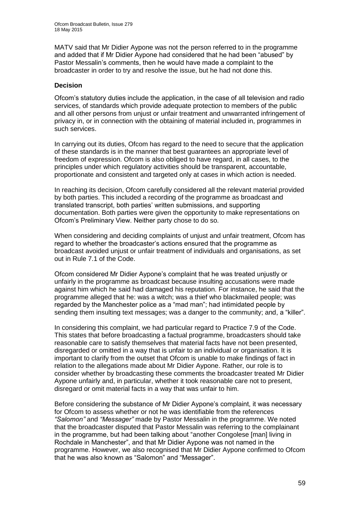MATV said that Mr Didier Aypone was not the person referred to in the programme and added that if Mr Didier Aypone had considered that he had been "abused" by Pastor Messalin's comments, then he would have made a complaint to the broadcaster in order to try and resolve the issue, but he had not done this.

### **Decision**

Ofcom's statutory duties include the application, in the case of all television and radio services, of standards which provide adequate protection to members of the public and all other persons from unjust or unfair treatment and unwarranted infringement of privacy in, or in connection with the obtaining of material included in, programmes in such services.

In carrying out its duties, Ofcom has regard to the need to secure that the application of these standards is in the manner that best guarantees an appropriate level of freedom of expression. Ofcom is also obliged to have regard, in all cases, to the principles under which regulatory activities should be transparent, accountable, proportionate and consistent and targeted only at cases in which action is needed.

In reaching its decision, Ofcom carefully considered all the relevant material provided by both parties. This included a recording of the programme as broadcast and translated transcript, both parties' written submissions, and supporting documentation. Both parties were given the opportunity to make representations on Ofcom's Preliminary View. Neither party chose to do so.

When considering and deciding complaints of unjust and unfair treatment. Ofcom has regard to whether the broadcaster's actions ensured that the programme as broadcast avoided unjust or unfair treatment of individuals and organisations, as set out in Rule 7.1 of the Code.

Ofcom considered Mr Didier Aypone's complaint that he was treated unjustly or unfairly in the programme as broadcast because insulting accusations were made against him which he said had damaged his reputation. For instance, he said that the programme alleged that he: was a witch; was a thief who blackmailed people; was regarded by the Manchester police as a "mad man"; had intimidated people by sending them insulting text messages; was a danger to the community; and, a "killer".

In considering this complaint, we had particular regard to Practice 7.9 of the Code. This states that before broadcasting a factual programme, broadcasters should take reasonable care to satisfy themselves that material facts have not been presented, disregarded or omitted in a way that is unfair to an individual or organisation. It is important to clarify from the outset that Ofcom is unable to make findings of fact in relation to the allegations made about Mr Didier Aypone. Rather, our role is to consider whether by broadcasting these comments the broadcaster treated Mr Didier Aypone unfairly and, in particular, whether it took reasonable care not to present, disregard or omit material facts in a way that was unfair to him.

Before considering the substance of Mr Didier Aypone's complaint, it was necessary for Ofcom to assess whether or not he was identifiable from the references *"Salomon"* and *"Messager"* made by Pastor Messalin in the programme. We noted that the broadcaster disputed that Pastor Messalin was referring to the complainant in the programme, but had been talking about "another Congolese [man] living in Rochdale in Manchester", and that Mr Didier Aypone was not named in the programme. However, we also recognised that Mr Didier Aypone confirmed to Ofcom that he was also known as "Salomon" and "Messager".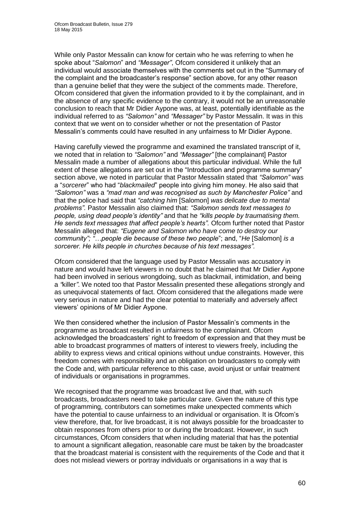While only Pastor Messalin can know for certain who he was referring to when he spoke about "*Salomon*" and *"Messager"*, Ofcom considered it unlikely that an individual would associate themselves with the comments set out in the "Summary of the complaint and the broadcaster's response" section above, for any other reason than a genuine belief that they were the subject of the comments made. Therefore, Ofcom considered that given the information provided to it by the complainant, and in the absence of any specific evidence to the contrary, it would not be an unreasonable conclusion to reach that Mr Didier Aypone was, at least, potentially identifiable as the individual referred to as *"Salomon"* and *"Messager"* by Pastor Messalin. It was in this context that we went on to consider whether or not the presentation of Pastor Messalin's comments could have resulted in any unfairness to Mr Didier Aypone.

Having carefully viewed the programme and examined the translated transcript of it, we noted that in relation to *"Salomon"* and *"Messager"* [the complainant] Pastor Messalin made a number of allegations about this particular individual. While the full extent of these allegations are set out in the "Introduction and programme summary" section above, we noted in particular that Pastor Messalin stated that *"Salomon"* was a "*sorcerer*" who had "*blackmailed*" people into giving him money. He also said that *"Salomon"* was a *"mad man and was recognised as such by Manchester Police"* and that the police had said that *"catching him* [Salomon] *was delicate due to mental problems".* Pastor Messalin also claimed that: *"Salomon sends text messages to people, using dead people's identity"* and that he *"kills people by traumatising them. He sends text messages that affect people's hearts".* Ofcom further noted that Pastor Messalin alleged that: *"Eugene and Salomon who have come to destroy our community"; "…people die because of these two people*"; and, "*He* [Salomon] *is a sorcerer. He kills people in churches because of his text messages".* 

Ofcom considered that the language used by Pastor Messalin was accusatory in nature and would have left viewers in no doubt that he claimed that Mr Didier Aypone had been involved in serious wrongdoing, such as blackmail, intimidation, and being a *"*killer*"*. We noted too that Pastor Messalin presented these allegations strongly and as unequivocal statements of fact. Ofcom considered that the allegations made were very serious in nature and had the clear potential to materially and adversely affect viewers' opinions of Mr Didier Aypone.

We then considered whether the inclusion of Pastor Messalin's comments in the programme as broadcast resulted in unfairness to the complainant. Ofcom acknowledged the broadcasters' right to freedom of expression and that they must be able to broadcast programmes of matters of interest to viewers freely, including the ability to express views and critical opinions without undue constraints. However, this freedom comes with responsibility and an obligation on broadcasters to comply with the Code and, with particular reference to this case, avoid unjust or unfair treatment of individuals or organisations in programmes.

We recognised that the programme was broadcast live and that, with such broadcasts, broadcasters need to take particular care. Given the nature of this type of programming, contributors can sometimes make unexpected comments which have the potential to cause unfairness to an individual or organisation. It is Ofcom's view therefore, that, for live broadcast, it is not always possible for the broadcaster to obtain responses from others prior to or during the broadcast. However, in such circumstances, Ofcom considers that when including material that has the potential to amount a significant allegation, reasonable care must be taken by the broadcaster that the broadcast material is consistent with the requirements of the Code and that it does not mislead viewers or portray individuals or organisations in a way that is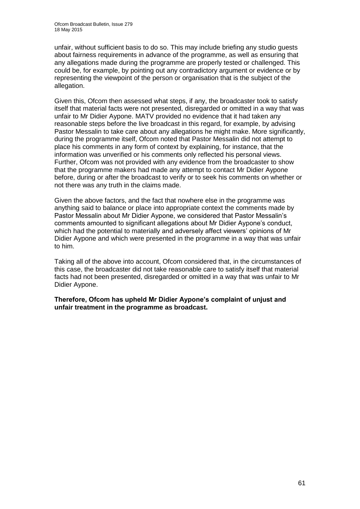unfair, without sufficient basis to do so. This may include briefing any studio guests about fairness requirements in advance of the programme, as well as ensuring that any allegations made during the programme are properly tested or challenged. This could be, for example, by pointing out any contradictory argument or evidence or by representing the viewpoint of the person or organisation that is the subject of the allegation.

Given this, Ofcom then assessed what steps, if any, the broadcaster took to satisfy itself that material facts were not presented, disregarded or omitted in a way that was unfair to Mr Didier Aypone. MATV provided no evidence that it had taken any reasonable steps before the live broadcast in this regard, for example, by advising Pastor Messalin to take care about any allegations he might make. More significantly, during the programme itself, Ofcom noted that Pastor Messalin did not attempt to place his comments in any form of context by explaining, for instance, that the information was unverified or his comments only reflected his personal views. Further, Ofcom was not provided with any evidence from the broadcaster to show that the programme makers had made any attempt to contact Mr Didier Aypone before, during or after the broadcast to verify or to seek his comments on whether or not there was any truth in the claims made.

Given the above factors, and the fact that nowhere else in the programme was anything said to balance or place into appropriate context the comments made by Pastor Messalin about Mr Didier Aypone, we considered that Pastor Messalin's comments amounted to significant allegations about Mr Didier Aypone's conduct, which had the potential to materially and adversely affect viewers' opinions of Mr Didier Aypone and which were presented in the programme in a way that was unfair to him.

Taking all of the above into account, Ofcom considered that, in the circumstances of this case, the broadcaster did not take reasonable care to satisfy itself that material facts had not been presented, disregarded or omitted in a way that was unfair to Mr Didier Aypone.

**Therefore, Ofcom has upheld Mr Didier Aypone's complaint of unjust and unfair treatment in the programme as broadcast.**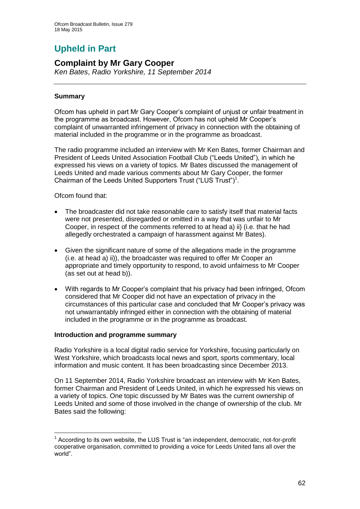# **Upheld in Part**

### **Complaint by Mr Gary Cooper**

*Ken Bates*, *Radio Yorkshire, 11 September 2014*

### **Summary**

Ofcom has upheld in part Mr Gary Cooper's complaint of unjust or unfair treatment in the programme as broadcast. However, Ofcom has not upheld Mr Cooper's complaint of unwarranted infringement of privacy in connection with the obtaining of material included in the programme or in the programme as broadcast.

The radio programme included an interview with Mr Ken Bates, former Chairman and President of Leeds United Association Football Club ("Leeds United"), in which he expressed his views on a variety of topics. Mr Bates discussed the management of Leeds United and made various comments about Mr Gary Cooper, the former Chairman of the Leeds United Supporters Trust ("LUS Trust")<sup>1</sup>.

Ofcom found that:

- The broadcaster did not take reasonable care to satisfy itself that material facts were not presented, disregarded or omitted in a way that was unfair to Mr Cooper, in respect of the comments referred to at head a) ii) (i.e. that he had allegedly orchestrated a campaign of harassment against Mr Bates).
- Given the significant nature of some of the allegations made in the programme (i.e. at head a) ii)), the broadcaster was required to offer Mr Cooper an appropriate and timely opportunity to respond, to avoid unfairness to Mr Cooper (as set out at head b)).
- With regards to Mr Cooper's complaint that his privacy had been infringed, Ofcom considered that Mr Cooper did not have an expectation of privacy in the circumstances of this particular case and concluded that Mr Cooper's privacy was not unwarrantably infringed either in connection with the obtaining of material included in the programme or in the programme as broadcast.

### **Introduction and programme summary**

Radio Yorkshire is a local digital radio service for Yorkshire, focusing particularly on West Yorkshire, which broadcasts local news and sport, sports commentary, local information and music content. It has been broadcasting since December 2013.

On 11 September 2014, Radio Yorkshire broadcast an interview with Mr Ken Bates, former Chairman and President of Leeds United, in which he expressed his views on a variety of topics. One topic discussed by Mr Bates was the current ownership of Leeds United and some of those involved in the change of ownership of the club. Mr Bates said the following:

<sup>1</sup>  $1$  According to its own website, the LUS Trust is "an independent, democratic, not-for-profit cooperative organisation, committed to providing a voice for Leeds United fans all over the world".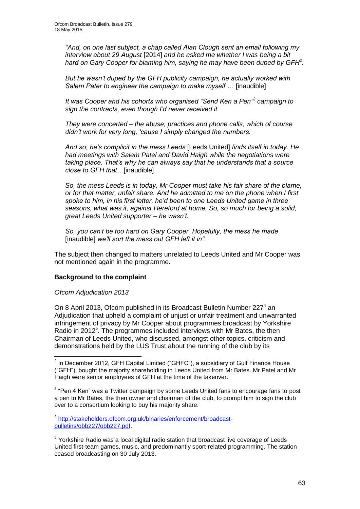*"And, on one last subject, a chap called Alan Clough sent an email following my interview about 29 August* [2014] *and he asked me whether I was being a bit hard on Gary Cooper for blaming him, saying he may have been duped by GFH<sup>2</sup> .*

*But he wasn't duped by the GFH publicity campaign, he actually worked with Salem Pater to engineer the campaign to make myself …* [inaudible]

*It was Cooper and his cohorts who organised "Send Ken a Pen"<sup>3</sup> campaign to sign the contracts, even though I'd never received it.*

*They were concerted – the abuse, practices and phone calls, which of course didn't work for very long, 'cause I simply changed the numbers.*

*And so, he's complicit in the mess Leeds* [Leeds United] *finds itself in today. He had meetings with Salem Patel and David Haigh while the negotiations were taking place. That's why he can always say that he understands that a source close to GFH that…*[inaudible]

*So, the mess Leeds is in today, Mr Cooper must take his fair share of the blame, or for that matter, unfair share. And he admitted to me on the phone when I first spoke to him, in his first letter, he'd been to one Leeds United game in three seasons, what was it, against Hereford at home. So, so much for being a solid, great Leeds United supporter – he wasn't.* 

*So, you can't be too hard on Gary Cooper. Hopefully, the mess he made*  [inaudible] *we'll sort the mess out GFH left it in".*

The subject then changed to matters unrelated to Leeds United and Mr Cooper was not mentioned again in the programme.

### **Background to the complaint**

*Ofcom Adjudication 2013*

On 8 April 2013, Ofcom published in its Broadcast Bulletin Number 227<sup>4</sup> an Adjudication that upheld a complaint of unjust or unfair treatment and unwarranted infringement of privacy by Mr Cooper about programmes broadcast by Yorkshire Radio in 2012<sup>5</sup>. The programmes included interviews with Mr Bates, the then Chairman of Leeds United, who discussed, amongst other topics, criticism and demonstrations held by the LUS Trust about the running of the club by its

 $3$  "Pen 4 Ken" was a Twitter campaign by some Leeds United fans to encourage fans to post a pen to Mr Bates, the then owner and chairman of the club, to prompt him to sign the club over to a consortium looking to buy his majority share.

4 [http://stakeholders.ofcom.org.uk/binaries/enforcement/broadcast](http://stakeholders.ofcom.org.uk/binaries/enforcement/broadcast-bulletins/obb227/obb227.pdf)[bulletins/obb227/obb227.pdf.](http://stakeholders.ofcom.org.uk/binaries/enforcement/broadcast-bulletins/obb227/obb227.pdf)

<sup>5</sup> Yorkshire Radio was a local digital radio station that broadcast live coverage of Leeds United first-team games, music, and predominantly sport-related programming. The station ceased broadcasting on 30 July 2013.

 2 In December 2012, GFH Capital Limited ("GHFC"), a subsidiary of Gulf Finance House ("GFH"), bought the majority shareholding in Leeds United from Mr Bates. Mr Patel and Mr Haigh were senior employees of GFH at the time of the takeover.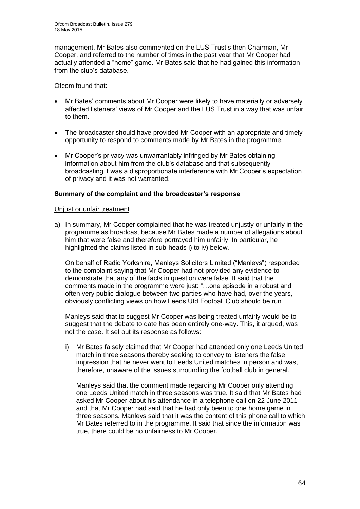management. Mr Bates also commented on the LUS Trust's then Chairman, Mr Cooper, and referred to the number of times in the past year that Mr Cooper had actually attended a "home" game. Mr Bates said that he had gained this information from the club's database.

Ofcom found that:

- Mr Bates' comments about Mr Cooper were likely to have materially or adversely affected listeners' views of Mr Cooper and the LUS Trust in a way that was unfair to them.
- The broadcaster should have provided Mr Cooper with an appropriate and timely opportunity to respond to comments made by Mr Bates in the programme.
- Mr Cooper's privacy was unwarrantably infringed by Mr Bates obtaining information about him from the club's database and that subsequently broadcasting it was a disproportionate interference with Mr Cooper's expectation of privacy and it was not warranted.

### **Summary of the complaint and the broadcaster's response**

### Unjust or unfair treatment

a) In summary, Mr Cooper complained that he was treated unjustly or unfairly in the programme as broadcast because Mr Bates made a number of allegations about him that were false and therefore portrayed him unfairly. In particular, he highlighted the claims listed in sub-heads i) to iv) below.

On behalf of Radio Yorkshire, Manleys Solicitors Limited ("Manleys") responded to the complaint saying that Mr Cooper had not provided any evidence to demonstrate that any of the facts in question were false. It said that the comments made in the programme were just: "…one episode in a robust and often very public dialogue between two parties who have had, over the years, obviously conflicting views on how Leeds Utd Football Club should be run".

Manleys said that to suggest Mr Cooper was being treated unfairly would be to suggest that the debate to date has been entirely one-way. This, it argued, was not the case. It set out its response as follows:

i) Mr Bates falsely claimed that Mr Cooper had attended only one Leeds United match in three seasons thereby seeking to convey to listeners the false impression that he never went to Leeds United matches in person and was, therefore, unaware of the issues surrounding the football club in general.

Manleys said that the comment made regarding Mr Cooper only attending one Leeds United match in three seasons was true. It said that Mr Bates had asked Mr Cooper about his attendance in a telephone call on 22 June 2011 and that Mr Cooper had said that he had only been to one home game in three seasons. Manleys said that it was the content of this phone call to which Mr Bates referred to in the programme. It said that since the information was true, there could be no unfairness to Mr Cooper.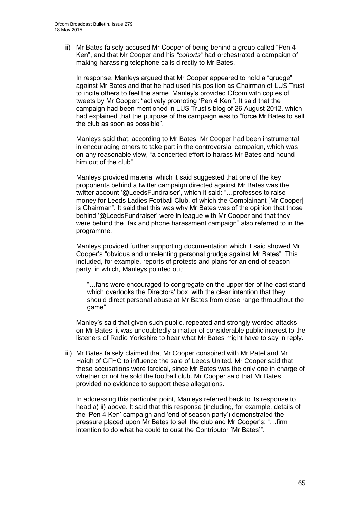ii) Mr Bates falsely accused Mr Cooper of being behind a group called "Pen 4 Ken", and that Mr Cooper and his *"cohorts"* had orchestrated a campaign of making harassing telephone calls directly to Mr Bates.

In response, Manleys argued that Mr Cooper appeared to hold a "grudge" against Mr Bates and that he had used his position as Chairman of LUS Trust to incite others to feel the same. Manley's provided Ofcom with copies of tweets by Mr Cooper: "actively promoting 'Pen 4 Ken'". It said that the campaign had been mentioned in LUS Trust's blog of 26 August 2012, which had explained that the purpose of the campaign was to "force Mr Bates to sell the club as soon as possible".

Manleys said that, according to Mr Bates, Mr Cooper had been instrumental in encouraging others to take part in the controversial campaign, which was on any reasonable view, "a concerted effort to harass Mr Bates and hound him out of the club".

Manleys provided material which it said suggested that one of the key proponents behind a twitter campaign directed against Mr Bates was the twitter account '@LeedsFundraiser', which it said: "…professes to raise money for Leeds Ladies Football Club, of which the Complainant [Mr Cooper] is Chairman". It said that this was why Mr Bates was of the opinion that those behind '@LeedsFundraiser' were in league with Mr Cooper and that they were behind the "fax and phone harassment campaign" also referred to in the programme.

Manleys provided further supporting documentation which it said showed Mr Cooper's "obvious and unrelenting personal grudge against Mr Bates". This included, for example, reports of protests and plans for an end of season party, in which, Manleys pointed out:

"…fans were encouraged to congregate on the upper tier of the east stand which overlooks the Directors' box, with the clear intention that they should direct personal abuse at Mr Bates from close range throughout the game".

Manley's said that given such public, repeated and strongly worded attacks on Mr Bates, it was undoubtedly a matter of considerable public interest to the listeners of Radio Yorkshire to hear what Mr Bates might have to say in reply.

iii) Mr Bates falsely claimed that Mr Cooper conspired with Mr Patel and Mr Haigh of GFHC to influence the sale of Leeds United. Mr Cooper said that these accusations were farcical, since Mr Bates was the only one in charge of whether or not he sold the football club. Mr Cooper said that Mr Bates provided no evidence to support these allegations.

In addressing this particular point, Manleys referred back to its response to head a) ii) above. It said that this response (including, for example, details of the 'Pen 4 Ken' campaign and 'end of season party') demonstrated the pressure placed upon Mr Bates to sell the club and Mr Cooper's: "…firm intention to do what he could to oust the Contributor [Mr Bates]".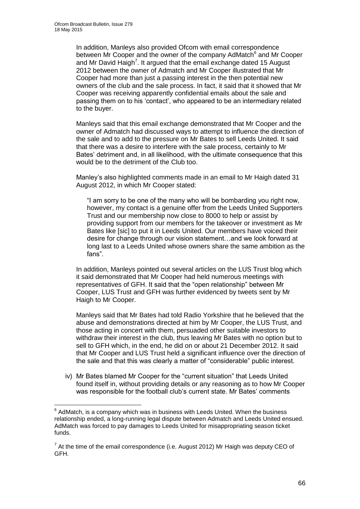In addition, Manleys also provided Ofcom with email correspondence between Mr Cooper and the owner of the company AdMatch<sup>6</sup> and Mr Cooper and Mr David Haigh<sup>7</sup>. It argued that the email exchange dated 15 August 2012 between the owner of Admatch and Mr Cooper illustrated that Mr Cooper had more than just a passing interest in the then potential new owners of the club and the sale process. In fact, it said that it showed that Mr Cooper was receiving apparently confidential emails about the sale and passing them on to his 'contact', who appeared to be an intermediary related to the buyer.

Manleys said that this email exchange demonstrated that Mr Cooper and the owner of Admatch had discussed ways to attempt to influence the direction of the sale and to add to the pressure on Mr Bates to sell Leeds United. It said that there was a desire to interfere with the sale process, certainly to Mr Bates' detriment and, in all likelihood, with the ultimate consequence that this would be to the detriment of the Club too.

Manley's also highlighted comments made in an email to Mr Haigh dated 31 August 2012, in which Mr Cooper stated:

"I am sorry to be one of the many who will be bombarding you right now, however, my contact is a genuine offer from the Leeds United Supporters Trust and our membership now close to 8000 to help or assist by providing support from our members for the takeover or investment as Mr Bates like [sic] to put it in Leeds United. Our members have voiced their desire for change through our vision statement…and we look forward at long last to a Leeds United whose owners share the same ambition as the fans".

In addition, Manleys pointed out several articles on the LUS Trust blog which it said demonstrated that Mr Cooper had held numerous meetings with representatives of GFH. It said that the "open relationship" between Mr Cooper, LUS Trust and GFH was further evidenced by tweets sent by Mr Haigh to Mr Cooper.

Manleys said that Mr Bates had told Radio Yorkshire that he believed that the abuse and demonstrations directed at him by Mr Cooper, the LUS Trust, and those acting in concert with them, persuaded other suitable investors to withdraw their interest in the club, thus leaving Mr Bates with no option but to sell to GFH which, in the end, he did on or about 21 December 2012. It said that Mr Cooper and LUS Trust held a significant influence over the direction of the sale and that this was clearly a matter of "considerable" public interest.

iv) Mr Bates blamed Mr Cooper for the "current situation" that Leeds United found itself in, without providing details or any reasoning as to how Mr Cooper was responsible for the football club's current state. Mr Bates' comments

 6 AdMatch, is a company which was in business with Leeds United. When the business relationship ended, a long-running legal dispute between Admatch and Leeds United ensued. AdMatch was forced to pay damages to Leeds United for misappropriating season ticket funds.

 $<sup>7</sup>$  At the time of the email correspondence (i.e. August 2012) Mr Haigh was deputy CEO of</sup> GFH.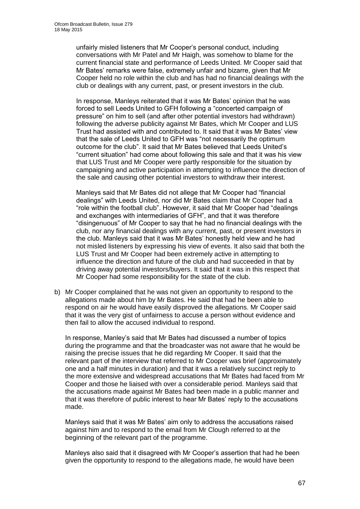unfairly misled listeners that Mr Cooper's personal conduct, including conversations with Mr Patel and Mr Haigh, was somehow to blame for the current financial state and performance of Leeds United. Mr Cooper said that Mr Bates' remarks were false, extremely unfair and bizarre, given that Mr Cooper held no role within the club and has had no financial dealings with the club or dealings with any current, past, or present investors in the club.

In response, Manleys reiterated that it was Mr Bates' opinion that he was forced to sell Leeds United to GFH following a "concerted campaign of pressure" on him to sell (and after other potential investors had withdrawn) following the adverse publicity against Mr Bates, which Mr Cooper and LUS Trust had assisted with and contributed to. It said that it was Mr Bates' view that the sale of Leeds United to GFH was "not necessarily the optimum outcome for the club". It said that Mr Bates believed that Leeds United's "current situation" had come about following this sale and that it was his view that LUS Trust and Mr Cooper were partly responsible for the situation by campaigning and active participation in attempting to influence the direction of the sale and causing other potential investors to withdraw their interest.

Manleys said that Mr Bates did not allege that Mr Cooper had "financial dealings" with Leeds United, nor did Mr Bates claim that Mr Cooper had a "role within the football club". However, it said that Mr Cooper had "dealings and exchanges with intermediaries of GFH", and that it was therefore "disingenuous" of Mr Cooper to say that he had no financial dealings with the club, nor any financial dealings with any current, past, or present investors in the club. Manleys said that it was Mr Bates' honestly held view and he had not misled listeners by expressing his view of events. It also said that both the LUS Trust and Mr Cooper had been extremely active in attempting to influence the direction and future of the club and had succeeded in that by driving away potential investors/buyers. It said that it was in this respect that Mr Cooper had some responsibility for the state of the club.

b) Mr Cooper complained that he was not given an opportunity to respond to the allegations made about him by Mr Bates. He said that had he been able to respond on air he would have easily disproved the allegations. Mr Cooper said that it was the very gist of unfairness to accuse a person without evidence and then fail to allow the accused individual to respond.

In response, Manley's said that Mr Bates had discussed a number of topics during the programme and that the broadcaster was not aware that he would be raising the precise issues that he did regarding Mr Cooper. It said that the relevant part of the interview that referred to Mr Cooper was brief (approximately one and a half minutes in duration) and that it was a relatively succinct reply to the more extensive and widespread accusations that Mr Bates had faced from Mr Cooper and those he liaised with over a considerable period. Manleys said that the accusations made against Mr Bates had been made in a public manner and that it was therefore of public interest to hear Mr Bates' reply to the accusations made.

Manleys said that it was Mr Bates' aim only to address the accusations raised against him and to respond to the email from Mr Clough referred to at the beginning of the relevant part of the programme.

Manleys also said that it disagreed with Mr Cooper's assertion that had he been given the opportunity to respond to the allegations made, he would have been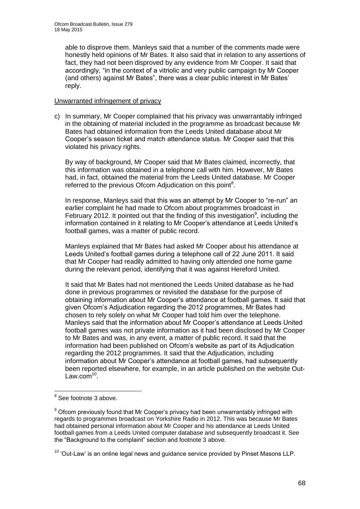able to disprove them. Manleys said that a number of the comments made were honestly held opinions of Mr Bates. It also said that in relation to any assertions of fact, they had not been disproved by any evidence from Mr Cooper. It said that accordingly, "in the context of a vitriolic and very public campaign by Mr Cooper (and others) against Mr Bates", there was a clear public interest in Mr Bates' reply.

### Unwarranted infringement of privacy

c) In summary, Mr Cooper complained that his privacy was unwarrantably infringed in the obtaining of material included in the programme as broadcast because Mr Bates had obtained information from the Leeds United database about Mr Cooper's season ticket and match attendance status. Mr Cooper said that this violated his privacy rights.

By way of background, Mr Cooper said that Mr Bates claimed, incorrectly, that this information was obtained in a telephone call with him. However, Mr Bates had, in fact, obtained the material from the Leeds United database. Mr Cooper referred to the previous Ofcom Adjudication on this point $8$ .

In response, Manleys said that this was an attempt by Mr Cooper to "re-run" an earlier complaint he had made to Ofcom about programmes broadcast in February 2012. It pointed out that the finding of this investigation<sup>9</sup>, including the information contained in it relating to Mr Cooper's attendance at Leeds United's football games, was a matter of public record.

Manleys explained that Mr Bates had asked Mr Cooper about his attendance at Leeds United's football games during a telephone call of 22 June 2011. It said that Mr Cooper had readily admitted to having only attended one home game during the relevant period, identifying that it was against Hereford United.

It said that Mr Bates had not mentioned the Leeds United database as he had done in previous programmes or revisited the database for the purpose of obtaining information about Mr Cooper's attendance at football games. It said that given Ofcom's Adjudication regarding the 2012 programmes, Mr Bates had chosen to rely solely on what Mr Cooper had told him over the telephone. Manleys said that the information about Mr Cooper's attendance at Leeds United football games was not private information as it had been disclosed by Mr Cooper to Mr Bates and was, in any event, a matter of public record. It said that the information had been published on Ofcom's website as part of its Adjudication regarding the 2012 programmes. It said that the Adjudication, including information about Mr Cooper's attendance at football games, had subsequently been reported elsewhere, for example, in an article published on the website Out-Law.com<sup>10</sup>.

 8 See footnote 3 above.

<sup>&</sup>lt;sup>9</sup> Ofcom previously found that Mr Cooper's privacy had been unwarrantably infringed with regards to programmes broadcast on Yorkshire Radio in 2012. This was because Mr Bates had obtained personal information about Mr Cooper and his attendance at Leeds United football games from a Leeds United computer database and subsequently broadcast it. See the "Background to the complaint" section and footnote 3 above.

 $10$  'Out-Law' is an online legal news and guidance service provided by Pinset Masons LLP.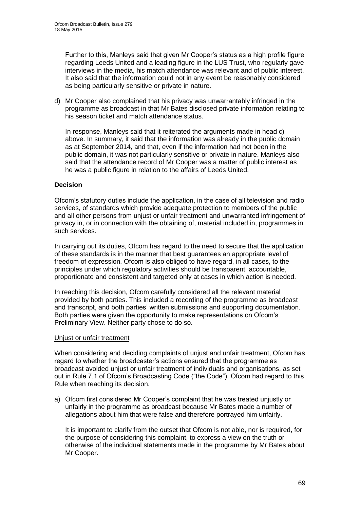Further to this, Manleys said that given Mr Cooper's status as a high profile figure regarding Leeds United and a leading figure in the LUS Trust, who regularly gave interviews in the media, his match attendance was relevant and of public interest. It also said that the information could not in any event be reasonably considered as being particularly sensitive or private in nature.

d) Mr Cooper also complained that his privacy was unwarrantably infringed in the programme as broadcast in that Mr Bates disclosed private information relating to his season ticket and match attendance status.

In response, Manleys said that it reiterated the arguments made in head c) above. In summary, it said that the information was already in the public domain as at September 2014, and that, even if the information had not been in the public domain, it was not particularly sensitive or private in nature. Manleys also said that the attendance record of Mr Cooper was a matter of public interest as he was a public figure in relation to the affairs of Leeds United.

### **Decision**

Ofcom's statutory duties include the application, in the case of all television and radio services, of standards which provide adequate protection to members of the public and all other persons from unjust or unfair treatment and unwarranted infringement of privacy in, or in connection with the obtaining of, material included in, programmes in such services.

In carrying out its duties, Ofcom has regard to the need to secure that the application of these standards is in the manner that best guarantees an appropriate level of freedom of expression. Ofcom is also obliged to have regard, in all cases, to the principles under which regulatory activities should be transparent, accountable, proportionate and consistent and targeted only at cases in which action is needed.

In reaching this decision, Ofcom carefully considered all the relevant material provided by both parties. This included a recording of the programme as broadcast and transcript, and both parties' written submissions and supporting documentation. Both parties were given the opportunity to make representations on Ofcom's Preliminary View. Neither party chose to do so.

### Unjust or unfair treatment

When considering and deciding complaints of unjust and unfair treatment, Ofcom has regard to whether the broadcaster's actions ensured that the programme as broadcast avoided unjust or unfair treatment of individuals and organisations, as set out in Rule 7.1 of Ofcom's Broadcasting Code ("the Code"). Ofcom had regard to this Rule when reaching its decision.

a) Ofcom first considered Mr Cooper's complaint that he was treated unjustly or unfairly in the programme as broadcast because Mr Bates made a number of allegations about him that were false and therefore portrayed him unfairly.

It is important to clarify from the outset that Ofcom is not able, nor is required, for the purpose of considering this complaint, to express a view on the truth or otherwise of the individual statements made in the programme by Mr Bates about Mr Cooper.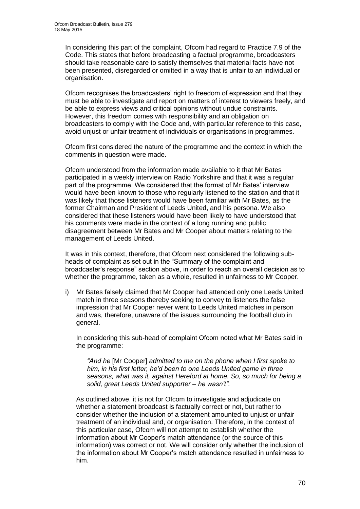In considering this part of the complaint, Ofcom had regard to Practice 7.9 of the Code. This states that before broadcasting a factual programme, broadcasters should take reasonable care to satisfy themselves that material facts have not been presented, disregarded or omitted in a way that is unfair to an individual or organisation.

Ofcom recognises the broadcasters' right to freedom of expression and that they must be able to investigate and report on matters of interest to viewers freely, and be able to express views and critical opinions without undue constraints. However, this freedom comes with responsibility and an obligation on broadcasters to comply with the Code and, with particular reference to this case, avoid unjust or unfair treatment of individuals or organisations in programmes.

Ofcom first considered the nature of the programme and the context in which the comments in question were made.

Ofcom understood from the information made available to it that Mr Bates participated in a weekly interview on Radio Yorkshire and that it was a regular part of the programme. We considered that the format of Mr Bates' interview would have been known to those who regularly listened to the station and that it was likely that those listeners would have been familiar with Mr Bates, as the former Chairman and President of Leeds United, and his persona. We also considered that these listeners would have been likely to have understood that his comments were made in the context of a long running and public disagreement between Mr Bates and Mr Cooper about matters relating to the management of Leeds United.

It was in this context, therefore, that Ofcom next considered the following subheads of complaint as set out in the "Summary of the complaint and broadcaster's response" section above, in order to reach an overall decision as to whether the programme, taken as a whole, resulted in unfairness to Mr Cooper.

i) Mr Bates falsely claimed that Mr Cooper had attended only one Leeds United match in three seasons thereby seeking to convey to listeners the false impression that Mr Cooper never went to Leeds United matches in person and was, therefore, unaware of the issues surrounding the football club in general.

In considering this sub-head of complaint Ofcom noted what Mr Bates said in the programme:

*"And he* [Mr Cooper] *admitted to me on the phone when I first spoke to him, in his first letter, he'd been to one Leeds United game in three seasons, what was it, against Hereford at home. So, so much for being a solid, great Leeds United supporter – he wasn't".* 

As outlined above, it is not for Ofcom to investigate and adjudicate on whether a statement broadcast is factually correct or not, but rather to consider whether the inclusion of a statement amounted to unjust or unfair treatment of an individual and, or organisation. Therefore, in the context of this particular case, Ofcom will not attempt to establish whether the information about Mr Cooper's match attendance (or the source of this information) was correct or not. We will consider only whether the inclusion of the information about Mr Cooper's match attendance resulted in unfairness to him.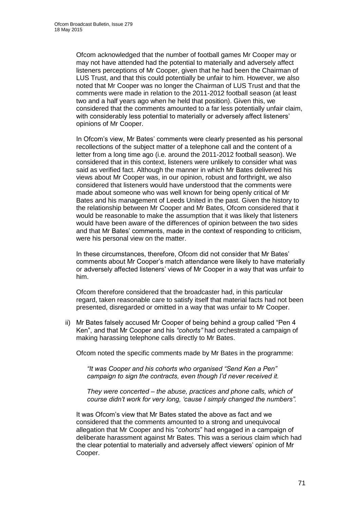Ofcom acknowledged that the number of football games Mr Cooper may or may not have attended had the potential to materially and adversely affect listeners perceptions of Mr Cooper, given that he had been the Chairman of LUS Trust, and that this could potentially be unfair to him. However, we also noted that Mr Cooper was no longer the Chairman of LUS Trust and that the comments were made in relation to the 2011-2012 football season (at least two and a half years ago when he held that position). Given this, we considered that the comments amounted to a far less potentially unfair claim, with considerably less potential to materially or adversely affect listeners' opinions of Mr Cooper.

In Ofcom's view, Mr Bates' comments were clearly presented as his personal recollections of the subject matter of a telephone call and the content of a letter from a long time ago (i.e. around the 2011-2012 football season). We considered that in this context, listeners were unlikely to consider what was said as verified fact. Although the manner in which Mr Bates delivered his views about Mr Cooper was, in our opinion, robust and forthright, we also considered that listeners would have understood that the comments were made about someone who was well known for being openly critical of Mr Bates and his management of Leeds United in the past. Given the history to the relationship between Mr Cooper and Mr Bates, Ofcom considered that it would be reasonable to make the assumption that it was likely that listeners would have been aware of the differences of opinion between the two sides and that Mr Bates' comments, made in the context of responding to criticism, were his personal view on the matter.

In these circumstances, therefore, Ofcom did not consider that Mr Bates' comments about Mr Cooper's match attendance were likely to have materially or adversely affected listeners' views of Mr Cooper in a way that was unfair to him.

Ofcom therefore considered that the broadcaster had, in this particular regard, taken reasonable care to satisfy itself that material facts had not been presented, disregarded or omitted in a way that was unfair to Mr Cooper.

ii) Mr Bates falsely accused Mr Cooper of being behind a group called "Pen 4 Ken", and that Mr Cooper and his *"cohorts"* had orchestrated a campaign of making harassing telephone calls directly to Mr Bates.

Ofcom noted the specific comments made by Mr Bates in the programme:

*"It was Cooper and his cohorts who organised "Send Ken a Pen" campaign to sign the contracts, even though I'd never received it.*

*They were concerted – the abuse, practices and phone calls, which of course didn't work for very long, 'cause I simply changed the numbers".*

It was Ofcom's view that Mr Bates stated the above as fact and we considered that the comments amounted to a strong and unequivocal allegation that Mr Cooper and his "*cohorts*" had engaged in a campaign of deliberate harassment against Mr Bates. This was a serious claim which had the clear potential to materially and adversely affect viewers' opinion of Mr Cooper.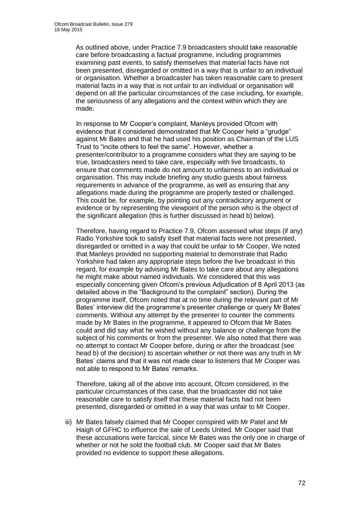As outlined above, under Practice 7.9 broadcasters should take reasonable care before broadcasting a factual programme, including programmes examining past events, to satisfy themselves that material facts have not been presented, disregarded or omitted in a way that is unfair to an individual or organisation. Whether a broadcaster has taken reasonable care to present material facts in a way that is not unfair to an individual or organisation will depend on all the particular circumstances of the case including, for example, the seriousness of any allegations and the context within which they are made.

In response to Mr Cooper's complaint, Manleys provided Ofcom with evidence that it considered demonstrated that Mr Cooper held a "grudge" against Mr Bates and that he had used his position as Chairman of the LUS Trust to "incite others to feel the same". However, whether a presenter/contributor to a programme considers what they are saying to be true, broadcasters need to take care, especially with live broadcasts, to ensure that comments made do not amount to unfairness to an individual or organisation. This may include briefing any studio guests about fairness requirements in advance of the programme, as well as ensuring that any allegations made during the programme are properly tested or challenged. This could be, for example, by pointing out any contradictory argument or evidence or by representing the viewpoint of the person who is the object of the significant allegation (this is further discussed in head b) below).

Therefore, having regard to Practice 7.9, Ofcom assessed what steps (if any) Radio Yorkshire took to satisfy itself that material facts were not presented, disregarded or omitted in a way that could be unfair to Mr Cooper. We noted that Manleys provided no supporting material to demonstrate that Radio Yorkshire had taken any appropriate steps before the live broadcast in this regard, for example by advising Mr Bates to take care about any allegations he might make about named individuals. We considered that this was especially concerning given Ofcom's previous Adjudication of 8 April 2013 (as detailed above in the "Background to the complaint" section). During the programme itself, Ofcom noted that at no time during the relevant part of Mr Bates' interview did the programme's presenter challenge or query Mr Bates' comments. Without any attempt by the presenter to counter the comments made by Mr Bates in the programme, it appeared to Ofcom that Mr Bates could and did say what he wished without any balance or challenge from the subject of his comments or from the presenter. We also noted that there was no attempt to contact Mr Cooper before, during or after the broadcast (see head b) of the decision) to ascertain whether or not there was any truth in Mr Bates' claims and that it was not made clear to listeners that Mr Cooper was not able to respond to Mr Bates' remarks.

Therefore, taking all of the above into account, Ofcom considered, in the particular circumstances of this case, that the broadcaster did not take reasonable care to satisfy itself that these material facts had not been presented, disregarded or omitted in a way that was unfair to Mr Cooper.

iii) Mr Bates falsely claimed that Mr Cooper conspired with Mr Patel and Mr Haigh of GFHC to influence the sale of Leeds United. Mr Cooper said that these accusations were farcical, since Mr Bates was the only one in charge of whether or not he sold the football club. Mr Cooper said that Mr Bates provided no evidence to support these allegations.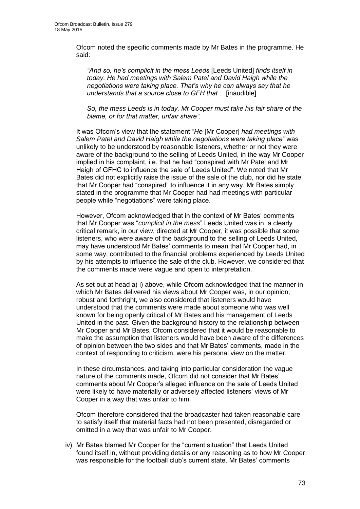Ofcom noted the specific comments made by Mr Bates in the programme. He said:

*"And so, he's complicit in the mess Leeds* [Leeds United] *finds itself in today. He had meetings with Salem Patel and David Haigh while the negotiations were taking place. That's why he can always say that he understands that a source close to GFH that …*[inaudible]

*So, the mess Leeds is in today, Mr Cooper must take his fair share of the blame, or for that matter, unfair share".*

It was Ofcom's view that the statement "*He* [Mr Cooper] *had meetings with Salem Patel and David Haigh while the negotiations were taking place"* was unlikely to be understood by reasonable listeners, whether or not they were aware of the background to the selling of Leeds United, in the way Mr Cooper implied in his complaint, i.e. that he had "conspired with Mr Patel and Mr Haigh of GFHC to influence the sale of Leeds United". We noted that Mr Bates did not explicitly raise the issue of the sale of the club, nor did he state that Mr Cooper had "conspired" to influence it in any way. Mr Bates simply stated in the programme that Mr Cooper had had meetings with particular people while "negotiations" were taking place.

However, Ofcom acknowledged that in the context of Mr Bates' comments that Mr Cooper was "*complicit in the mess*" Leeds United was in, a clearly critical remark, in our view, directed at Mr Cooper, it was possible that some listeners, who were aware of the background to the selling of Leeds United, may have understood Mr Bates' comments to mean that Mr Cooper had, in some way, contributed to the financial problems experienced by Leeds United by his attempts to influence the sale of the club. However, we considered that the comments made were vague and open to interpretation.

As set out at head a) i) above, while Ofcom acknowledged that the manner in which Mr Bates delivered his views about Mr Cooper was, in our opinion, robust and forthright, we also considered that listeners would have understood that the comments were made about someone who was well known for being openly critical of Mr Bates and his management of Leeds United in the past. Given the background history to the relationship between Mr Cooper and Mr Bates, Ofcom considered that it would be reasonable to make the assumption that listeners would have been aware of the differences of opinion between the two sides and that Mr Bates' comments, made in the context of responding to criticism, were his personal view on the matter.

In these circumstances, and taking into particular consideration the vague nature of the comments made, Ofcom did not consider that Mr Bates' comments about Mr Cooper's alleged influence on the sale of Leeds United were likely to have materially or adversely affected listeners' views of Mr Cooper in a way that was unfair to him.

Ofcom therefore considered that the broadcaster had taken reasonable care to satisfy itself that material facts had not been presented, disregarded or omitted in a way that was unfair to Mr Cooper.

iv) Mr Bates blamed Mr Cooper for the "current situation" that Leeds United found itself in, without providing details or any reasoning as to how Mr Cooper was responsible for the football club's current state. Mr Bates' comments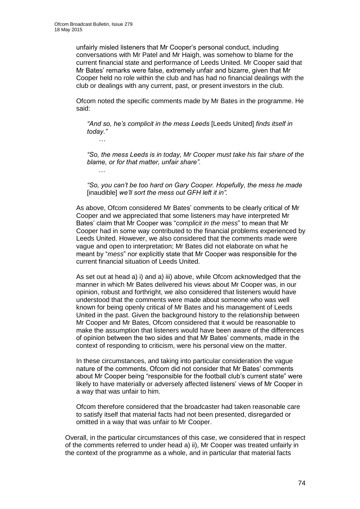unfairly misled listeners that Mr Cooper's personal conduct, including conversations with Mr Patel and Mr Haigh, was somehow to blame for the current financial state and performance of Leeds United. Mr Cooper said that Mr Bates' remarks were false, extremely unfair and bizarre, given that Mr Cooper held no role within the club and has had no financial dealings with the club or dealings with any current, past, or present investors in the club.

Ofcom noted the specific comments made by Mr Bates in the programme. He said:

*"And so, he's complicit in the mess Leeds* [Leeds United] *finds itself in today."*

*…*

…

*"So, the mess Leeds is in today, Mr Cooper must take his fair share of the blame, or for that matter, unfair share".*

*"So, you can't be too hard on Gary Cooper. Hopefully, the mess he made*  [inaudible] *we'll sort the mess out GFH left it in".*

As above, Ofcom considered Mr Bates' comments to be clearly critical of Mr Cooper and we appreciated that some listeners may have interpreted Mr Bates' claim that Mr Cooper was "*complicit in the mess*" to mean that Mr Cooper had in some way contributed to the financial problems experienced by Leeds United. However, we also considered that the comments made were vague and open to interpretation; Mr Bates did not elaborate on what he meant by "*mess*" nor explicitly state that Mr Cooper was responsible for the current financial situation of Leeds United.

As set out at head a) i) and a) iii) above, while Ofcom acknowledged that the manner in which Mr Bates delivered his views about Mr Cooper was, in our opinion, robust and forthright, we also considered that listeners would have understood that the comments were made about someone who was well known for being openly critical of Mr Bates and his management of Leeds United in the past. Given the background history to the relationship between Mr Cooper and Mr Bates, Ofcom considered that it would be reasonable to make the assumption that listeners would have been aware of the differences of opinion between the two sides and that Mr Bates' comments, made in the context of responding to criticism, were his personal view on the matter.

In these circumstances, and taking into particular consideration the vague nature of the comments, Ofcom did not consider that Mr Bates' comments about Mr Cooper being "responsible for the football club's current state" were likely to have materially or adversely affected listeners' views of Mr Cooper in a way that was unfair to him.

Ofcom therefore considered that the broadcaster had taken reasonable care to satisfy itself that material facts had not been presented, disregarded or omitted in a way that was unfair to Mr Cooper.

Overall, in the particular circumstances of this case, we considered that in respect of the comments referred to under head a) ii), Mr Cooper was treated unfairly in the context of the programme as a whole, and in particular that material facts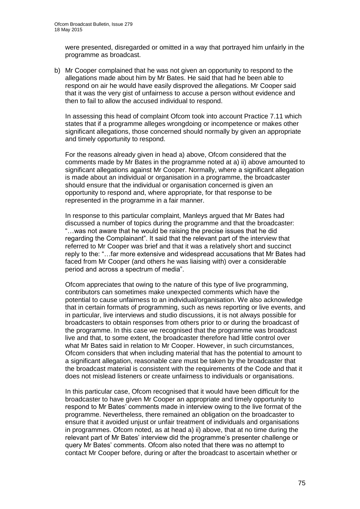were presented, disregarded or omitted in a way that portrayed him unfairly in the programme as broadcast.

b) Mr Cooper complained that he was not given an opportunity to respond to the allegations made about him by Mr Bates. He said that had he been able to respond on air he would have easily disproved the allegations. Mr Cooper said that it was the very gist of unfairness to accuse a person without evidence and then to fail to allow the accused individual to respond.

In assessing this head of complaint Ofcom took into account Practice 7.11 which states that if a programme alleges wrongdoing or incompetence or makes other significant allegations, those concerned should normally by given an appropriate and timely opportunity to respond.

For the reasons already given in head a) above, Ofcom considered that the comments made by Mr Bates in the programme noted at a) ii) above amounted to significant allegations against Mr Cooper. Normally, where a significant allegation is made about an individual or organisation in a programme, the broadcaster should ensure that the individual or organisation concerned is given an opportunity to respond and, where appropriate, for that response to be represented in the programme in a fair manner.

In response to this particular complaint, Manleys argued that Mr Bates had discussed a number of topics during the programme and that the broadcaster: "…was not aware that he would be raising the precise issues that he did regarding the Complainant". It said that the relevant part of the interview that referred to Mr Cooper was brief and that it was a relatively short and succinct reply to the: "…far more extensive and widespread accusations that Mr Bates had faced from Mr Cooper (and others he was liaising with) over a considerable period and across a spectrum of media".

Ofcom appreciates that owing to the nature of this type of live programming, contributors can sometimes make unexpected comments which have the potential to cause unfairness to an individual/organisation. We also acknowledge that in certain formats of programming, such as news reporting or live events, and in particular, live interviews and studio discussions, it is not always possible for broadcasters to obtain responses from others prior to or during the broadcast of the programme. In this case we recognised that the programme was broadcast live and that, to some extent, the broadcaster therefore had little control over what Mr Bates said in relation to Mr Cooper. However, in such circumstances, Ofcom considers that when including material that has the potential to amount to a significant allegation, reasonable care must be taken by the broadcaster that the broadcast material is consistent with the requirements of the Code and that it does not mislead listeners or create unfairness to individuals or organisations.

In this particular case, Ofcom recognised that it would have been difficult for the broadcaster to have given Mr Cooper an appropriate and timely opportunity to respond to Mr Bates' comments made in interview owing to the live format of the programme. Nevertheless, there remained an obligation on the broadcaster to ensure that it avoided unjust or unfair treatment of individuals and organisations in programmes. Ofcom noted, as at head a) ii) above, that at no time during the relevant part of Mr Bates' interview did the programme's presenter challenge or query Mr Bates' comments. Ofcom also noted that there was no attempt to contact Mr Cooper before, during or after the broadcast to ascertain whether or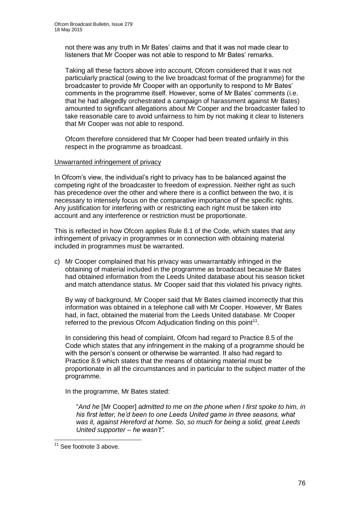not there was any truth in Mr Bates' claims and that it was not made clear to listeners that Mr Cooper was not able to respond to Mr Bates' remarks.

Taking all these factors above into account, Ofcom considered that it was not particularly practical (owing to the live broadcast format of the programme) for the broadcaster to provide Mr Cooper with an opportunity to respond to Mr Bates' comments in the programme itself. However, some of Mr Bates' comments (i.e. that he had allegedly orchestrated a campaign of harassment against Mr Bates) amounted to significant allegations about Mr Cooper and the broadcaster failed to take reasonable care to avoid unfairness to him by not making it clear to listeners that Mr Cooper was not able to respond.

Ofcom therefore considered that Mr Cooper had been treated unfairly in this respect in the programme as broadcast.

### Unwarranted infringement of privacy

In Ofcom's view, the individual's right to privacy has to be balanced against the competing right of the broadcaster to freedom of expression. Neither right as such has precedence over the other and where there is a conflict between the two, it is necessary to intensely focus on the comparative importance of the specific rights. Any justification for interfering with or restricting each right must be taken into account and any interference or restriction must be proportionate.

This is reflected in how Ofcom applies Rule 8.1 of the Code, which states that any infringement of privacy in programmes or in connection with obtaining material included in programmes must be warranted.

c) Mr Cooper complained that his privacy was unwarrantably infringed in the obtaining of material included in the programme as broadcast because Mr Bates had obtained information from the Leeds United database about his season ticket and match attendance status. Mr Cooper said that this violated his privacy rights.

By way of background, Mr Cooper said that Mr Bates claimed incorrectly that this information was obtained in a telephone call with Mr Cooper. However, Mr Bates had, in fact, obtained the material from the Leeds United database. Mr Cooper referred to the previous Ofcom Adjudication finding on this point $11$ .

In considering this head of complaint, Ofcom had regard to Practice 8.5 of the Code which states that any infringement in the making of a programme should be with the person's consent or otherwise be warranted. It also had regard to Practice 8.9 which states that the means of obtaining material must be proportionate in all the circumstances and in particular to the subject matter of the programme.

In the programme, Mr Bates stated:

"*And he* [Mr Cooper] *admitted to me on the phone when I first spoke to him, in his first letter, he'd been to one Leeds United game in three seasons, what was it, against Hereford at home. So, so much for being a solid, great Leeds United supporter – he wasn't".* 

1

 $11$  See footnote 3 above.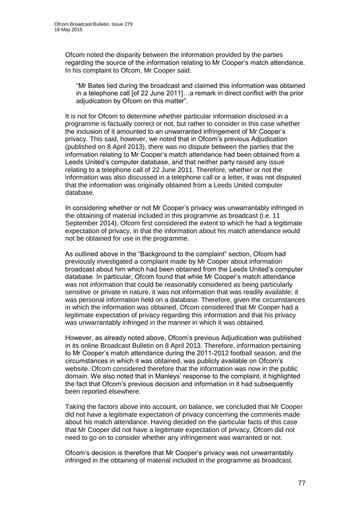Ofcom noted the disparity between the information provided by the parties regarding the source of the information relating to Mr Cooper's match attendance. In his complaint to Ofcom, Mr Cooper said:

"Mr Bates lied during the broadcast and claimed this information was obtained in a telephone call [of 22 June 2011]…a remark in direct conflict with the prior adjudication by Ofcom on this matter".

It is not for Ofcom to determine whether particular information disclosed in a programme is factually correct or not, but rather to consider in this case whether the inclusion of it amounted to an unwarranted infringement of Mr Cooper's privacy. This said, however, we noted that in Ofcom's previous Adjudication (published on 8 April 2013), there was no dispute between the parties that the information relating to Mr Cooper's match attendance had been obtained from a Leeds United's computer database, and that neither party raised any issue relating to a telephone call of 22 June 2011. Therefore, whether or not the information was also discussed in a telephone call or a letter, it was not disputed that the information was originally obtained from a Leeds United computer database.

In considering whether or not Mr Cooper's privacy was unwarrantably infringed in the obtaining of material included in this programme as broadcast (i.e. 11 September 2014), Ofcom first considered the extent to which he had a legitimate expectation of privacy, in that the information about his match attendance would not be obtained for use in the programme.

As outlined above in the "Background to the complaint" section, Ofcom had previously investigated a complaint made by Mr Cooper about information broadcast about him which had been obtained from the Leeds United's computer database. In particular, Ofcom found that while Mr Cooper's match attendance was not information that could be reasonably considered as being particularly sensitive or private in nature, it was not information that was readily available; it was personal information held on a database. Therefore, given the circumstances in which the information was obtained, Ofcom considered that Mr Cooper had a legitimate expectation of privacy regarding this information and that his privacy was unwarrantably infringed in the manner in which it was obtained.

However, as already noted above, Ofcom's previous Adjudication was published in its online Broadcast Bulletin on 8 April 2013. Therefore, information pertaining to Mr Cooper's match attendance during the 2011-2012 football season, and the circumstances in which it was obtained, was publicly available on Ofcom's website. Ofcom considered therefore that the information was now in the public domain. We also noted that in Manleys' response to the complaint, it highlighted the fact that Ofcom's previous decision and information in it had subsequently been reported elsewhere.

Taking the factors above into account, on balance, we concluded that Mr Cooper did not have a legitimate expectation of privacy concerning the comments made about his match attendance. Having decided on the particular facts of this case that Mr Cooper did not have a legitimate expectation of privacy, Ofcom did not need to go on to consider whether any infringement was warranted or not.

Ofcom's decision is therefore that Mr Cooper's privacy was not unwarrantably infringed in the obtaining of material included in the programme as broadcast.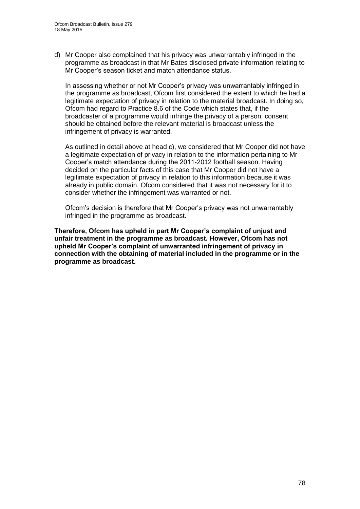d) Mr Cooper also complained that his privacy was unwarrantably infringed in the programme as broadcast in that Mr Bates disclosed private information relating to Mr Cooper's season ticket and match attendance status.

In assessing whether or not Mr Cooper's privacy was unwarrantably infringed in the programme as broadcast, Ofcom first considered the extent to which he had a legitimate expectation of privacy in relation to the material broadcast. In doing so, Ofcom had regard to Practice 8.6 of the Code which states that, if the broadcaster of a programme would infringe the privacy of a person, consent should be obtained before the relevant material is broadcast unless the infringement of privacy is warranted.

As outlined in detail above at head c), we considered that Mr Cooper did not have a legitimate expectation of privacy in relation to the information pertaining to Mr Cooper's match attendance during the 2011-2012 football season. Having decided on the particular facts of this case that Mr Cooper did not have a legitimate expectation of privacy in relation to this information because it was already in public domain, Ofcom considered that it was not necessary for it to consider whether the infringement was warranted or not.

Ofcom's decision is therefore that Mr Cooper's privacy was not unwarrantably infringed in the programme as broadcast.

**Therefore, Ofcom has upheld in part Mr Cooper's complaint of unjust and unfair treatment in the programme as broadcast. However, Ofcom has not upheld Mr Cooper's complaint of unwarranted infringement of privacy in connection with the obtaining of material included in the programme or in the programme as broadcast.**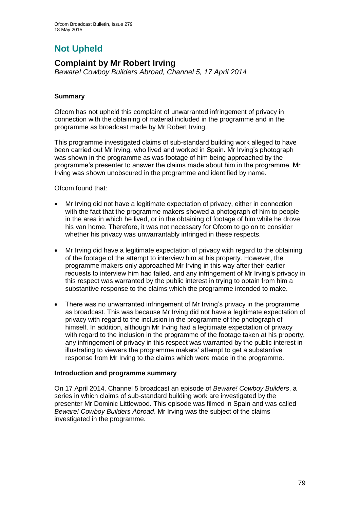# **Not Upheld**

# **Complaint by Mr Robert Irving**

*Beware! Cowboy Builders Abroad, Channel 5, 17 April 2014*

# **Summary**

Ofcom has not upheld this complaint of unwarranted infringement of privacy in connection with the obtaining of material included in the programme and in the programme as broadcast made by Mr Robert Irving.

This programme investigated claims of sub-standard building work alleged to have been carried out Mr Irving, who lived and worked in Spain. Mr Irving's photograph was shown in the programme as was footage of him being approached by the programme's presenter to answer the claims made about him in the programme. Mr Irving was shown unobscured in the programme and identified by name.

Ofcom found that:

- Mr Irving did not have a legitimate expectation of privacy, either in connection with the fact that the programme makers showed a photograph of him to people in the area in which he lived, or in the obtaining of footage of him while he drove his van home. Therefore, it was not necessary for Ofcom to go on to consider whether his privacy was unwarrantably infringed in these respects.
- Mr Irving did have a legitimate expectation of privacy with regard to the obtaining of the footage of the attempt to interview him at his property. However, the programme makers only approached Mr Irving in this way after their earlier requests to interview him had failed, and any infringement of Mr Irving's privacy in this respect was warranted by the public interest in trying to obtain from him a substantive response to the claims which the programme intended to make.
- There was no unwarranted infringement of Mr Irving's privacy in the programme as broadcast. This was because Mr Irving did not have a legitimate expectation of privacy with regard to the inclusion in the programme of the photograph of himself. In addition, although Mr Irving had a legitimate expectation of privacy with regard to the inclusion in the programme of the footage taken at his property, any infringement of privacy in this respect was warranted by the public interest in illustrating to viewers the programme makers' attempt to get a substantive response from Mr Irving to the claims which were made in the programme.

# **Introduction and programme summary**

On 17 April 2014, Channel 5 broadcast an episode of *Beware! Cowboy Builders*, a series in which claims of sub-standard building work are investigated by the presenter Mr Dominic Littlewood. This episode was filmed in Spain and was called *Beware! Cowboy Builders Abroad*. Mr Irving was the subject of the claims investigated in the programme.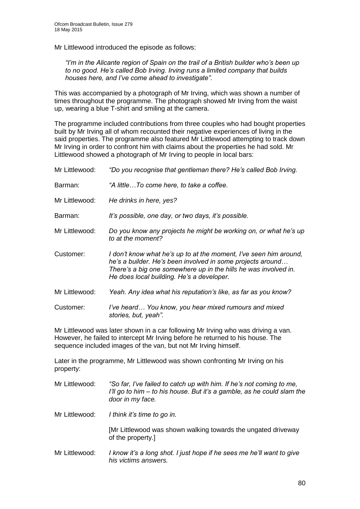Mr Littlewood introduced the episode as follows:

*"I'm in the Alicante region of Spain on the trail of a British builder who's been up to no good. He's called Bob Irving. Irving runs a limited company that builds houses here, and I've come ahead to investigate".*

This was accompanied by a photograph of Mr Irving, which was shown a number of times throughout the programme. The photograph showed Mr Irving from the waist up, wearing a blue T-shirt and smiling at the camera.

The programme included contributions from three couples who had bought properties built by Mr Irving all of whom recounted their negative experiences of living in the said properties. The programme also featured Mr Littlewood attempting to track down Mr Irving in order to confront him with claims about the properties he had sold. Mr Littlewood showed a photograph of Mr Irving to people in local bars:

| Mr Littlewood: | "Do you recognise that gentleman there? He's called Bob Irving.                                                                                                                                                                                 |
|----------------|-------------------------------------------------------------------------------------------------------------------------------------------------------------------------------------------------------------------------------------------------|
| Barman:        | "A littleTo come here, to take a coffee.                                                                                                                                                                                                        |
| Mr Littlewood: | He drinks in here, yes?                                                                                                                                                                                                                         |
| Barman:        | It's possible, one day, or two days, it's possible.                                                                                                                                                                                             |
| Mr Littlewood: | Do you know any projects he might be working on, or what he's up<br>to at the moment?                                                                                                                                                           |
| Customer:      | I don't know what he's up to at the moment, I've seen him around,<br>he's a builder. He's been involved in some projects around<br>There's a big one somewhere up in the hills he was involved in.<br>He does local building. He's a developer. |
| Mr Littlewood: | Yeah. Any idea what his reputation's like, as far as you know?                                                                                                                                                                                  |
| Customer:      | I've heard You know, you hear mixed rumours and mixed<br>stories, but, yeah".                                                                                                                                                                   |

Mr Littlewood was later shown in a car following Mr Irving who was driving a van. However, he failed to intercept Mr Irving before he returned to his house. The sequence included images of the van, but not Mr Irving himself.

Later in the programme, Mr Littlewood was shown confronting Mr Irving on his property:

| Mr Littlewood: | "So far, I've failed to catch up with him. If he's not coming to me,<br>I'll go to him – to his house. But it's a gamble, as he could slam the<br>door in my face. |  |
|----------------|--------------------------------------------------------------------------------------------------------------------------------------------------------------------|--|
| Mr Littlewood: | I think it's time to go in.                                                                                                                                        |  |
|                | [Mr Littlewood was shown walking towards the ungated driveway<br>of the property.]                                                                                 |  |
| Mr Littlewood: | I know it's a long shot. I just hope if he sees me he'll want to give<br>his victims answers.                                                                      |  |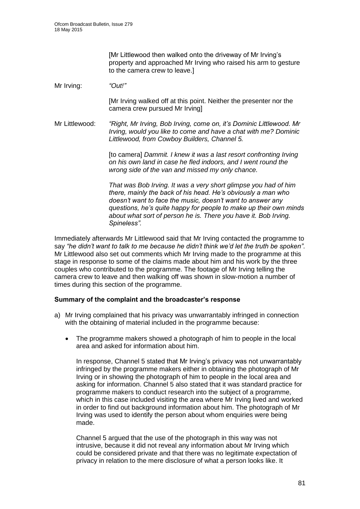[Mr Littlewood then walked onto the driveway of Mr Irving's property and approached Mr Irving who raised his arm to gesture to the camera crew to leave.]

#### Mr Irving: *"Out!"*

[Mr Irving walked off at this point. Neither the presenter nor the camera crew pursued Mr Irving]

Mr Littlewood: *"Right, Mr Irving, Bob Irving, come on, it's Dominic Littlewood. Mr Irving, would you like to come and have a chat with me? Dominic Littlewood, from Cowboy Builders, Channel 5.*

> [to camera] *Dammit. I knew it was a last resort confronting Irving on his own land in case he fled indoors, and I went round the wrong side of the van and missed my only chance.*

*That was Bob Irving. It was a very short glimpse you had of him there, mainly the back of his head. He's obviously a man who doesn't want to face the music, doesn't want to answer any questions, he's quite happy for people to make up their own minds about what sort of person he is. There you have it. Bob Irving. Spineless".*

Immediately afterwards Mr Littlewood said that Mr Irving contacted the programme to say *"he didn't want to talk to me because he didn't think we'd let the truth be spoken"*. Mr Littlewood also set out comments which Mr Irving made to the programme at this stage in response to some of the claims made about him and his work by the three couples who contributed to the programme. The footage of Mr Irving telling the camera crew to leave and then walking off was shown in slow-motion a number of times during this section of the programme.

#### **Summary of the complaint and the broadcaster's response**

- a) Mr Irving complained that his privacy was unwarrantably infringed in connection with the obtaining of material included in the programme because:
	- The programme makers showed a photograph of him to people in the local area and asked for information about him.

In response, Channel 5 stated that Mr Irving's privacy was not unwarrantably infringed by the programme makers either in obtaining the photograph of Mr Irving or in showing the photograph of him to people in the local area and asking for information. Channel 5 also stated that it was standard practice for programme makers to conduct research into the subject of a programme, which in this case included visiting the area where Mr Irving lived and worked in order to find out background information about him. The photograph of Mr Irving was used to identify the person about whom enquiries were being made.

Channel 5 argued that the use of the photograph in this way was not intrusive, because it did not reveal any information about Mr Irving which could be considered private and that there was no legitimate expectation of privacy in relation to the mere disclosure of what a person looks like. It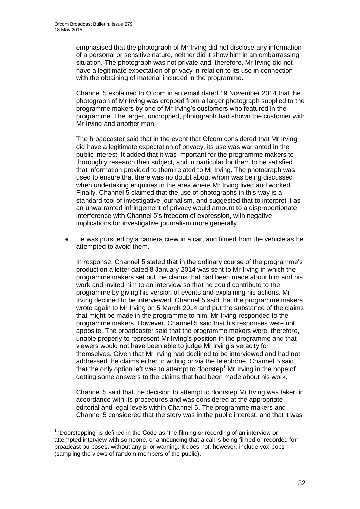1

emphasised that the photograph of Mr Irving did not disclose any information of a personal or sensitive nature, neither did it show him in an embarrassing situation. The photograph was not private and, therefore, Mr Irving did not have a legitimate expectation of privacy in relation to its use in connection with the obtaining of material included in the programme.

Channel 5 explained to Ofcom in an email dated 19 November 2014 that the photograph of Mr Irving was cropped from a larger photograph supplied to the programme makers by one of Mr Irving's customers who featured in the programme. The larger, uncropped, photograph had shown the customer with Mr Irving and another man.

The broadcaster said that in the event that Ofcom considered that Mr Irving did have a legitimate expectation of privacy, its use was warranted in the public interest. It added that it was important for the programme makers to thoroughly research their subject, and in particular for them to be satisfied that information provided to them related to Mr Irving. The photograph was used to ensure that there was no doubt about whom was being discussed when undertaking enquiries in the area where Mr Irving lived and worked. Finally, Channel 5 claimed that the use of photographs in this way is a standard tool of investigative journalism, and suggested that to interpret it as an unwarranted infringement of privacy would amount to a disproportionate interference with Channel 5's freedom of expression, with negative implications for investigative journalism more generally.

 He was pursued by a camera crew in a car, and filmed from the vehicle as he attempted to avoid them.

In response, Channel 5 stated that in the ordinary course of the programme's production a letter dated 8 January 2014 was sent to Mr Irving in which the programme makers set out the claims that had been made about him and his work and invited him to an interview so that he could contribute to the programme by giving his version of events and explaining his actions. Mr Irving declined to be interviewed. Channel 5 said that the programme makers wrote again to Mr Irving on 5 March 2014 and put the substance of the claims that might be made in the programme to him. Mr Irving responded to the programme makers. However, Channel 5 said that his responses were not apposite. The broadcaster said that the programme makers were, therefore, unable properly to represent Mr Irving's position in the programme and that viewers would not have been able to judge Mr Irving's veracity for themselves. Given that Mr Irving had declined to be interviewed and had not addressed the claims either in writing or via the telephone, Channel 5 said that the only option left was to attempt to doorstep<sup>1</sup> Mr Irving in the hope of getting some answers to the claims that had been made about his work.

Channel 5 said that the decision to attempt to doorstep Mr Irving was taken in accordance with its procedures and was considered at the appropriate editorial and legal levels within Channel 5. The programme makers and Channel 5 considered that the story was in the public interest, and that it was

<sup>&</sup>lt;sup>1</sup> 'Doorstepping' is defined in the Code as "the filming or recording of an interview or attempted interview with someone, or announcing that a call is being filmed or recorded for broadcast purposes, without any prior warning. It does not, however, include vox-pops (sampling the views of random members of the public).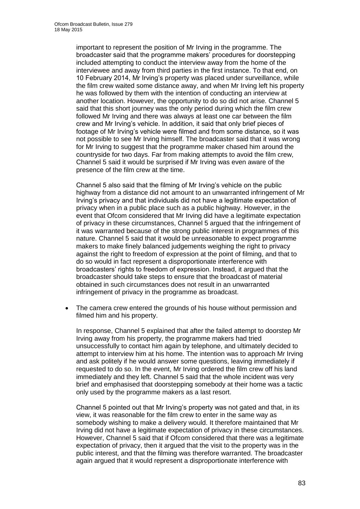important to represent the position of Mr Irving in the programme. The broadcaster said that the programme makers' procedures for doorstepping included attempting to conduct the interview away from the home of the interviewee and away from third parties in the first instance. To that end, on 10 February 2014, Mr Irving's property was placed under surveillance, while the film crew waited some distance away, and when Mr Irving left his property he was followed by them with the intention of conducting an interview at another location. However, the opportunity to do so did not arise. Channel 5 said that this short journey was the only period during which the film crew followed Mr Irving and there was always at least one car between the film crew and Mr Irving's vehicle. In addition, it said that only brief pieces of footage of Mr Irving's vehicle were filmed and from some distance, so it was not possible to see Mr Irving himself. The broadcaster said that it was wrong for Mr Irving to suggest that the programme maker chased him around the countryside for two days. Far from making attempts to avoid the film crew, Channel 5 said it would be surprised if Mr Irving was even aware of the presence of the film crew at the time.

Channel 5 also said that the filming of Mr Irving's vehicle on the public highway from a distance did not amount to an unwarranted infringement of Mr Irving's privacy and that individuals did not have a legitimate expectation of privacy when in a public place such as a public highway. However, in the event that Ofcom considered that Mr Irving did have a legitimate expectation of privacy in these circumstances, Channel 5 argued that the infringement of it was warranted because of the strong public interest in programmes of this nature. Channel 5 said that it would be unreasonable to expect programme makers to make finely balanced judgements weighing the right to privacy against the right to freedom of expression at the point of filming, and that to do so would in fact represent a disproportionate interference with broadcasters' rights to freedom of expression. Instead, it argued that the broadcaster should take steps to ensure that the broadcast of material obtained in such circumstances does not result in an unwarranted infringement of privacy in the programme as broadcast.

 The camera crew entered the grounds of his house without permission and filmed him and his property.

In response, Channel 5 explained that after the failed attempt to doorstep Mr Irving away from his property, the programme makers had tried unsuccessfully to contact him again by telephone, and ultimately decided to attempt to interview him at his home. The intention was to approach Mr Irving and ask politely if he would answer some questions, leaving immediately if requested to do so. In the event, Mr Irving ordered the film crew off his land immediately and they left. Channel 5 said that the whole incident was very brief and emphasised that doorstepping somebody at their home was a tactic only used by the programme makers as a last resort.

Channel 5 pointed out that Mr Irving's property was not gated and that, in its view, it was reasonable for the film crew to enter in the same way as somebody wishing to make a delivery would. It therefore maintained that Mr Irving did not have a legitimate expectation of privacy in these circumstances. However, Channel 5 said that if Ofcom considered that there was a legitimate expectation of privacy, then it argued that the visit to the property was in the public interest, and that the filming was therefore warranted. The broadcaster again argued that it would represent a disproportionate interference with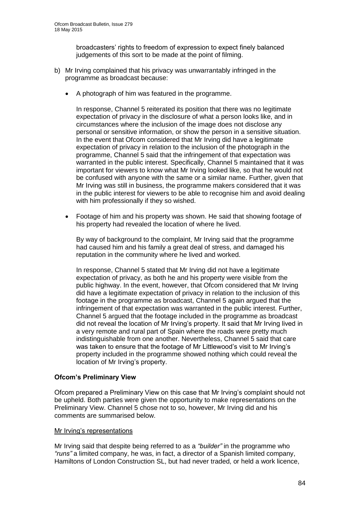broadcasters' rights to freedom of expression to expect finely balanced judgements of this sort to be made at the point of filming.

- b) Mr Irving complained that his privacy was unwarrantably infringed in the programme as broadcast because:
	- A photograph of him was featured in the programme.

In response, Channel 5 reiterated its position that there was no legitimate expectation of privacy in the disclosure of what a person looks like, and in circumstances where the inclusion of the image does not disclose any personal or sensitive information, or show the person in a sensitive situation. In the event that Ofcom considered that Mr Irving did have a legitimate expectation of privacy in relation to the inclusion of the photograph in the programme, Channel 5 said that the infringement of that expectation was warranted in the public interest. Specifically, Channel 5 maintained that it was important for viewers to know what Mr Irving looked like, so that he would not be confused with anyone with the same or a similar name. Further, given that Mr Irving was still in business, the programme makers considered that it was in the public interest for viewers to be able to recognise him and avoid dealing with him professionally if they so wished.

 Footage of him and his property was shown. He said that showing footage of his property had revealed the location of where he lived.

By way of background to the complaint, Mr Irving said that the programme had caused him and his family a great deal of stress, and damaged his reputation in the community where he lived and worked.

In response, Channel 5 stated that Mr Irving did not have a legitimate expectation of privacy, as both he and his property were visible from the public highway. In the event, however, that Ofcom considered that Mr Irving did have a legitimate expectation of privacy in relation to the inclusion of this footage in the programme as broadcast, Channel 5 again argued that the infringement of that expectation was warranted in the public interest. Further, Channel 5 argued that the footage included in the programme as broadcast did not reveal the location of Mr Irving's property. It said that Mr Irving lived in a very remote and rural part of Spain where the roads were pretty much indistinguishable from one another. Nevertheless, Channel 5 said that care was taken to ensure that the footage of Mr Littlewood's visit to Mr Irving's property included in the programme showed nothing which could reveal the location of Mr Irving's property.

# **Ofcom's Preliminary View**

Ofcom prepared a Preliminary View on this case that Mr Irving's complaint should not be upheld. Both parties were given the opportunity to make representations on the Preliminary View. Channel 5 chose not to so, however, Mr Irving did and his comments are summarised below.

#### Mr Irving's representations

Mr Irving said that despite being referred to as a *"builder"* in the programme who *"runs"* a limited company, he was, in fact, a director of a Spanish limited company, Hamiltons of London Construction SL, but had never traded, or held a work licence,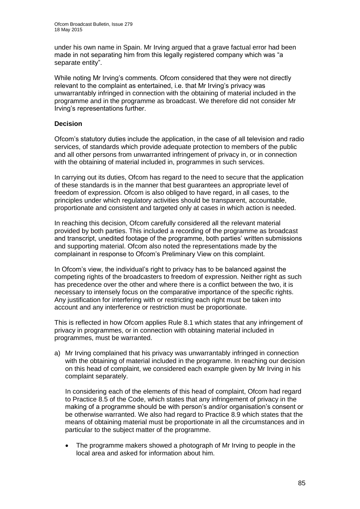under his own name in Spain. Mr Irving argued that a grave factual error had been made in not separating him from this legally registered company which was "a separate entity".

While noting Mr Irving's comments. Ofcom considered that they were not directly relevant to the complaint as entertained, i.e. that Mr Irving's privacy was unwarrantably infringed in connection with the obtaining of material included in the programme and in the programme as broadcast. We therefore did not consider Mr Irving's representations further.

# **Decision**

Ofcom's statutory duties include the application, in the case of all television and radio services, of standards which provide adequate protection to members of the public and all other persons from unwarranted infringement of privacy in, or in connection with the obtaining of material included in, programmes in such services.

In carrying out its duties, Ofcom has regard to the need to secure that the application of these standards is in the manner that best guarantees an appropriate level of freedom of expression. Ofcom is also obliged to have regard, in all cases, to the principles under which regulatory activities should be transparent, accountable, proportionate and consistent and targeted only at cases in which action is needed.

In reaching this decision, Ofcom carefully considered all the relevant material provided by both parties. This included a recording of the programme as broadcast and transcript, unedited footage of the programme, both parties' written submissions and supporting material. Ofcom also noted the representations made by the complainant in response to Ofcom's Preliminary View on this complaint.

In Ofcom's view, the individual's right to privacy has to be balanced against the competing rights of the broadcasters to freedom of expression. Neither right as such has precedence over the other and where there is a conflict between the two, it is necessary to intensely focus on the comparative importance of the specific rights. Any justification for interfering with or restricting each right must be taken into account and any interference or restriction must be proportionate.

This is reflected in how Ofcom applies Rule 8.1 which states that any infringement of privacy in programmes, or in connection with obtaining material included in programmes, must be warranted.

a) Mr Irving complained that his privacy was unwarrantably infringed in connection with the obtaining of material included in the programme. In reaching our decision on this head of complaint, we considered each example given by Mr Irving in his complaint separately.

In considering each of the elements of this head of complaint, Ofcom had regard to Practice 8.5 of the Code, which states that any infringement of privacy in the making of a programme should be with person's and/or organisation's consent or be otherwise warranted. We also had regard to Practice 8.9 which states that the means of obtaining material must be proportionate in all the circumstances and in particular to the subject matter of the programme.

 The programme makers showed a photograph of Mr Irving to people in the local area and asked for information about him.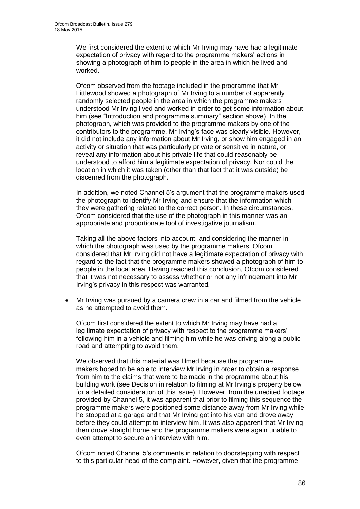We first considered the extent to which Mr Irving may have had a legitimate expectation of privacy with regard to the programme makers' actions in showing a photograph of him to people in the area in which he lived and worked.

Ofcom observed from the footage included in the programme that Mr Littlewood showed a photograph of Mr Irving to a number of apparently randomly selected people in the area in which the programme makers understood Mr Irving lived and worked in order to get some information about him (see "Introduction and programme summary" section above). In the photograph, which was provided to the programme makers by one of the contributors to the programme, Mr Irving's face was clearly visible. However, it did not include any information about Mr Irving, or show him engaged in an activity or situation that was particularly private or sensitive in nature, or reveal any information about his private life that could reasonably be understood to afford him a legitimate expectation of privacy. Nor could the location in which it was taken (other than that fact that it was outside) be discerned from the photograph.

In addition, we noted Channel 5's argument that the programme makers used the photograph to identify Mr Irving and ensure that the information which they were gathering related to the correct person. In these circumstances, Ofcom considered that the use of the photograph in this manner was an appropriate and proportionate tool of investigative journalism.

Taking all the above factors into account, and considering the manner in which the photograph was used by the programme makers, Ofcom considered that Mr Irving did not have a legitimate expectation of privacy with regard to the fact that the programme makers showed a photograph of him to people in the local area. Having reached this conclusion, Ofcom considered that it was not necessary to assess whether or not any infringement into Mr Irving's privacy in this respect was warranted.

 Mr Irving was pursued by a camera crew in a car and filmed from the vehicle as he attempted to avoid them.

Ofcom first considered the extent to which Mr Irving may have had a legitimate expectation of privacy with respect to the programme makers' following him in a vehicle and filming him while he was driving along a public road and attempting to avoid them.

We observed that this material was filmed because the programme makers hoped to be able to interview Mr Irving in order to obtain a response from him to the claims that were to be made in the programme about his building work (see Decision in relation to filming at Mr Irving's property below for a detailed consideration of this issue). However, from the unedited footage provided by Channel 5, it was apparent that prior to filming this sequence the programme makers were positioned some distance away from Mr Irving while he stopped at a garage and that Mr Irving got into his van and drove away before they could attempt to interview him. It was also apparent that Mr Irving then drove straight home and the programme makers were again unable to even attempt to secure an interview with him.

Ofcom noted Channel 5's comments in relation to doorstepping with respect to this particular head of the complaint. However, given that the programme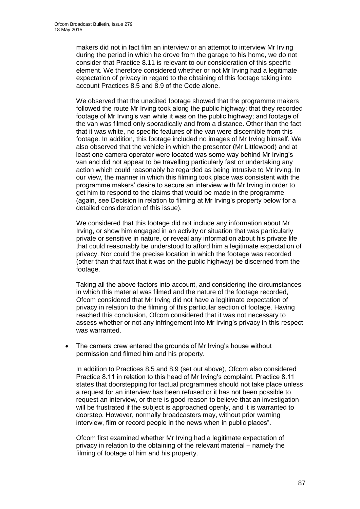makers did not in fact film an interview or an attempt to interview Mr Irving during the period in which he drove from the garage to his home, we do not consider that Practice 8.11 is relevant to our consideration of this specific element. We therefore considered whether or not Mr Irving had a legitimate expectation of privacy in regard to the obtaining of this footage taking into account Practices 8.5 and 8.9 of the Code alone.

We observed that the unedited footage showed that the programme makers followed the route Mr Irving took along the public highway; that they recorded footage of Mr Irving's van while it was on the public highway; and footage of the van was filmed only sporadically and from a distance. Other than the fact that it was white, no specific features of the van were discernible from this footage. In addition, this footage included no images of Mr Irving himself. We also observed that the vehicle in which the presenter (Mr Littlewood) and at least one camera operator were located was some way behind Mr Irving's van and did not appear to be travelling particularly fast or undertaking any action which could reasonably be regarded as being intrusive to Mr Irving. In our view, the manner in which this filming took place was consistent with the programme makers' desire to secure an interview with Mr Irving in order to get him to respond to the claims that would be made in the programme (again, see Decision in relation to filming at Mr Irving's property below for a detailed consideration of this issue).

We considered that this footage did not include any information about Mr Irving, or show him engaged in an activity or situation that was particularly private or sensitive in nature, or reveal any information about his private life that could reasonably be understood to afford him a legitimate expectation of privacy. Nor could the precise location in which the footage was recorded (other than that fact that it was on the public highway) be discerned from the footage.

Taking all the above factors into account, and considering the circumstances in which this material was filmed and the nature of the footage recorded, Ofcom considered that Mr Irving did not have a legitimate expectation of privacy in relation to the filming of this particular section of footage. Having reached this conclusion, Ofcom considered that it was not necessary to assess whether or not any infringement into Mr Irving's privacy in this respect was warranted.

 The camera crew entered the grounds of Mr Irving's house without permission and filmed him and his property.

In addition to Practices 8.5 and 8.9 (set out above), Ofcom also considered Practice 8.11 in relation to this head of Mr Irving's complaint. Practice 8.11 states that doorstepping for factual programmes should not take place unless a request for an interview has been refused or it has not been possible to request an interview, or there is good reason to believe that an investigation will be frustrated if the subject is approached openly, and it is warranted to doorstep. However, normally broadcasters may, without prior warning interview, film or record people in the news when in public places".

Ofcom first examined whether Mr Irving had a legitimate expectation of privacy in relation to the obtaining of the relevant material – namely the filming of footage of him and his property.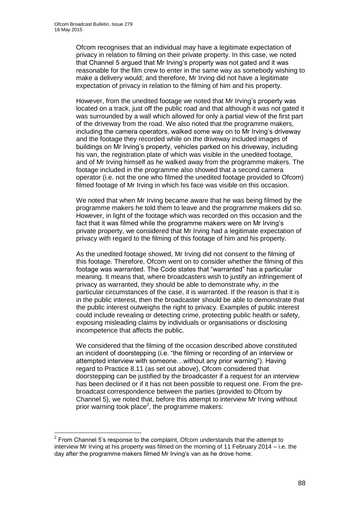1

Ofcom recognises that an individual may have a legitimate expectation of privacy in relation to filming on their private property. In this case, we noted that Channel 5 argued that Mr Irving's property was not gated and it was reasonable for the film crew to enter in the same way as somebody wishing to make a delivery would; and therefore, Mr Irving did not have a legitimate expectation of privacy in relation to the filming of him and his property.

However, from the unedited footage we noted that Mr Irving's property was located on a track, just off the public road and that although it was not gated it was surrounded by a wall which allowed for only a partial view of the first part of the driveway from the road. We also noted that the programme makers, including the camera operators, walked some way on to Mr Irving's driveway and the footage they recorded while on the driveway included images of buildings on Mr Irving's property, vehicles parked on his driveway, including his van, the registration plate of which was visible in the unedited footage, and of Mr Irving himself as he walked away from the programme makers. The footage included in the programme also showed that a second camera operator (i.e. not the one who filmed the unedited footage provided to Ofcom) filmed footage of Mr Irving in which his face was visible on this occasion.

We noted that when Mr Irving became aware that he was being filmed by the programme makers he told them to leave and the programme makers did so. However, in light of the footage which was recorded on this occasion and the fact that it was filmed while the programme makers were on Mr Irving's private property, we considered that Mr Irving had a legitimate expectation of privacy with regard to the filming of this footage of him and his property.

As the unedited footage showed, Mr Irving did not consent to the filming of this footage. Therefore, Ofcom went on to consider whether the filming of this footage was warranted. The Code states that "warranted" has a particular meaning. It means that, where broadcasters wish to justify an infringement of privacy as warranted, they should be able to demonstrate why, in the particular circumstances of the case, it is warranted. If the reason is that it is in the public interest, then the broadcaster should be able to demonstrate that the public interest outweighs the right to privacy. Examples of public interest could include revealing or detecting crime, protecting public health or safety, exposing misleading claims by individuals or organisations or disclosing incompetence that affects the public.

We considered that the filming of the occasion described above constituted an incident of doorstepping (i.e. "the filming or recording of an interview or attempted interview with someone…without any prior warning"). Having regard to Practice 8.11 (as set out above), Ofcom considered that doorstepping can be justified by the broadcaster if a request for an interview has been declined or if it has not been possible to request one. From the prebroadcast correspondence between the parties (provided to Ofcom by Channel 5), we noted that, before this attempt to interview Mr Irving without prior warning took place<sup>2</sup>, the programme makers:

 $2$  From Channel 5's response to the complaint, Ofcom understands that the attempt to interview Mr Irving at his property was filmed on the morning of 11 February 2014 – i.e. the day after the programme makers filmed Mr Irving's van as he drove home.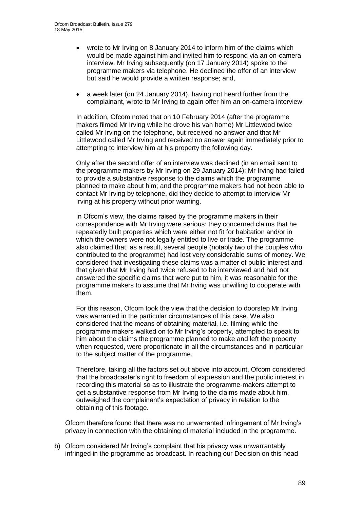- wrote to Mr Irving on 8 January 2014 to inform him of the claims which would be made against him and invited him to respond via an on-camera interview. Mr Irving subsequently (on 17 January 2014) spoke to the programme makers via telephone. He declined the offer of an interview but said he would provide a written response; and,
- a week later (on 24 January 2014), having not heard further from the complainant, wrote to Mr Irving to again offer him an on-camera interview.

In addition, Ofcom noted that on 10 February 2014 (after the programme makers filmed Mr Irving while he drove his van home) Mr Littlewood twice called Mr Irving on the telephone, but received no answer and that Mr Littlewood called Mr Irving and received no answer again immediately prior to attempting to interview him at his property the following day.

Only after the second offer of an interview was declined (in an email sent to the programme makers by Mr Irving on 29 January 2014); Mr Irving had failed to provide a substantive response to the claims which the programme planned to make about him; and the programme makers had not been able to contact Mr Irving by telephone, did they decide to attempt to interview Mr Irving at his property without prior warning.

In Ofcom's view, the claims raised by the programme makers in their correspondence with Mr Irving were serious: they concerned claims that he repeatedly built properties which were either not fit for habitation and/or in which the owners were not legally entitled to live or trade. The programme also claimed that, as a result, several people (notably two of the couples who contributed to the programme) had lost very considerable sums of money. We considered that investigating these claims was a matter of public interest and that given that Mr Irving had twice refused to be interviewed and had not answered the specific claims that were put to him, it was reasonable for the programme makers to assume that Mr Irving was unwilling to cooperate with them.

For this reason, Ofcom took the view that the decision to doorstep Mr Irving was warranted in the particular circumstances of this case. We also considered that the means of obtaining material, i.e. filming while the programme makers walked on to Mr Irving's property, attempted to speak to him about the claims the programme planned to make and left the property when requested, were proportionate in all the circumstances and in particular to the subject matter of the programme.

Therefore, taking all the factors set out above into account, Ofcom considered that the broadcaster's right to freedom of expression and the public interest in recording this material so as to illustrate the programme-makers attempt to get a substantive response from Mr Irving to the claims made about him, outweighed the complainant's expectation of privacy in relation to the obtaining of this footage.

Ofcom therefore found that there was no unwarranted infringement of Mr Irving's privacy in connection with the obtaining of material included in the programme.

b) Ofcom considered Mr Irving's complaint that his privacy was unwarrantably infringed in the programme as broadcast. In reaching our Decision on this head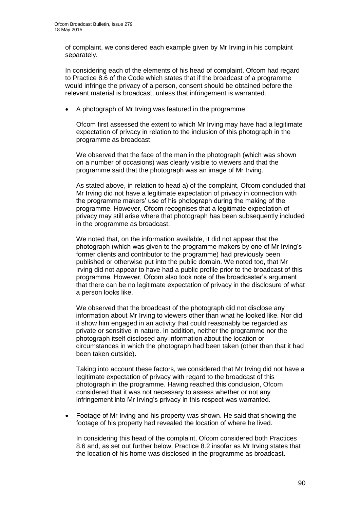of complaint, we considered each example given by Mr Irving in his complaint separately.

In considering each of the elements of his head of complaint, Ofcom had regard to Practice 8.6 of the Code which states that if the broadcast of a programme would infringe the privacy of a person, consent should be obtained before the relevant material is broadcast, unless that infringement is warranted.

A photograph of Mr Irving was featured in the programme.

Ofcom first assessed the extent to which Mr Irving may have had a legitimate expectation of privacy in relation to the inclusion of this photograph in the programme as broadcast.

We observed that the face of the man in the photograph (which was shown on a number of occasions) was clearly visible to viewers and that the programme said that the photograph was an image of Mr Irving.

As stated above, in relation to head a) of the complaint, Ofcom concluded that Mr Irving did not have a legitimate expectation of privacy in connection with the programme makers' use of his photograph during the making of the programme. However, Ofcom recognises that a legitimate expectation of privacy may still arise where that photograph has been subsequently included in the programme as broadcast.

We noted that, on the information available, it did not appear that the photograph (which was given to the programme makers by one of Mr Irving's former clients and contributor to the programme) had previously been published or otherwise put into the public domain. We noted too, that Mr Irving did not appear to have had a public profile prior to the broadcast of this programme. However, Ofcom also took note of the broadcaster's argument that there can be no legitimate expectation of privacy in the disclosure of what a person looks like.

We observed that the broadcast of the photograph did not disclose any information about Mr Irving to viewers other than what he looked like. Nor did it show him engaged in an activity that could reasonably be regarded as private or sensitive in nature. In addition, neither the programme nor the photograph itself disclosed any information about the location or circumstances in which the photograph had been taken (other than that it had been taken outside).

Taking into account these factors, we considered that Mr Irving did not have a legitimate expectation of privacy with regard to the broadcast of this photograph in the programme. Having reached this conclusion, Ofcom considered that it was not necessary to assess whether or not any infringement into Mr Irving's privacy in this respect was warranted.

 Footage of Mr Irving and his property was shown. He said that showing the footage of his property had revealed the location of where he lived.

In considering this head of the complaint, Ofcom considered both Practices 8.6 and, as set out further below, Practice 8.2 insofar as Mr Irving states that the location of his home was disclosed in the programme as broadcast.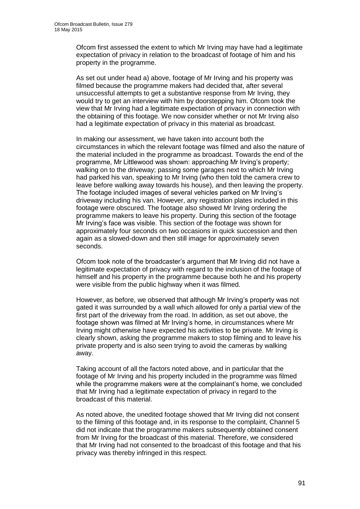Ofcom first assessed the extent to which Mr Irving may have had a legitimate expectation of privacy in relation to the broadcast of footage of him and his property in the programme.

As set out under head a) above, footage of Mr Irving and his property was filmed because the programme makers had decided that, after several unsuccessful attempts to get a substantive response from Mr Irving, they would try to get an interview with him by doorstepping him. Ofcom took the view that Mr Irving had a legitimate expectation of privacy in connection with the obtaining of this footage. We now consider whether or not Mr Irving also had a legitimate expectation of privacy in this material as broadcast.

In making our assessment, we have taken into account both the circumstances in which the relevant footage was filmed and also the nature of the material included in the programme as broadcast. Towards the end of the programme, Mr Littlewood was shown: approaching Mr Irving's property; walking on to the driveway; passing some garages next to which Mr Irving had parked his van, speaking to Mr Irving (who then told the camera crew to leave before walking away towards his house), and then leaving the property. The footage included images of several vehicles parked on Mr Irving's driveway including his van. However, any registration plates included in this footage were obscured. The footage also showed Mr Irving ordering the programme makers to leave his property. During this section of the footage Mr Irving's face was visible. This section of the footage was shown for approximately four seconds on two occasions in quick succession and then again as a slowed-down and then still image for approximately seven seconds.

Ofcom took note of the broadcaster's argument that Mr Irving did not have a legitimate expectation of privacy with regard to the inclusion of the footage of himself and his property in the programme because both he and his property were visible from the public highway when it was filmed.

However, as before, we observed that although Mr Irving's property was not gated it was surrounded by a wall which allowed for only a partial view of the first part of the driveway from the road. In addition, as set out above, the footage shown was filmed at Mr Irving's home, in circumstances where Mr Irving might otherwise have expected his activities to be private. Mr Irving is clearly shown, asking the programme makers to stop filming and to leave his private property and is also seen trying to avoid the cameras by walking away.

Taking account of all the factors noted above, and in particular that the footage of Mr Irving and his property included in the programme was filmed while the programme makers were at the complainant's home, we concluded that Mr Irving had a legitimate expectation of privacy in regard to the broadcast of this material.

As noted above, the unedited footage showed that Mr Irving did not consent to the filming of this footage and, in its response to the complaint, Channel 5 did not indicate that the programme makers subsequently obtained consent from Mr Irving for the broadcast of this material. Therefore, we considered that Mr Irving had not consented to the broadcast of this footage and that his privacy was thereby infringed in this respect.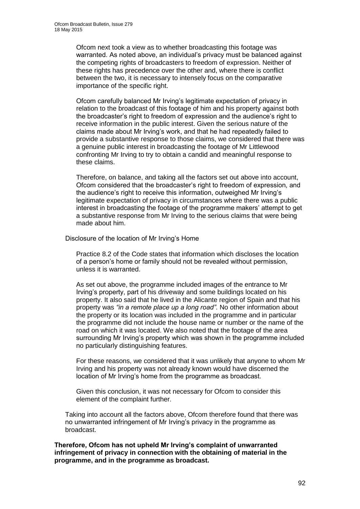Ofcom next took a view as to whether broadcasting this footage was warranted. As noted above, an individual's privacy must be balanced against the competing rights of broadcasters to freedom of expression. Neither of these rights has precedence over the other and, where there is conflict between the two, it is necessary to intensely focus on the comparative importance of the specific right.

Ofcom carefully balanced Mr Irving's legitimate expectation of privacy in relation to the broadcast of this footage of him and his property against both the broadcaster's right to freedom of expression and the audience's right to receive information in the public interest. Given the serious nature of the claims made about Mr Irving's work, and that he had repeatedly failed to provide a substantive response to those claims, we considered that there was a genuine public interest in broadcasting the footage of Mr Littlewood confronting Mr Irving to try to obtain a candid and meaningful response to these claims.

Therefore, on balance, and taking all the factors set out above into account, Ofcom considered that the broadcaster's right to freedom of expression, and the audience's right to receive this information, outweighed Mr Irving's legitimate expectation of privacy in circumstances where there was a public interest in broadcasting the footage of the programme makers' attempt to get a substantive response from Mr Irving to the serious claims that were being made about him.

Disclosure of the location of Mr Irving's Home

Practice 8.2 of the Code states that information which discloses the location of a person's home or family should not be revealed without permission, unless it is warranted.

As set out above, the programme included images of the entrance to Mr Irving's property, part of his driveway and some buildings located on his property. It also said that he lived in the Alicante region of Spain and that his property was *"in a remote place up a long road"*. No other information about the property or its location was included in the programme and in particular the programme did not include the house name or number or the name of the road on which it was located. We also noted that the footage of the area surrounding Mr Irving's property which was shown in the programme included no particularly distinguishing features.

For these reasons, we considered that it was unlikely that anyone to whom Mr Irving and his property was not already known would have discerned the location of Mr Irving's home from the programme as broadcast.

Given this conclusion, it was not necessary for Ofcom to consider this element of the complaint further.

Taking into account all the factors above, Ofcom therefore found that there was no unwarranted infringement of Mr Irving's privacy in the programme as broadcast.

**Therefore, Ofcom has not upheld Mr Irving's complaint of unwarranted infringement of privacy in connection with the obtaining of material in the programme, and in the programme as broadcast.**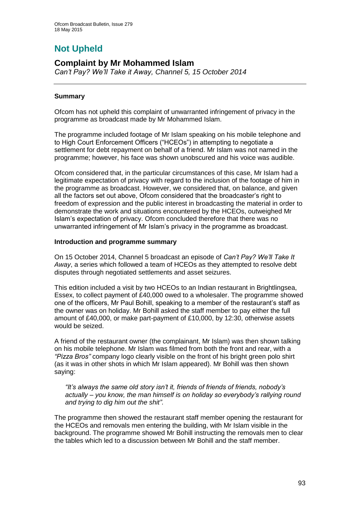# **Not Upheld**

# **Complaint by Mr Mohammed Islam**

*Can't Pay? We'll Take it Away, Channel 5, 15 October 2014*

# **Summary**

Ofcom has not upheld this complaint of unwarranted infringement of privacy in the programme as broadcast made by Mr Mohammed Islam.

The programme included footage of Mr Islam speaking on his mobile telephone and to High Court Enforcement Officers ("HCEOs") in attempting to negotiate a settlement for debt repayment on behalf of a friend. Mr Islam was not named in the programme; however, his face was shown unobscured and his voice was audible.

Ofcom considered that, in the particular circumstances of this case, Mr Islam had a legitimate expectation of privacy with regard to the inclusion of the footage of him in the programme as broadcast. However, we considered that, on balance, and given all the factors set out above, Ofcom considered that the broadcaster's right to freedom of expression and the public interest in broadcasting the material in order to demonstrate the work and situations encountered by the HCEOs, outweighed Mr Islam's expectation of privacy. Ofcom concluded therefore that there was no unwarranted infringement of Mr Islam's privacy in the programme as broadcast.

# **Introduction and programme summary**

On 15 October 2014, Channel 5 broadcast an episode of *Can't Pay? We'll Take It Away*, a series which followed a team of HCEOs as they attempted to resolve debt disputes through negotiated settlements and asset seizures.

This edition included a visit by two HCEOs to an Indian restaurant in Brightlingsea, Essex, to collect payment of £40,000 owed to a wholesaler. The programme showed one of the officers, Mr Paul Bohill, speaking to a member of the restaurant's staff as the owner was on holiday. Mr Bohill asked the staff member to pay either the full amount of £40,000, or make part-payment of £10,000, by 12:30, otherwise assets would be seized.

A friend of the restaurant owner (the complainant, Mr Islam) was then shown talking on his mobile telephone. Mr Islam was filmed from both the front and rear, with a *"Pizza Bros"* company logo clearly visible on the front of his bright green polo shirt (as it was in other shots in which Mr Islam appeared). Mr Bohill was then shown saying:

*"It's always the same old story isn't it, friends of friends of friends, nobody's actually – you know, the man himself is on holiday so everybody's rallying round and trying to dig him out the shit"*.

The programme then showed the restaurant staff member opening the restaurant for the HCEOs and removals men entering the building, with Mr Islam visible in the background. The programme showed Mr Bohill instructing the removals men to clear the tables which led to a discussion between Mr Bohill and the staff member.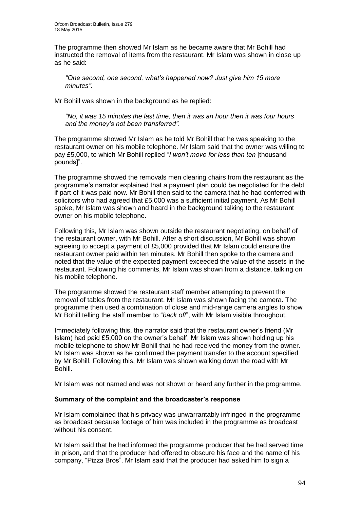The programme then showed Mr Islam as he became aware that Mr Bohill had instructed the removal of items from the restaurant. Mr Islam was shown in close up as he said:

*"One second, one second, what's happened now? Just give him 15 more minutes"*.

Mr Bohill was shown in the background as he replied:

*"No, it was 15 minutes the last time, then it was an hour then it was four hours and the money's not been transferred"*.

The programme showed Mr Islam as he told Mr Bohill that he was speaking to the restaurant owner on his mobile telephone. Mr Islam said that the owner was willing to pay £5,000, to which Mr Bohill replied "*I won't move for less than ten* [thousand pounds]".

The programme showed the removals men clearing chairs from the restaurant as the programme's narrator explained that a payment plan could be negotiated for the debt if part of it was paid now. Mr Bohill then said to the camera that he had conferred with solicitors who had agreed that £5,000 was a sufficient initial payment. As Mr Bohill spoke, Mr Islam was shown and heard in the background talking to the restaurant owner on his mobile telephone.

Following this, Mr Islam was shown outside the restaurant negotiating, on behalf of the restaurant owner, with Mr Bohill. After a short discussion, Mr Bohill was shown agreeing to accept a payment of £5,000 provided that Mr Islam could ensure the restaurant owner paid within ten minutes. Mr Bohill then spoke to the camera and noted that the value of the expected payment exceeded the value of the assets in the restaurant. Following his comments, Mr Islam was shown from a distance, talking on his mobile telephone.

The programme showed the restaurant staff member attempting to prevent the removal of tables from the restaurant. Mr Islam was shown facing the camera. The programme then used a combination of close and mid-range camera angles to show Mr Bohill telling the staff member to "*back off*", with Mr Islam visible throughout.

Immediately following this, the narrator said that the restaurant owner's friend (Mr Islam) had paid £5,000 on the owner's behalf. Mr Islam was shown holding up his mobile telephone to show Mr Bohill that he had received the money from the owner. Mr Islam was shown as he confirmed the payment transfer to the account specified by Mr Bohill. Following this, Mr Islam was shown walking down the road with Mr Bohill.

Mr Islam was not named and was not shown or heard any further in the programme.

#### **Summary of the complaint and the broadcaster's response**

Mr Islam complained that his privacy was unwarrantably infringed in the programme as broadcast because footage of him was included in the programme as broadcast without his consent.

Mr Islam said that he had informed the programme producer that he had served time in prison, and that the producer had offered to obscure his face and the name of his company, "Pizza Bros". Mr Islam said that the producer had asked him to sign a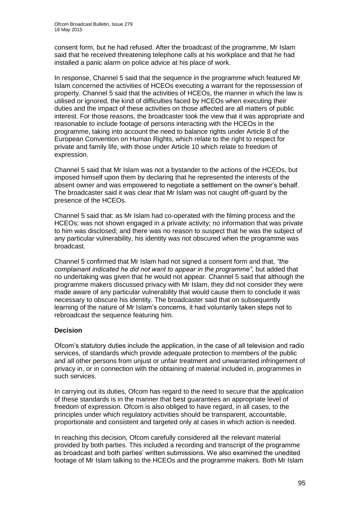consent form, but he had refused. After the broadcast of the programme, Mr Islam said that he received threatening telephone calls at his workplace and that he had installed a panic alarm on police advice at his place of work.

In response, Channel 5 said that the sequence in the programme which featured Mr Islam concerned the activities of HCEOs executing a warrant for the repossession of property. Channel 5 said that the activities of HCEOs, the manner in which the law is utilised or ignored, the kind of difficulties faced by HCEOs when executing their duties and the impact of these activities on those affected are all matters of public interest. For those reasons, the broadcaster took the view that it was appropriate and reasonable to include footage of persons interacting with the HCEOs in the programme, taking into account the need to balance rights under Article 8 of the European Convention on Human Rights, which relate to the right to respect for private and family life, with those under Article 10 which relate to freedom of expression.

Channel 5 said that Mr Islam was not a bystander to the actions of the HCEOs, but imposed himself upon them by declaring that he represented the interests of the absent owner and was empowered to negotiate a settlement on the owner's behalf. The broadcaster said it was clear that Mr Islam was not caught off-guard by the presence of the HCEOs.

Channel 5 said that: as Mr Islam had co-operated with the filming process and the HCEOs; was not shown engaged in a private activity; no information that was private to him was disclosed; and there was no reason to suspect that he was the subject of any particular vulnerability, his identity was not obscured when the programme was broadcast.

Channel 5 confirmed that Mr Islam had not signed a consent form and that, *"the complainant indicated he did not want to appear in the programme"*, but added that no undertaking was given that he would not appear. Channel 5 said that although the programme makers discussed privacy with Mr Islam, they did not consider they were made aware of any particular vulnerability that would cause them to conclude it was necessary to obscure his identity. The broadcaster said that on subsequently learning of the nature of Mr Islam's concerns, it had voluntarily taken steps not to rebroadcast the sequence featuring him.

# **Decision**

Ofcom's statutory duties include the application, in the case of all television and radio services, of standards which provide adequate protection to members of the public and all other persons from unjust or unfair treatment and unwarranted infringement of privacy in, or in connection with the obtaining of material included in, programmes in such services.

In carrying out its duties, Ofcom has regard to the need to secure that the application of these standards is in the manner that best guarantees an appropriate level of freedom of expression. Ofcom is also obliged to have regard, in all cases, to the principles under which regulatory activities should be transparent, accountable, proportionate and consistent and targeted only at cases in which action is needed.

In reaching this decision, Ofcom carefully considered all the relevant material provided by both parties. This included a recording and transcript of the programme as broadcast and both parties' written submissions. We also examined the unedited footage of Mr Islam talking to the HCEOs and the programme makers. Both Mr Islam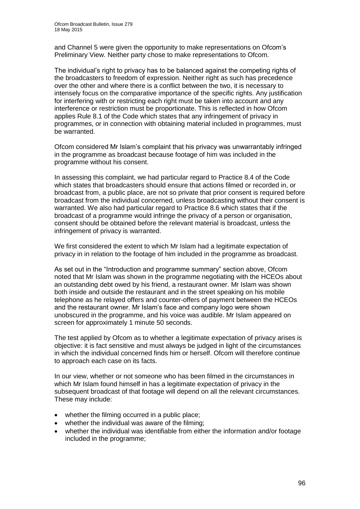and Channel 5 were given the opportunity to make representations on Ofcom's Preliminary View. Neither party chose to make representations to Ofcom.

The individual's right to privacy has to be balanced against the competing rights of the broadcasters to freedom of expression. Neither right as such has precedence over the other and where there is a conflict between the two, it is necessary to intensely focus on the comparative importance of the specific rights. Any justification for interfering with or restricting each right must be taken into account and any interference or restriction must be proportionate. This is reflected in how Ofcom applies Rule 8.1 of the Code which states that any infringement of privacy in programmes, or in connection with obtaining material included in programmes, must be warranted.

Ofcom considered Mr Islam's complaint that his privacy was unwarrantably infringed in the programme as broadcast because footage of him was included in the programme without his consent.

In assessing this complaint, we had particular regard to Practice 8.4 of the Code which states that broadcasters should ensure that actions filmed or recorded in, or broadcast from, a public place, are not so private that prior consent is required before broadcast from the individual concerned, unless broadcasting without their consent is warranted. We also had particular regard to Practice 8.6 which states that if the broadcast of a programme would infringe the privacy of a person or organisation, consent should be obtained before the relevant material is broadcast, unless the infringement of privacy is warranted.

We first considered the extent to which Mr Islam had a legitimate expectation of privacy in in relation to the footage of him included in the programme as broadcast.

As set out in the "Introduction and programme summary" section above, Ofcom noted that Mr Islam was shown in the programme negotiating with the HCEOs about an outstanding debt owed by his friend, a restaurant owner. Mr Islam was shown both inside and outside the restaurant and in the street speaking on his mobile telephone as he relayed offers and counter-offers of payment between the HCEOs and the restaurant owner. Mr Islam's face and company logo were shown unobscured in the programme, and his voice was audible. Mr Islam appeared on screen for approximately 1 minute 50 seconds.

The test applied by Ofcom as to whether a legitimate expectation of privacy arises is objective: it is fact sensitive and must always be judged in light of the circumstances in which the individual concerned finds him or herself. Ofcom will therefore continue to approach each case on its facts.

In our view, whether or not someone who has been filmed in the circumstances in which Mr Islam found himself in has a legitimate expectation of privacy in the subsequent broadcast of that footage will depend on all the relevant circumstances. These may include:

- whether the filming occurred in a public place;
- whether the individual was aware of the filming;
- whether the individual was identifiable from either the information and/or footage included in the programme;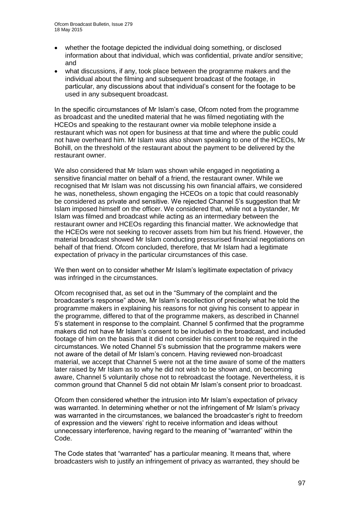- whether the footage depicted the individual doing something, or disclosed information about that individual, which was confidential, private and/or sensitive; and
- what discussions, if any, took place between the programme makers and the individual about the filming and subsequent broadcast of the footage, in particular, any discussions about that individual's consent for the footage to be used in any subsequent broadcast.

In the specific circumstances of Mr Islam's case, Ofcom noted from the programme as broadcast and the unedited material that he was filmed negotiating with the HCEOs and speaking to the restaurant owner via mobile telephone inside a restaurant which was not open for business at that time and where the public could not have overheard him. Mr Islam was also shown speaking to one of the HCEOs, Mr Bohill, on the threshold of the restaurant about the payment to be delivered by the restaurant owner.

We also considered that Mr Islam was shown while engaged in negotiating a sensitive financial matter on behalf of a friend, the restaurant owner. While we recognised that Mr Islam was not discussing his own financial affairs, we considered he was, nonetheless, shown engaging the HCEOs on a topic that could reasonably be considered as private and sensitive. We rejected Channel 5's suggestion that Mr Islam imposed himself on the officer. We considered that, while not a bystander, Mr Islam was filmed and broadcast while acting as an intermediary between the restaurant owner and HCEOs regarding this financial matter. We acknowledge that the HCEOs were not seeking to recover assets from him but his friend. However, the material broadcast showed Mr Islam conducting pressurised financial negotiations on behalf of that friend. Ofcom concluded, therefore, that Mr Islam had a legitimate expectation of privacy in the particular circumstances of this case.

We then went on to consider whether Mr Islam's legitimate expectation of privacy was infringed in the circumstances.

Ofcom recognised that, as set out in the "Summary of the complaint and the broadcaster's response" above, Mr Islam's recollection of precisely what he told the programme makers in explaining his reasons for not giving his consent to appear in the programme, differed to that of the programme makers, as described in Channel 5's statement in response to the complaint. Channel 5 confirmed that the programme makers did not have Mr Islam's consent to be included in the broadcast, and included footage of him on the basis that it did not consider his consent to be required in the circumstances. We noted Channel 5's submission that the programme makers were not aware of the detail of Mr Islam's concern. Having reviewed non-broadcast material, we accept that Channel 5 were not at the time aware of some of the matters later raised by Mr Islam as to why he did not wish to be shown and, on becoming aware, Channel 5 voluntarily chose not to rebroadcast the footage. Nevertheless, it is common ground that Channel 5 did not obtain Mr Islam's consent prior to broadcast.

Ofcom then considered whether the intrusion into Mr Islam's expectation of privacy was warranted. In determining whether or not the infringement of Mr Islam's privacy was warranted in the circumstances, we balanced the broadcaster's right to freedom of expression and the viewers' right to receive information and ideas without unnecessary interference, having regard to the meaning of "warranted" within the Code.

The Code states that "warranted" has a particular meaning. It means that, where broadcasters wish to justify an infringement of privacy as warranted, they should be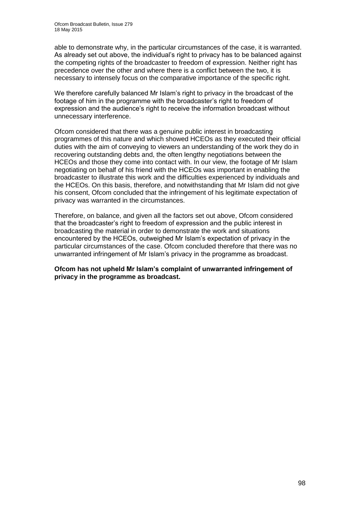able to demonstrate why, in the particular circumstances of the case, it is warranted. As already set out above, the individual's right to privacy has to be balanced against the competing rights of the broadcaster to freedom of expression. Neither right has precedence over the other and where there is a conflict between the two, it is necessary to intensely focus on the comparative importance of the specific right.

We therefore carefully balanced Mr Islam's right to privacy in the broadcast of the footage of him in the programme with the broadcaster's right to freedom of expression and the audience's right to receive the information broadcast without unnecessary interference.

Ofcom considered that there was a genuine public interest in broadcasting programmes of this nature and which showed HCEOs as they executed their official duties with the aim of conveying to viewers an understanding of the work they do in recovering outstanding debts and, the often lengthy negotiations between the HCEOs and those they come into contact with. In our view, the footage of Mr Islam negotiating on behalf of his friend with the HCEOs was important in enabling the broadcaster to illustrate this work and the difficulties experienced by individuals and the HCEOs. On this basis, therefore, and notwithstanding that Mr Islam did not give his consent, Ofcom concluded that the infringement of his legitimate expectation of privacy was warranted in the circumstances.

Therefore, on balance, and given all the factors set out above, Ofcom considered that the broadcaster's right to freedom of expression and the public interest in broadcasting the material in order to demonstrate the work and situations encountered by the HCEOs, outweighed Mr Islam's expectation of privacy in the particular circumstances of the case. Ofcom concluded therefore that there was no unwarranted infringement of Mr Islam's privacy in the programme as broadcast.

**Ofcom has not upheld Mr Islam's complaint of unwarranted infringement of privacy in the programme as broadcast.**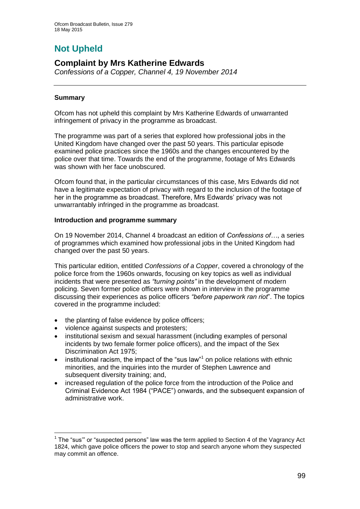# **Not Upheld**

# **Complaint by Mrs Katherine Edwards**

*Confessions of a Copper, Channel 4, 19 November 2014*

# **Summary**

1

Ofcom has not upheld this complaint by Mrs Katherine Edwards of unwarranted infringement of privacy in the programme as broadcast.

The programme was part of a series that explored how professional jobs in the United Kingdom have changed over the past 50 years. This particular episode examined police practices since the 1960s and the changes encountered by the police over that time. Towards the end of the programme, footage of Mrs Edwards was shown with her face unobscured.

Ofcom found that, in the particular circumstances of this case, Mrs Edwards did not have a legitimate expectation of privacy with regard to the inclusion of the footage of her in the programme as broadcast. Therefore, Mrs Edwards' privacy was not unwarrantably infringed in the programme as broadcast.

# **Introduction and programme summary**

On 19 November 2014, Channel 4 broadcast an edition of *Confessions of…*, a series of programmes which examined how professional jobs in the United Kingdom had changed over the past 50 years.

This particular edition, entitled *Confessions of a Copper*, covered a chronology of the police force from the 1960s onwards, focusing on key topics as well as individual incidents that were presented as *"turning points"* in the development of modern policing. Seven former police officers were shown in interview in the programme discussing their experiences as police officers *"before paperwork ran riot*". The topics covered in the programme included:

- the planting of false evidence by police officers;
- violence against suspects and protesters;
- institutional sexism and sexual harassment (including examples of personal incidents by two female former police officers), and the impact of the Sex Discrimination Act 1975;
- $\bullet$  institutional racism, the impact of the "sus law"<sup>1</sup> on police relations with ethnic minorities, and the inquiries into the murder of Stephen Lawrence and subsequent diversity training; and,
- increased regulation of the police force from the introduction of the Police and Criminal Evidence Act 1984 ("PACE") onwards, and the subsequent expansion of administrative work.

 $1$  The "sus" or "suspected persons" law was the term applied to Section 4 of the Vagrancy Act 1824, which gave police officers the power to stop and search anyone whom they suspected may commit an offence.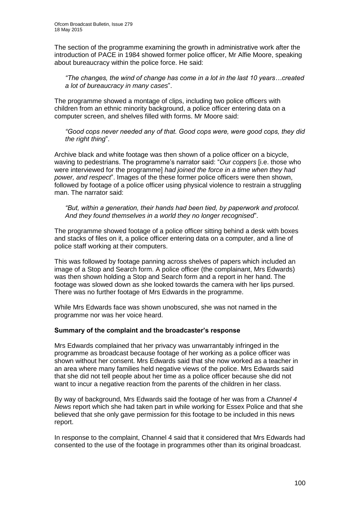The section of the programme examining the growth in administrative work after the introduction of PACE in 1984 showed former police officer, Mr Alfie Moore, speaking about bureaucracy within the police force. He said:

*"The changes, the wind of change has come in a lot in the last 10 years…created a lot of bureaucracy in many cases*".

The programme showed a montage of clips, including two police officers with children from an ethnic minority background, a police officer entering data on a computer screen, and shelves filled with forms. Mr Moore said:

*"Good cops never needed any of that. Good cops were, were good cops, they did the right thing*".

Archive black and white footage was then shown of a police officer on a bicycle, waving to pedestrians. The programme's narrator said: "*Our coppers* [i.e. those who were interviewed for the programme] *had joined the force in a time when they had power, and respect*". Images of the these former police officers were then shown, followed by footage of a police officer using physical violence to restrain a struggling man. The narrator said:

*"But, within a generation, their hands had been tied, by paperwork and protocol. And they found themselves in a world they no longer recognised*".

The programme showed footage of a police officer sitting behind a desk with boxes and stacks of files on it, a police officer entering data on a computer, and a line of police staff working at their computers.

This was followed by footage panning across shelves of papers which included an image of a Stop and Search form. A police officer (the complainant, Mrs Edwards) was then shown holding a Stop and Search form and a report in her hand. The footage was slowed down as she looked towards the camera with her lips pursed. There was no further footage of Mrs Edwards in the programme.

While Mrs Edwards face was shown unobscured, she was not named in the programme nor was her voice heard.

# **Summary of the complaint and the broadcaster's response**

Mrs Edwards complained that her privacy was unwarrantably infringed in the programme as broadcast because footage of her working as a police officer was shown without her consent. Mrs Edwards said that she now worked as a teacher in an area where many families held negative views of the police. Mrs Edwards said that she did not tell people about her time as a police officer because she did not want to incur a negative reaction from the parents of the children in her class.

By way of background, Mrs Edwards said the footage of her was from a *Channel 4 News* report which she had taken part in while working for Essex Police and that she believed that she only gave permission for this footage to be included in this news report.

In response to the complaint, Channel 4 said that it considered that Mrs Edwards had consented to the use of the footage in programmes other than its original broadcast.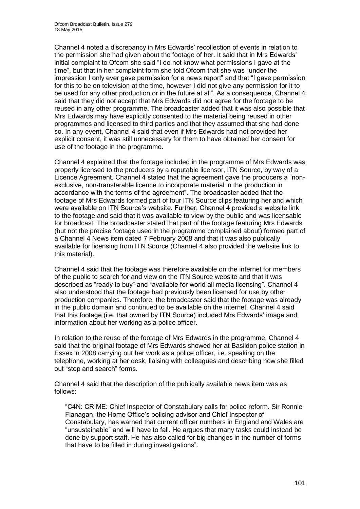Channel 4 noted a discrepancy in Mrs Edwards' recollection of events in relation to the permission she had given about the footage of her. It said that in Mrs Edwards' initial complaint to Ofcom she said "I do not know what permissions I gave at the time", but that in her complaint form she told Ofcom that she was "under the impression I only ever gave permission for a news report" and that "I gave permission for this to be on television at the time, however I did not give any permission for it to be used for any other production or in the future at all". As a consequence, Channel 4 said that they did not accept that Mrs Edwards did not agree for the footage to be reused in any other programme. The broadcaster added that it was also possible that Mrs Edwards may have explicitly consented to the material being reused in other programmes and licensed to third parties and that they assumed that she had done so. In any event, Channel 4 said that even if Mrs Edwards had not provided her explicit consent, it was still unnecessary for them to have obtained her consent for use of the footage in the programme.

Channel 4 explained that the footage included in the programme of Mrs Edwards was properly licensed to the producers by a reputable licensor, ITN Source, by way of a Licence Agreement. Channel 4 stated that the agreement gave the producers a "nonexclusive, non-transferable licence to incorporate material in the production in accordance with the terms of the agreement". The broadcaster added that the footage of Mrs Edwards formed part of four ITN Source clips featuring her and which were available on ITN Source's website. Further, Channel 4 provided a website link to the footage and said that it was available to view by the public and was licensable for broadcast. The broadcaster stated that part of the footage featuring Mrs Edwards (but not the precise footage used in the programme complained about) formed part of a Channel 4 News item dated 7 February 2008 and that it was also publically available for licensing from ITN Source (Channel 4 also provided the website link to this material).

Channel 4 said that the footage was therefore available on the internet for members of the public to search for and view on the ITN Source website and that it was described as "ready to buy" and "available for world all media licensing". Channel 4 also understood that the footage had previously been licensed for use by other production companies. Therefore, the broadcaster said that the footage was already in the public domain and continued to be available on the internet. Channel 4 said that this footage (i.e. that owned by ITN Source) included Mrs Edwards' image and information about her working as a police officer.

In relation to the reuse of the footage of Mrs Edwards in the programme, Channel 4 said that the original footage of Mrs Edwards showed her at Basildon police station in Essex in 2008 carrying out her work as a police officer, i.e. speaking on the telephone, working at her desk, liaising with colleagues and describing how she filled out "stop and search" forms.

Channel 4 said that the description of the publically available news item was as follows:

"C4N: CRIME: Chief Inspector of Constabulary calls for police reform. Sir Ronnie Flanagan, the Home Office's policing advisor and Chief Inspector of Constabulary, has warned that current officer numbers in England and Wales are "unsustainable" and will have to fall. He argues that many tasks could instead be done by support staff. He has also called for big changes in the number of forms that have to be filled in during investigations".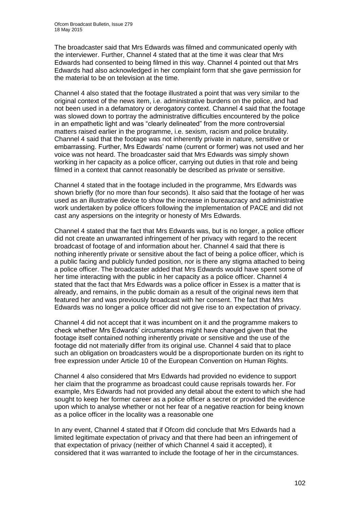The broadcaster said that Mrs Edwards was filmed and communicated openly with the interviewer. Further, Channel 4 stated that at the time it was clear that Mrs Edwards had consented to being filmed in this way. Channel 4 pointed out that Mrs Edwards had also acknowledged in her complaint form that she gave permission for the material to be on television at the time.

Channel 4 also stated that the footage illustrated a point that was very similar to the original context of the news item, i.e. administrative burdens on the police, and had not been used in a defamatory or derogatory context. Channel 4 said that the footage was slowed down to portray the administrative difficulties encountered by the police in an empathetic light and was "clearly delineated" from the more controversial matters raised earlier in the programme, i.e. sexism, racism and police brutality. Channel 4 said that the footage was not inherently private in nature, sensitive or embarrassing. Further, Mrs Edwards' name (current or former) was not used and her voice was not heard. The broadcaster said that Mrs Edwards was simply shown working in her capacity as a police officer, carrying out duties in that role and being filmed in a context that cannot reasonably be described as private or sensitive.

Channel 4 stated that in the footage included in the programme, Mrs Edwards was shown briefly (for no more than four seconds). It also said that the footage of her was used as an illustrative device to show the increase in bureaucracy and administrative work undertaken by police officers following the implementation of PACE and did not cast any aspersions on the integrity or honesty of Mrs Edwards.

Channel 4 stated that the fact that Mrs Edwards was, but is no longer, a police officer did not create an unwarranted infringement of her privacy with regard to the recent broadcast of footage of and information about her. Channel 4 said that there is nothing inherently private or sensitive about the fact of being a police officer, which is a public facing and publicly funded position, nor is there any stigma attached to being a police officer. The broadcaster added that Mrs Edwards would have spent some of her time interacting with the public in her capacity as a police officer. Channel 4 stated that the fact that Mrs Edwards was a police officer in Essex is a matter that is already, and remains, in the public domain as a result of the original news item that featured her and was previously broadcast with her consent. The fact that Mrs Edwards was no longer a police officer did not give rise to an expectation of privacy.

Channel 4 did not accept that it was incumbent on it and the programme makers to check whether Mrs Edwards' circumstances might have changed given that the footage itself contained nothing inherently private or sensitive and the use of the footage did not materially differ from its original use. Channel 4 said that to place such an obligation on broadcasters would be a disproportionate burden on its right to free expression under Article 10 of the European Convention on Human Rights.

Channel 4 also considered that Mrs Edwards had provided no evidence to support her claim that the programme as broadcast could cause reprisals towards her. For example, Mrs Edwards had not provided any detail about the extent to which she had sought to keep her former career as a police officer a secret or provided the evidence upon which to analyse whether or not her fear of a negative reaction for being known as a police officer in the locality was a reasonable one

In any event, Channel 4 stated that if Ofcom did conclude that Mrs Edwards had a limited legitimate expectation of privacy and that there had been an infringement of that expectation of privacy (neither of which Channel 4 said it accepted), it considered that it was warranted to include the footage of her in the circumstances.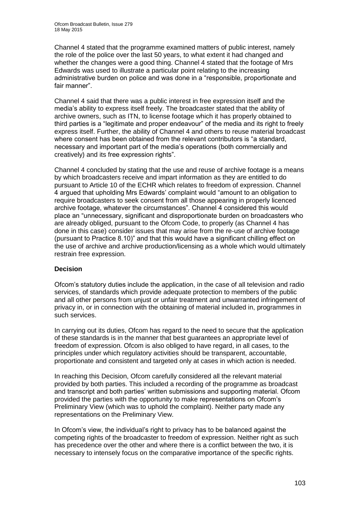Channel 4 stated that the programme examined matters of public interest, namely the role of the police over the last 50 years, to what extent it had changed and whether the changes were a good thing. Channel 4 stated that the footage of Mrs Edwards was used to illustrate a particular point relating to the increasing administrative burden on police and was done in a "responsible, proportionate and fair manner".

Channel 4 said that there was a public interest in free expression itself and the media's ability to express itself freely. The broadcaster stated that the ability of archive owners, such as ITN, to license footage which it has properly obtained to third parties is a "legitimate and proper endeavour" of the media and its right to freely express itself. Further, the ability of Channel 4 and others to reuse material broadcast where consent has been obtained from the relevant contributors is "a standard, necessary and important part of the media's operations (both commercially and creatively) and its free expression rights".

Channel 4 concluded by stating that the use and reuse of archive footage is a means by which broadcasters receive and impart information as they are entitled to do pursuant to Article 10 of the ECHR which relates to freedom of expression. Channel 4 argued that upholding Mrs Edwards' complaint would "amount to an obligation to require broadcasters to seek consent from all those appearing in properly licenced archive footage, whatever the circumstances". Channel 4 considered this would place an "unnecessary, significant and disproportionate burden on broadcasters who are already obliged, pursuant to the Ofcom Code, to properly (as Channel 4 has done in this case) consider issues that may arise from the re-use of archive footage (pursuant to Practice 8.10)" and that this would have a significant chilling effect on the use of archive and archive production/licensing as a whole which would ultimately restrain free expression.

# **Decision**

Ofcom's statutory duties include the application, in the case of all television and radio services, of standards which provide adequate protection to members of the public and all other persons from unjust or unfair treatment and unwarranted infringement of privacy in, or in connection with the obtaining of material included in, programmes in such services.

In carrying out its duties, Ofcom has regard to the need to secure that the application of these standards is in the manner that best guarantees an appropriate level of freedom of expression. Ofcom is also obliged to have regard, in all cases, to the principles under which regulatory activities should be transparent, accountable, proportionate and consistent and targeted only at cases in which action is needed.

In reaching this Decision, Ofcom carefully considered all the relevant material provided by both parties. This included a recording of the programme as broadcast and transcript and both parties' written submissions and supporting material. Ofcom provided the parties with the opportunity to make representations on Ofcom's Preliminary View (which was to uphold the complaint). Neither party made any representations on the Preliminary View.

In Ofcom's view, the individual's right to privacy has to be balanced against the competing rights of the broadcaster to freedom of expression. Neither right as such has precedence over the other and where there is a conflict between the two, it is necessary to intensely focus on the comparative importance of the specific rights.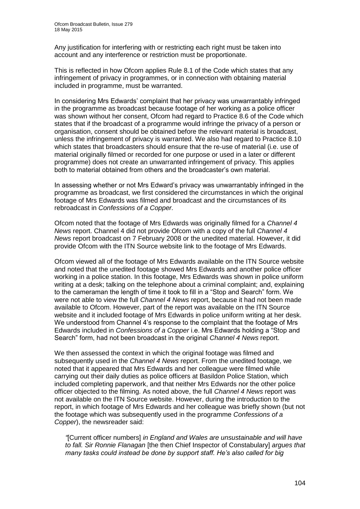Any justification for interfering with or restricting each right must be taken into account and any interference or restriction must be proportionate.

This is reflected in how Ofcom applies Rule 8.1 of the Code which states that any infringement of privacy in programmes, or in connection with obtaining material included in programme, must be warranted.

In considering Mrs Edwards' complaint that her privacy was unwarrantably infringed in the programme as broadcast because footage of her working as a police officer was shown without her consent, Ofcom had regard to Practice 8.6 of the Code which states that if the broadcast of a programme would infringe the privacy of a person or organisation, consent should be obtained before the relevant material is broadcast, unless the infringement of privacy is warranted. We also had regard to Practice 8.10 which states that broadcasters should ensure that the re-use of material (i.e. use of material originally filmed or recorded for one purpose or used in a later or different programme) does not create an unwarranted infringement of privacy. This applies both to material obtained from others and the broadcaster's own material.

In assessing whether or not Mrs Edward's privacy was unwarrantably infringed in the programme as broadcast, we first considered the circumstances in which the original footage of Mrs Edwards was filmed and broadcast and the circumstances of its rebroadcast in *Confessions of a Copper.* 

Ofcom noted that the footage of Mrs Edwards was originally filmed for a *Channel 4 News* report. Channel 4 did not provide Ofcom with a copy of the full *Channel 4 News* report broadcast on 7 February 2008 or the unedited material. However, it did provide Ofcom with the ITN Source website link to the footage of Mrs Edwards.

Ofcom viewed all of the footage of Mrs Edwards available on the ITN Source website and noted that the unedited footage showed Mrs Edwards and another police officer working in a police station. In this footage, Mrs Edwards was shown in police uniform writing at a desk; talking on the telephone about a criminal complaint; and, explaining to the cameraman the length of time it took to fill in a "Stop and Search" form. We were not able to view the full *Channel 4 News* report, because it had not been made available to Ofcom. However, part of the report was available on the ITN Source website and it included footage of Mrs Edwards in police uniform writing at her desk. We understood from Channel 4's response to the complaint that the footage of Mrs Edwards included in *Confessions of a Copper* i.e. Mrs Edwards holding a "Stop and Search" form, had not been broadcast in the original *Channel 4 News* report.

We then assessed the context in which the original footage was filmed and subsequently used in the *Channel 4 News* report. From the unedited footage, we noted that it appeared that Mrs Edwards and her colleague were filmed while carrying out their daily duties as police officers at Basildon Police Station, which included completing paperwork, and that neither Mrs Edwards nor the other police officer objected to the filming. As noted above, the full *Channel 4 News* report was not available on the ITN Source website. However, during the introduction to the report, in which footage of Mrs Edwards and her colleague was briefly shown (but not the footage which was subsequently used in the programme *Confessions of a Copper*), the newsreader said:

*"*[Current officer numbers] *in England and Wales are unsustainable and will have to fall. Sir Ronnie Flanagan* [the then Chief Inspector of Constabulary] *argues that many tasks could instead be done by support staff. He's also called for big*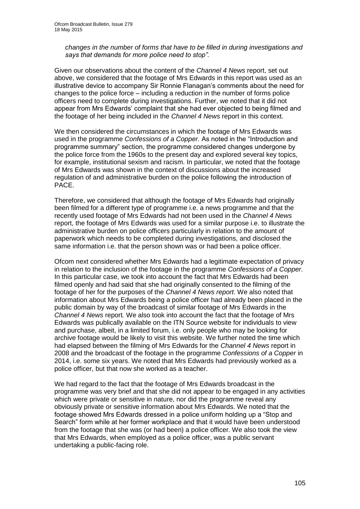*changes in the number of forms that have to be filled in during investigations and says that demands for more police need to stop".* 

Given our observations about the content of the *Channel 4 News* report, set out above, we considered that the footage of Mrs Edwards in this report was used as an illustrative device to accompany Sir Ronnie Flanagan's comments about the need for changes to the police force – including a reduction in the number of forms police officers need to complete during investigations. Further, we noted that it did not appear from Mrs Edwards' complaint that she had ever objected to being filmed and the footage of her being included in the *Channel 4 News* report in this context.

We then considered the circumstances in which the footage of Mrs Edwards was used in the programme *Confessions of a Copper.* As noted in the "Introduction and programme summary" section, the programme considered changes undergone by the police force from the 1960s to the present day and explored several key topics, for example, institutional sexism and racism. In particular, we noted that the footage of Mrs Edwards was shown in the context of discussions about the increased regulation of and administrative burden on the police following the introduction of PACE.

Therefore, we considered that although the footage of Mrs Edwards had originally been filmed for a different type of programme i.e. a news programme and that the recently used footage of Mrs Edwards had not been used in the *Channel 4 News* report, the footage of Mrs Edwards was used for a similar purpose i.e. to illustrate the administrative burden on police officers particularly in relation to the amount of paperwork which needs to be completed during investigations, and disclosed the same information i.e. that the person shown was or had been a police officer.

Ofcom next considered whether Mrs Edwards had a legitimate expectation of privacy in relation to the inclusion of the footage in the programme *Confessions of a Copper*. In this particular case, we took into account the fact that Mrs Edwards had been filmed openly and had said that she had originally consented to the filming of the footage of her for the purposes of the *Channel 4 News report*. We also noted that information about Mrs Edwards being a police officer had already been placed in the public domain by way of the broadcast of similar footage of Mrs Edwards in the *Channel 4 News* report*.* We also took into account the fact that the footage of Mrs Edwards was publically available on the ITN Source website for individuals to view and purchase, albeit, in a limited forum, i.e. only people who may be looking for archive footage would be likely to visit this website. We further noted the time which had elapsed between the filming of Mrs Edwards for the *Channel 4 News* report in 2008 and the broadcast of the footage in the programme *Confessions of a Copper* in 2014, i.e. some six years. We noted that Mrs Edwards had previously worked as a police officer, but that now she worked as a teacher.

We had regard to the fact that the footage of Mrs Edwards broadcast in the programme was very brief and that she did not appear to be engaged in any activities which were private or sensitive in nature, nor did the programme reveal any obviously private or sensitive information about Mrs Edwards. We noted that the footage showed Mrs Edwards dressed in a police uniform holding up a "Stop and Search" form while at her former workplace and that it would have been understood from the footage that she was (or had been) a police officer. We also took the view that Mrs Edwards, when employed as a police officer, was a public servant undertaking a public-facing role.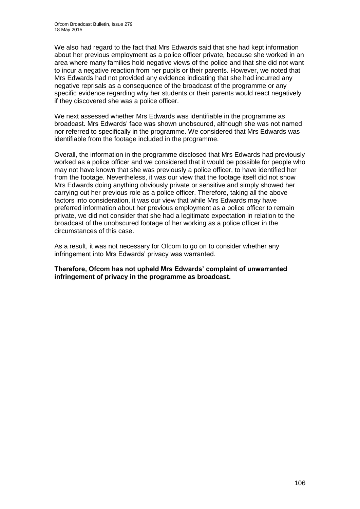We also had regard to the fact that Mrs Edwards said that she had kept information about her previous employment as a police officer private, because she worked in an area where many families hold negative views of the police and that she did not want to incur a negative reaction from her pupils or their parents. However, we noted that Mrs Edwards had not provided any evidence indicating that she had incurred any negative reprisals as a consequence of the broadcast of the programme or any specific evidence regarding why her students or their parents would react negatively if they discovered she was a police officer.

We next assessed whether Mrs Edwards was identifiable in the programme as broadcast. Mrs Edwards' face was shown unobscured, although she was not named nor referred to specifically in the programme. We considered that Mrs Edwards was identifiable from the footage included in the programme.

Overall, the information in the programme disclosed that Mrs Edwards had previously worked as a police officer and we considered that it would be possible for people who may not have known that she was previously a police officer, to have identified her from the footage. Nevertheless, it was our view that the footage itself did not show Mrs Edwards doing anything obviously private or sensitive and simply showed her carrying out her previous role as a police officer. Therefore, taking all the above factors into consideration, it was our view that while Mrs Edwards may have preferred information about her previous employment as a police officer to remain private, we did not consider that she had a legitimate expectation in relation to the broadcast of the unobscured footage of her working as a police officer in the circumstances of this case.

As a result, it was not necessary for Ofcom to go on to consider whether any infringement into Mrs Edwards' privacy was warranted.

**Therefore, Ofcom has not upheld Mrs Edwards' complaint of unwarranted infringement of privacy in the programme as broadcast.**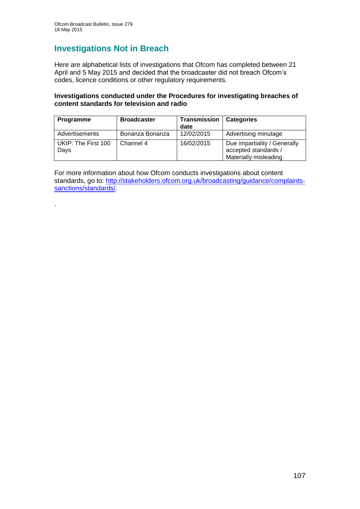.

# **Investigations Not in Breach**

Here are alphabetical lists of investigations that Ofcom has completed between 21 April and 5 May 2015 and decided that the broadcaster did not breach Ofcom's codes, licence conditions or other regulatory requirements.

# **Investigations conducted under the Procedures for investigating breaches of content standards for television and radio**

| <b>Programme</b>            | <b>Broadcaster</b> | <b>Transmission</b><br>date | <b>Categories</b>                                                             |
|-----------------------------|--------------------|-----------------------------|-------------------------------------------------------------------------------|
| Advertisements              | Bonanza Bonanza    | 12/02/2015                  | Advertising minutage                                                          |
| UKIP: The First 100<br>Days | Channel 4          | 16/02/2015                  | Due impartiality / Generally<br>accepted standards /<br>Materially misleading |

For more information about how Ofcom conducts investigations about content standards, go to: [http://stakeholders.ofcom.org.uk/broadcasting/guidance/complaints](http://stakeholders.ofcom.org.uk/broadcasting/guidance/complaints-sanctions/standards/)[sanctions/standards/.](http://stakeholders.ofcom.org.uk/broadcasting/guidance/complaints-sanctions/standards/)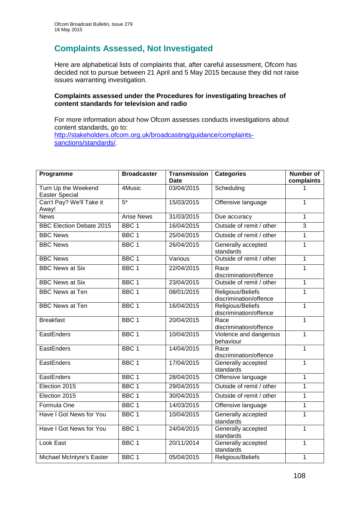# **Complaints Assessed, Not Investigated**

Here are alphabetical lists of complaints that, after careful assessment, Ofcom has decided not to pursue between 21 April and 5 May 2015 because they did not raise issues warranting investigation.

### **Complaints assessed under the Procedures for investigating breaches of content standards for television and radio**

For more information about how Ofcom assesses conducts investigations about content standards, go to: [http://stakeholders.ofcom.org.uk/broadcasting/guidance/complaints](http://stakeholders.ofcom.org.uk/broadcasting/guidance/complaints-sanctions/standards/)[sanctions/standards/.](http://stakeholders.ofcom.org.uk/broadcasting/guidance/complaints-sanctions/standards/)

| Programme                                  | <b>Broadcaster</b> | <b>Transmission</b> | <b>Categories</b>                           | <b>Number of</b><br>complaints |
|--------------------------------------------|--------------------|---------------------|---------------------------------------------|--------------------------------|
| Turn Up the Weekend                        | 4Music             | Date<br>03/04/2015  | Scheduling                                  |                                |
| Easter Special<br>Can't Pay? We'll Take it | $5*$               | 15/03/2015          | Offensive language                          | $\mathbf 1$                    |
| Away!                                      |                    |                     |                                             |                                |
| <b>News</b>                                | <b>Arise News</b>  | 31/03/2015          | Due accuracy                                | 1                              |
| <b>BBC Election Debate 2015</b>            | BBC <sub>1</sub>   | 16/04/2015          | Outside of remit / other                    | $\overline{3}$                 |
| <b>BBC News</b>                            | BBC <sub>1</sub>   | 25/04/2015          | Outside of remit / other                    | 1                              |
| <b>BBC News</b>                            | BBC <sub>1</sub>   | 26/04/2015          | Generally accepted<br>standards             | 1                              |
| <b>BBC News</b>                            | BBC <sub>1</sub>   | Various             | Outside of remit / other                    | $\mathbf 1$                    |
| <b>BBC News at Six</b>                     | BBC <sub>1</sub>   | 22/04/2015          | Race<br>discrimination/offence              | $\mathbf{1}$                   |
| <b>BBC News at Six</b>                     | BBC <sub>1</sub>   | 23/04/2015          | Outside of remit / other                    | 1                              |
| <b>BBC News at Ten</b>                     | BBC <sub>1</sub>   | 08/01/2015          | Religious/Beliefs<br>discrimination/offence | $\mathbf{1}$                   |
| <b>BBC News at Ten</b>                     | BBC <sub>1</sub>   | 16/04/2015          | Religious/Beliefs<br>discrimination/offence | 1                              |
| <b>Breakfast</b>                           | BBC <sub>1</sub>   | 20/04/2015          | Race<br>discrimination/offence              | 1                              |
| EastEnders                                 | BBC <sub>1</sub>   | 10/04/2015          | Violence and dangerous<br>behaviour         | 1                              |
| EastEnders                                 | BBC <sub>1</sub>   | 14/04/2015          | Race<br>discrimination/offence              | 1                              |
| <b>EastEnders</b>                          | BBC <sub>1</sub>   | 17/04/2015          | Generally accepted<br>standards             | 1                              |
| <b>EastEnders</b>                          | BBC <sub>1</sub>   | 28/04/2015          | Offensive language                          | 1                              |
| Election 2015                              | BBC <sub>1</sub>   | 29/04/2015          | Outside of remit / other                    | 1                              |
| Election 2015                              | BBC <sub>1</sub>   | 30/04/2015          | Outside of remit / other                    | 1                              |
| Formula One                                | BBC <sub>1</sub>   | 14/03/2015          | Offensive language                          | 1                              |
| Have I Got News for You                    | BBC <sub>1</sub>   | 10/04/2015          | Generally accepted<br>standards             | 1                              |
| Have I Got News for You                    | BBC <sub>1</sub>   | 24/04/2015          | Generally accepted<br>standards             | 1                              |
| Look East                                  | BBC <sub>1</sub>   | 20/11/2014          | Generally accepted<br>standards             | $\mathbf{1}$                   |
| Michael McIntyre's Easter                  | BBC <sub>1</sub>   | 05/04/2015          | Religious/Beliefs                           | 1                              |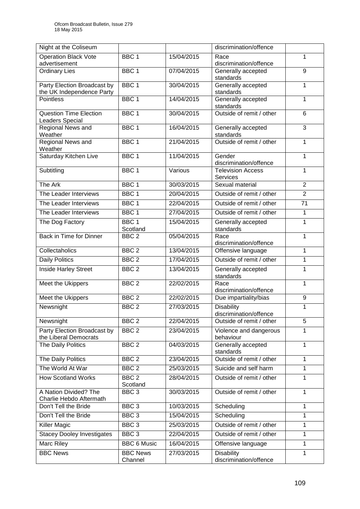| Night at the Coliseum                                    |                              |            | discrimination/offence                      |                |
|----------------------------------------------------------|------------------------------|------------|---------------------------------------------|----------------|
| <b>Operation Black Vote</b>                              | BBC <sub>1</sub>             | 15/04/2015 | Race                                        | 1              |
| advertisement                                            |                              |            | discrimination/offence                      |                |
| <b>Ordinary Lies</b>                                     | BBC <sub>1</sub>             | 07/04/2015 | Generally accepted<br>standards             | $\overline{9}$ |
| Party Election Broadcast by<br>the UK Independence Party | BBC <sub>1</sub>             | 30/04/2015 | Generally accepted<br>standards             | 1              |
| Pointless                                                | BBC <sub>1</sub>             | 14/04/2015 | Generally accepted<br>standards             | 1              |
| <b>Question Time Election</b><br>Leaders Special         | BBC <sub>1</sub>             | 30/04/2015 | Outside of remit / other                    | 6              |
| Regional News and<br>Weather                             | BBC <sub>1</sub>             | 16/04/2015 | Generally accepted<br>standards             | 3              |
| Regional News and<br>Weather                             | BBC <sub>1</sub>             | 21/04/2015 | Outside of remit / other                    | 1              |
| Saturday Kitchen Live                                    | BBC <sub>1</sub>             | 11/04/2015 | Gender<br>discrimination/offence            | 1              |
| Subtitling                                               | BBC <sub>1</sub>             | Various    | <b>Television Access</b><br>Services        | 1              |
| The Ark                                                  | BBC <sub>1</sub>             | 30/03/2015 | Sexual material                             | $\overline{2}$ |
| The Leader Interviews                                    | BBC <sub>1</sub>             | 20/04/2015 | Outside of remit / other                    | $\overline{2}$ |
| The Leader Interviews                                    | BBC <sub>1</sub>             | 22/04/2015 | Outside of remit / other                    | 71             |
| The Leader Interviews                                    | BBC <sub>1</sub>             | 27/04/2015 | Outside of remit / other                    | 1              |
| The Dog Factory                                          | BBC <sub>1</sub>             | 15/04/2015 | Generally accepted                          | 1              |
| Back in Time for Dinner                                  | Scotland<br>BBC <sub>2</sub> | 05/04/2015 | standards<br>Race                           | 1              |
|                                                          |                              |            | discrimination/offence                      |                |
| Collectaholics                                           | BBC <sub>2</sub>             | 13/04/2015 | Offensive language                          | 1              |
| <b>Daily Politics</b>                                    | BBC <sub>2</sub>             | 17/04/2015 | Outside of remit / other                    | $\mathbf 1$    |
| Inside Harley Street                                     | BBC <sub>2</sub>             | 13/04/2015 | Generally accepted<br>standards             | 1              |
| Meet the Ukippers                                        | BBC <sub>2</sub>             | 22/02/2015 | Race<br>discrimination/offence              | 1              |
| Meet the Ukippers                                        | BBC <sub>2</sub>             | 22/02/2015 | Due impartiality/bias                       | 9              |
| Newsnight                                                | BBC <sub>2</sub>             | 27/03/2015 | <b>Disability</b><br>discrimination/offence | 1              |
| Newsnight                                                | BBC <sub>2</sub>             | 22/04/2015 | Outside of remit / other                    | 5              |
| Party Election Broadcast by<br>the Liberal Democrats     | BBC <sub>2</sub>             | 23/04/2015 | Violence and dangerous<br>behaviour         | 1              |
| The Daily Politics                                       | BBC <sub>2</sub>             | 04/03/2015 | Generally accepted<br>standards             | 1              |
| The Daily Politics                                       | BBC <sub>2</sub>             | 23/04/2015 | Outside of remit / other                    | 1              |
| The World At War                                         | BBC <sub>2</sub>             | 25/03/2015 | Suicide and self harm                       | 1              |
| <b>How Scotland Works</b>                                | BBC <sub>2</sub><br>Scotland | 28/04/2015 | Outside of remit / other                    | 1              |
| A Nation Divided? The<br>Charlie Hebdo Aftermath         | BBC <sub>3</sub>             | 30/03/2015 | Outside of remit / other                    | 1              |
| Don't Tell the Bride                                     | BBC <sub>3</sub>             | 10/03/2015 | Scheduling                                  | 1              |
| Don't Tell the Bride                                     | BBC <sub>3</sub>             | 15/04/2015 | Scheduling                                  | 1              |
| Killer Magic                                             | BBC <sub>3</sub>             | 25/03/2015 | Outside of remit / other                    | 1              |
| <b>Stacey Dooley Investigates</b>                        | BBC <sub>3</sub>             | 22/04/2015 | Outside of remit / other                    | 1              |
| Marc Riley                                               | <b>BBC 6 Music</b>           | 16/04/2015 | Offensive language                          | 1              |
| <b>BBC News</b>                                          | <b>BBC News</b>              | 27/03/2015 | <b>Disability</b>                           | 1              |
|                                                          | Channel                      |            | discrimination/offence                      |                |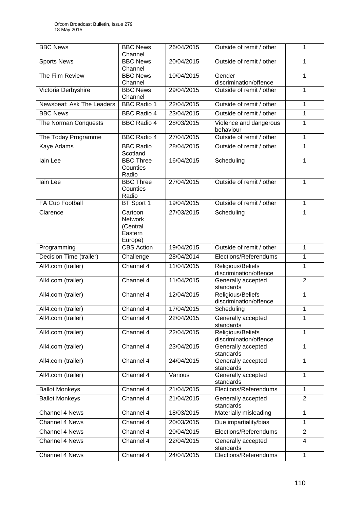| <b>BBC News</b>           | <b>BBC News</b><br>Channel                                  | 26/04/2015 | Outside of remit / other                    | 1              |
|---------------------------|-------------------------------------------------------------|------------|---------------------------------------------|----------------|
| <b>Sports News</b>        | <b>BBC News</b><br>Channel                                  | 20/04/2015 | Outside of remit / other                    | 1              |
| The Film Review           | <b>BBC News</b><br>Channel                                  | 10/04/2015 | Gender<br>discrimination/offence            | 1              |
| Victoria Derbyshire       | <b>BBC News</b><br>Channel                                  | 29/04/2015 | Outside of remit / other                    | 1              |
| Newsbeat: Ask The Leaders | <b>BBC Radio 1</b>                                          | 22/04/2015 | Outside of remit / other                    | 1              |
| <b>BBC News</b>           | <b>BBC Radio 4</b>                                          | 23/04/2015 | Outside of remit / other                    | 1              |
| The Norman Conquests      | <b>BBC Radio 4</b>                                          | 28/03/2015 | Violence and dangerous<br>behaviour         | 1              |
| The Today Programme       | <b>BBC Radio 4</b>                                          | 27/04/2015 | Outside of remit / other                    | 1              |
| Kaye Adams                | <b>BBC Radio</b><br>Scotland                                | 28/04/2015 | Outside of remit / other                    | 1              |
| lain Lee                  | <b>BBC Three</b><br>Counties<br>Radio                       | 16/04/2015 | Scheduling                                  | 1              |
| lain Lee                  | <b>BBC Three</b><br>Counties<br>Radio                       | 27/04/2015 | Outside of remit / other                    | 1              |
| FA Cup Football           | BT Sport 1                                                  | 19/04/2015 | Outside of remit / other                    | 1              |
| Clarence                  | Cartoon<br><b>Network</b><br>(Central<br>Eastern<br>Europe) | 27/03/2015 | Scheduling                                  | 1              |
| Programming               | <b>CBS</b> Action                                           | 19/04/2015 | Outside of remit / other                    | 1              |
| Decision Time (trailer)   | Challenge                                                   | 28/04/2014 | Elections/Referendums                       | 1              |
| All4.com (trailer)        | Channel 4                                                   | 11/04/2015 | Religious/Beliefs<br>discrimination/offence | 1              |
| All4.com (trailer)        | Channel 4                                                   | 11/04/2015 | Generally accepted<br>standards             | $\overline{2}$ |
| All4.com (trailer)        | Channel 4                                                   | 12/04/2015 | Religious/Beliefs<br>discrimination/offence | $\mathbf{1}$   |
| All4.com (trailer)        | Channel 4                                                   | 17/04/2015 | Scheduling                                  | 1              |
| All4.com (trailer)        | Channel 4                                                   | 22/04/2015 | Generally accepted<br>standards             | 1              |
| All4.com (trailer)        | Channel 4                                                   | 22/04/2015 | Religious/Beliefs<br>discrimination/offence | 1              |
| All4.com (trailer)        | Channel 4                                                   | 23/04/2015 | Generally accepted<br>standards             | 1              |
| All4.com (trailer)        | Channel 4                                                   | 24/04/2015 | Generally accepted<br>standards             | 1              |
| All4.com (trailer)        | Channel 4                                                   | Various    | Generally accepted<br>standards             | 1              |
| <b>Ballot Monkeys</b>     | Channel 4                                                   | 21/04/2015 | Elections/Referendums                       | 1              |
| <b>Ballot Monkeys</b>     | Channel 4                                                   | 21/04/2015 | Generally accepted<br>standards             | $\overline{2}$ |
| Channel 4 News            | Channel 4                                                   | 18/03/2015 | Materially misleading                       | 1              |
| Channel 4 News            | Channel 4                                                   | 20/03/2015 | Due impartiality/bias                       | 1              |
| Channel 4 News            | Channel 4                                                   | 20/04/2015 | Elections/Referendums                       | $\overline{2}$ |
| Channel 4 News            | Channel 4                                                   | 22/04/2015 | Generally accepted<br>standards             | 4              |
| Channel 4 News            | Channel 4                                                   | 24/04/2015 | Elections/Referendums                       | 1              |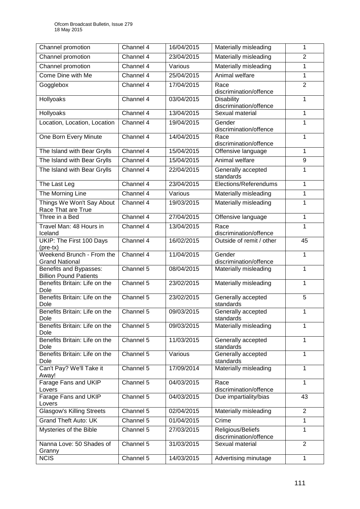| Channel promotion                                       | Channel 4              | 16/04/2015 | Materially misleading                       | 1              |
|---------------------------------------------------------|------------------------|------------|---------------------------------------------|----------------|
| Channel promotion                                       | Channel 4              | 23/04/2015 | Materially misleading                       | $\overline{2}$ |
| Channel promotion                                       | Channel 4              | Various    | Materially misleading                       | 1              |
| Come Dine with Me                                       | Channel 4              | 25/04/2015 | Animal welfare                              | $\mathbf{1}$   |
| Gogglebox                                               | Channel 4              | 17/04/2015 | Race<br>discrimination/offence              | $\overline{2}$ |
| Hollyoaks                                               | Channel 4              | 03/04/2015 | <b>Disability</b><br>discrimination/offence | 1              |
| Hollyoaks                                               | Channel 4              | 13/04/2015 | Sexual material                             | $\mathbf{1}$   |
| Location, Location, Location                            | Channel 4              | 19/04/2015 | Gender<br>discrimination/offence            | 1              |
| One Born Every Minute                                   | Channel 4              | 14/04/2015 | Race<br>discrimination/offence              | $\mathbf{1}$   |
| The Island with Bear Grylls                             | Channel 4              | 15/04/2015 | Offensive language                          | $\mathbf{1}$   |
| The Island with Bear Grylls                             | Channel 4              | 15/04/2015 | Animal welfare                              | 9              |
| The Island with Bear Grylls                             | Channel 4              | 22/04/2015 | Generally accepted<br>standards             | 1              |
| The Last Leg                                            | Channel 4              | 23/04/2015 | Elections/Referendums                       | 1              |
| The Morning Line                                        | Channel 4              | Various    | Materially misleading                       | $\mathbf{1}$   |
| Things We Won't Say About<br>Race That are True         | Channel 4              | 19/03/2015 | Materially misleading                       | $\mathbf{1}$   |
| Three in a Bed                                          | Channel 4              | 27/04/2015 | Offensive language                          | 1              |
| Travel Man: 48 Hours in<br>Iceland                      | Channel 4              | 13/04/2015 | Race<br>discrimination/offence              | 1              |
| UKIP: The First 100 Days<br>$(\text{pre-tx})$           | Channel 4              | 16/02/2015 | Outside of remit / other                    | 45             |
| Weekend Brunch - From the<br><b>Grand National</b>      | Channel 4              | 11/04/2015 | Gender<br>discrimination/offence            | $\mathbf{1}$   |
| Benefits and Bypasses:<br><b>Billion Pound Patients</b> | Channel 5              | 08/04/2015 | Materially misleading                       | $\mathbf{1}$   |
| Benefits Britain: Life on the<br>Dole                   | Channel 5              | 23/02/2015 | Materially misleading                       | $\mathbf{1}$   |
| Benefits Britain: Life on the<br>Dole                   | Channel 5              | 23/02/2015 | Generally accepted<br>standards             | 5              |
| Benefits Britain: Life on the<br>Dole                   | Channel 5              | 09/03/2015 | Generally accepted<br>standards             | 1              |
| Benefits Britain: Life on the<br>Dole                   | Channel $\overline{5}$ | 09/03/2015 | Materially misleading                       | 1              |
| Benefits Britain: Life on the<br>Dole                   | Channel 5              | 11/03/2015 | Generally accepted<br>standards             | 1              |
| Benefits Britain: Life on the<br>Dole                   | Channel 5              | Various    | Generally accepted<br>standards             | 1              |
| Can't Pay? We'll Take it<br>Away!                       | Channel 5              | 17/09/2014 | Materially misleading                       | 1              |
| Farage Fans and UKIP<br>Lovers                          | Channel 5              | 04/03/2015 | Race<br>discrimination/offence              | 1              |
| Farage Fans and UKIP<br>Lovers                          | Channel 5              | 04/03/2015 | Due impartiality/bias                       | 43             |
| <b>Glasgow's Killing Streets</b>                        | Channel 5              | 02/04/2015 | Materially misleading                       | $\overline{2}$ |
| <b>Grand Theft Auto: UK</b>                             | Channel 5              | 01/04/2015 | Crime                                       | $\mathbf{1}$   |
| Mysteries of the Bible                                  | Channel 5              | 27/03/2015 | Religious/Beliefs<br>discrimination/offence | 1              |
| Nanna Love: 50 Shades of<br>Granny                      | Channel 5              | 31/03/2015 | Sexual material                             | 2              |
| <b>NCIS</b>                                             | Channel 5              | 14/03/2015 | Advertising minutage                        | $\mathbf{1}$   |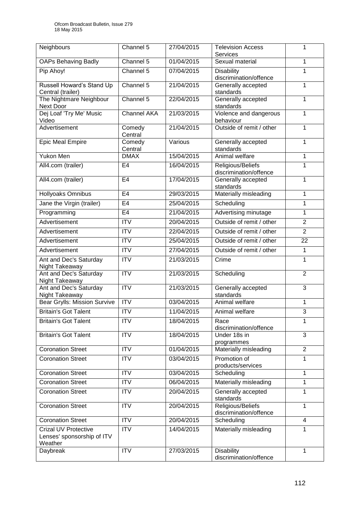| Neighbours                                                    | Channel 5              | 27/04/2015 | Television Access                           | 1              |
|---------------------------------------------------------------|------------------------|------------|---------------------------------------------|----------------|
| <b>OAPs Behaving Badly</b>                                    | Channel 5              | 01/04/2015 | <b>Services</b><br>Sexual material          | 1              |
|                                                               | Channel 5              | 07/04/2015 |                                             | 1              |
| Pip Ahoy!                                                     |                        |            | Disability<br>discrimination/offence        |                |
| Russell Howard's Stand Up<br>Central (trailer)                | Channel 5              | 21/04/2015 | Generally accepted<br>standards             | 1              |
| The Nightmare Neighbour<br><b>Next Door</b>                   | Channel 5              | 22/04/2015 | Generally accepted<br>standards             | 1              |
| Dej Loaf 'Try Me' Music<br>Video                              | <b>Channel AKA</b>     | 21/03/2015 | Violence and dangerous<br>behaviour         | 1              |
| Advertisement                                                 | Comedy<br>Central      | 21/04/2015 | Outside of remit / other                    | 1              |
| <b>Epic Meal Empire</b>                                       | Comedy<br>Central      | Various    | Generally accepted<br>standards             | 1              |
| Yukon Men                                                     | <b>DMAX</b>            | 15/04/2015 | Animal welfare                              | 1              |
| All4.com (trailer)                                            | E <sub>4</sub>         | 16/04/2015 | Religious/Beliefs<br>discrimination/offence | 1              |
| All4.com (trailer)                                            | E <sub>4</sub>         | 17/04/2015 | Generally accepted<br>standards             | 1              |
| Hollyoaks Omnibus                                             | E <sub>4</sub>         | 29/03/2015 | Materially misleading                       | 1              |
| Jane the Virgin (trailer)                                     | E <sub>4</sub>         | 25/04/2015 | Scheduling                                  | 1              |
| Programming                                                   | E <sub>4</sub>         | 21/04/2015 | Advertising minutage                        | 1              |
| Advertisement                                                 | <b>ITV</b>             | 20/04/2015 | Outside of remit / other                    | $\overline{2}$ |
| Advertisement                                                 | <b>ITV</b>             | 22/04/2015 | Outside of remit / other                    | $\overline{2}$ |
| Advertisement                                                 | <b>ITV</b>             | 25/04/2015 | Outside of remit / other                    | 22             |
| Advertisement                                                 | <b>ITV</b>             | 27/04/2015 | Outside of remit / other                    | 1              |
| Ant and Dec's Saturday<br>Night Takeaway                      | <b>ITV</b>             | 21/03/2015 | Crime                                       | 1              |
| Ant and Dec's Saturday<br>Night Takeaway                      | $\overline{\text{IV}}$ | 21/03/2015 | Scheduling                                  | $\overline{2}$ |
| Ant and Dec's Saturday<br>Night Takeaway                      | <b>ITV</b>             | 21/03/2015 | Generally accepted<br>standards             | 3              |
| <b>Bear Grylls: Mission Survive</b>                           | $\overline{IV}$        | 03/04/2015 | Animal welfare                              | 1              |
| <b>Britain's Got Talent</b>                                   | <b>ITV</b>             | 11/04/2015 | Animal welfare                              | 3              |
| <b>Britain's Got Talent</b>                                   | <b>ITV</b>             | 18/04/2015 | Race<br>discrimination/offence              | 1              |
| <b>Britain's Got Talent</b>                                   | $\overline{IV}$        | 18/04/2015 | Under 18s in<br>programmes                  | 3              |
| <b>Coronation Street</b>                                      | <b>ITV</b>             | 01/04/2015 | Materially misleading                       | $\overline{2}$ |
| <b>Coronation Street</b>                                      | <b>ITV</b>             | 03/04/2015 | Promotion of<br>products/services           | 1              |
| <b>Coronation Street</b>                                      | <b>ITV</b>             | 03/04/2015 | Scheduling                                  | 1              |
| <b>Coronation Street</b>                                      | <b>ITV</b>             | 06/04/2015 | Materially misleading                       | 1              |
| <b>Coronation Street</b>                                      | <b>ITV</b>             | 20/04/2015 | Generally accepted<br>standards             | 1              |
| <b>Coronation Street</b>                                      | <b>ITV</b>             | 20/04/2015 | Religious/Beliefs<br>discrimination/offence | 1              |
| <b>Coronation Street</b>                                      | <b>ITV</b>             | 20/04/2015 | Scheduling                                  | 4              |
| Crizal UV Protective<br>Lenses' sponsorship of ITV<br>Weather | $\overline{IV}$        | 14/04/2015 | Materially misleading                       | 1              |
| Daybreak                                                      | <b>ITV</b>             | 27/03/2015 | <b>Disability</b><br>discrimination/offence | 1              |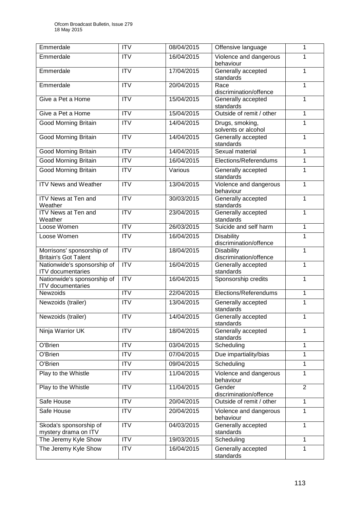| Emmerdale                                                | <b>ITV</b>             | 08/04/2015 | Offensive language                          | 1              |
|----------------------------------------------------------|------------------------|------------|---------------------------------------------|----------------|
| Emmerdale                                                | <b>ITV</b>             | 16/04/2015 | Violence and dangerous<br>behaviour         | 1              |
| Emmerdale                                                | $\overline{\text{IV}}$ | 17/04/2015 | 1<br>Generally accepted<br>standards        |                |
| Emmerdale                                                | <b>ITV</b>             | 20/04/2015 | Race<br>discrimination/offence              |                |
| Give a Pet a Home                                        | <b>ITV</b>             | 15/04/2015 | Generally accepted<br>standards             | 1              |
| Give a Pet a Home                                        | <b>ITV</b>             | 15/04/2015 | Outside of remit / other                    | 1              |
| <b>Good Morning Britain</b>                              | <b>ITV</b>             | 14/04/2015 | Drugs, smoking,<br>solvents or alcohol      | 1              |
| <b>Good Morning Britain</b>                              | $\overline{\text{IV}}$ | 14/04/2015 | Generally accepted<br>standards             | $\mathbf 1$    |
| <b>Good Morning Britain</b>                              | <b>ITV</b>             | 14/04/2015 | Sexual material                             | 1              |
| <b>Good Morning Britain</b>                              | <b>ITV</b>             | 16/04/2015 | Elections/Referendums                       | 1              |
| <b>Good Morning Britain</b>                              | <b>ITV</b>             | Various    | Generally accepted<br>standards             | 1              |
| <b>ITV News and Weather</b>                              | <b>ITV</b>             | 13/04/2015 | Violence and dangerous<br>behaviour         | 1              |
| ITV News at Ten and<br>Weather                           | <b>ITV</b>             | 30/03/2015 | Generally accepted<br>standards             | 1              |
| ITV News at Ten and<br>Weather                           | <b>ITV</b>             | 23/04/2015 | Generally accepted<br>standards             | 1              |
| Loose Women                                              | <b>ITV</b>             | 26/03/2015 | Suicide and self harm                       | 1              |
| Loose Women                                              | <b>ITV</b>             | 16/04/2015 | <b>Disability</b><br>discrimination/offence | 1              |
| Morrisons' sponsorship of<br><b>Britain's Got Talent</b> | <b>ITV</b>             | 18/04/2015 | <b>Disability</b><br>discrimination/offence | 1              |
| Nationwide's sponsorship of<br><b>ITV</b> documentaries  | <b>ITV</b>             | 16/04/2015 | Generally accepted<br>standards             | 1              |
| Nationwide's sponsorship of<br><b>ITV</b> documentaries  | <b>ITV</b>             | 16/04/2015 | Sponsorship credits                         | 1              |
| Newzoids                                                 | <b>ITV</b>             | 22/04/2015 | Elections/Referendums                       | 1              |
| Newzoids (trailer)                                       | <b>ITV</b>             | 13/04/2015 | Generally accepted<br>standards             | 1              |
| Newzoids (trailer)                                       | <b>ITV</b>             | 14/04/2015 | Generally accepted<br>standards             | 1              |
| Ninja Warrior UK                                         | <b>ITV</b>             | 18/04/2015 | Generally accepted<br>standards             | 1              |
| O'Brien                                                  | <b>ITV</b>             | 03/04/2015 | Scheduling                                  | 1              |
| O'Brien                                                  | <b>ITV</b>             | 07/04/2015 | Due impartiality/bias                       | 1              |
| O'Brien                                                  | <b>ITV</b>             | 09/04/2015 | Scheduling<br>1                             |                |
| Play to the Whistle                                      | <b>ITV</b>             | 11/04/2015 | Violence and dangerous<br>behaviour         | 1              |
| Play to the Whistle                                      | <b>ITV</b>             | 11/04/2015 | Gender<br>discrimination/offence            | $\overline{2}$ |
| Safe House                                               | <b>ITV</b>             | 20/04/2015 | Outside of remit / other                    | 1              |
| Safe House                                               | <b>ITV</b>             | 20/04/2015 | Violence and dangerous<br>behaviour         | 1              |
| Skoda's sponsorship of<br>mystery drama on ITV           | <b>ITV</b>             | 04/03/2015 | Generally accepted<br>standards             | 1              |
| The Jeremy Kyle Show                                     | <b>ITV</b>             | 19/03/2015 | Scheduling                                  | 1              |
| The Jeremy Kyle Show                                     | <b>ITV</b>             | 16/04/2015 | Generally accepted<br>standards             | 1              |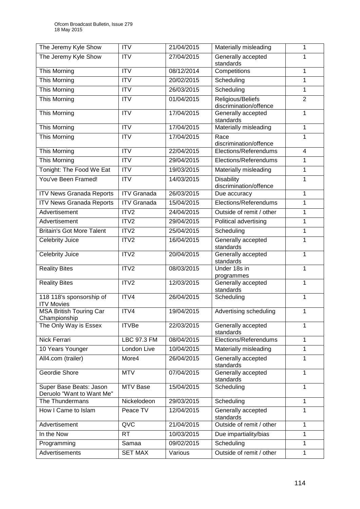| The Jeremy Kyle Show                                 | <b>ITV</b>             | 21/04/2015 | Materially misleading                       | 1              |
|------------------------------------------------------|------------------------|------------|---------------------------------------------|----------------|
| The Jeremy Kyle Show                                 | $\overline{\text{IV}}$ | 27/04/2015 | Generally accepted<br>standards             | 1              |
| This Morning                                         | $\overline{ITV}$       | 08/12/2014 | Competitions                                | 1              |
| This Morning                                         | <b>ITV</b>             | 20/02/2015 | Scheduling                                  | 1              |
| This Morning                                         | <b>ITV</b>             | 26/03/2015 | Scheduling                                  | 1              |
| This Morning                                         | <b>ITV</b>             | 01/04/2015 | Religious/Beliefs<br>discrimination/offence | $\overline{2}$ |
| This Morning                                         | <b>ITV</b>             | 17/04/2015 | Generally accepted<br>standards             | 1              |
| This Morning                                         | <b>ITV</b>             | 17/04/2015 | Materially misleading                       | 1              |
| This Morning                                         | <b>ITV</b>             | 17/04/2015 | Race<br>discrimination/offence              | 1              |
| This Morning                                         | <b>ITV</b>             | 22/04/2015 | Elections/Referendums                       | $\overline{4}$ |
| This Morning                                         | $\overline{ITV}$       | 29/04/2015 | Elections/Referendums                       | 1              |
| Tonight: The Food We Eat                             | <b>ITV</b>             | 19/03/2015 | Materially misleading                       | 1              |
| You've Been Framed!                                  | <b>ITV</b>             | 14/03/2015 | <b>Disability</b><br>discrimination/offence | 1              |
| <b>ITV News Granada Reports</b>                      | <b>ITV Granada</b>     | 26/03/2015 | Due accuracy                                | 1              |
| <b>ITV News Granada Reports</b>                      | <b>ITV</b> Granada     | 15/04/2015 | Elections/Referendums                       | 1              |
| Advertisement                                        | ITV2                   | 24/04/2015 | Outside of remit / other                    | 1              |
| Advertisement                                        | ITV2                   | 29/04/2015 | Political advertising                       | 1              |
| <b>Britain's Got More Talent</b>                     | ITV2                   | 25/04/2015 | Scheduling                                  | 1              |
| Celebrity Juice                                      | ITV2                   | 16/04/2015 | Generally accepted<br>standards             | 1              |
| Celebrity Juice                                      | ITV2                   | 20/04/2015 | Generally accepted<br>standards             | 1              |
| <b>Reality Bites</b>                                 | ITV2                   | 08/03/2015 | Under 18s in<br>programmes                  | 1              |
| <b>Reality Bites</b>                                 | ITV2                   | 12/03/2015 | Generally accepted<br>standards             | 1              |
| 118 118's sponsorship of<br><b>ITV Movies</b>        | ITV4                   | 26/04/2015 | Scheduling                                  | 1              |
| <b>MSA British Touring Car</b><br>Championship       | ITV4                   | 19/04/2015 | Advertising scheduling                      | 1              |
| The Only Way is Essex                                | <b>ITVBe</b>           | 22/03/2015 | Generally accepted<br>standards             | 1              |
| Nick Ferrari                                         | <b>LBC 97.3 FM</b>     | 08/04/2015 | Elections/Referendums                       | 1              |
| 10 Years Younger                                     | London Live            | 10/04/2015 | Materially misleading                       | 1              |
| All4.com (trailer)                                   | More4                  | 26/04/2015 | Generally accepted<br>standards             | 1              |
| Geordie Shore                                        | <b>MTV</b>             | 07/04/2015 | Generally accepted<br>standards             | 1              |
| Super Base Beats: Jason<br>Deruolo "Want to Want Me" | MTV Base               | 15/04/2015 | Scheduling                                  | 1              |
| The Thundermans                                      | Nickelodeon            | 29/03/2015 | Scheduling                                  | 1              |
| How I Came to Islam                                  | Peace TV               | 12/04/2015 | Generally accepted<br>standards             | 1              |
| Advertisement                                        | QVC                    | 21/04/2015 | Outside of remit / other                    | 1              |
| In the Now                                           | <b>RT</b>              | 10/03/2015 | Due impartiality/bias<br>1                  |                |
| Programming                                          | Samaa                  | 09/02/2015 | Scheduling                                  | 1              |
| Advertisements                                       | <b>SET MAX</b>         | Various    | Outside of remit / other                    | 1              |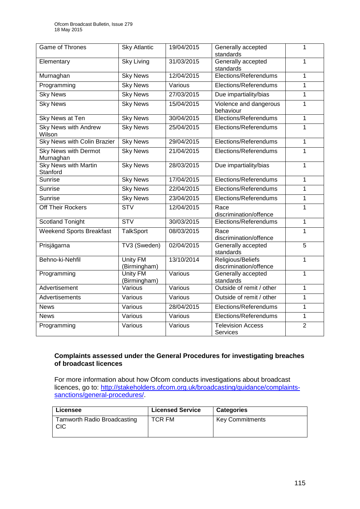| Game of Thrones                          | <b>Sky Atlantic</b>             | 19/04/2015 | Generally accepted<br>standards             | 1              |
|------------------------------------------|---------------------------------|------------|---------------------------------------------|----------------|
| Elementary                               | <b>Sky Living</b>               | 31/03/2015 | Generally accepted<br>standards             | 1              |
| Murnaghan                                | <b>Sky News</b>                 | 12/04/2015 | Elections/Referendums<br>1                  |                |
| Programming                              | <b>Sky News</b>                 | Various    | Elections/Referendums                       | 1              |
| <b>Sky News</b>                          | <b>Sky News</b>                 | 27/03/2015 | Due impartiality/bias                       | 1              |
| <b>Sky News</b>                          | <b>Sky News</b>                 | 15/04/2015 | Violence and dangerous<br>behaviour         | 1              |
| <b>Sky News at Ten</b>                   | <b>Sky News</b>                 | 30/04/2015 | Elections/Referendums                       | 1              |
| <b>Sky News with Andrew</b><br>Wilson    | <b>Sky News</b>                 | 25/04/2015 | Elections/Referendums                       | 1              |
| <b>Sky News with Colin Brazier</b>       | <b>Sky News</b>                 | 29/04/2015 | Elections/Referendums                       | 1              |
| <b>Sky News with Dermot</b><br>Murnaghan | <b>Sky News</b>                 | 21/04/2015 | Elections/Referendums                       | $\mathbf 1$    |
| <b>Sky News with Martin</b><br>Stanford  | <b>Sky News</b>                 | 28/03/2015 | Due impartiality/bias                       | 1              |
| <b>Sunrise</b>                           | <b>Sky News</b>                 | 17/04/2015 | Elections/Referendums                       | $\mathbf 1$    |
| <b>Sunrise</b>                           | <b>Sky News</b>                 | 22/04/2015 | Elections/Referendums                       | 1              |
| <b>Sunrise</b>                           | <b>Sky News</b>                 | 23/04/2015 | Elections/Referendums                       | 1              |
| Off Their Rockers                        | STV                             | 12/04/2015 | Race<br>discrimination/offence              | 1              |
| <b>Scotland Tonight</b>                  | $\overline{\text{STV}}$         | 30/03/2015 | Elections/Referendums                       | 1              |
| <b>Weekend Sports Breakfast</b>          | <b>TalkSport</b>                | 08/03/2015 | Race<br>discrimination/offence              | 1              |
| Prisjägarna                              | TV3 (Sweden)                    | 02/04/2015 | Generally accepted<br>standards             | $\overline{5}$ |
| Behno-ki-Nehfil                          | Unity FM<br>(Birmingham)        | 13/10/2014 | Religious/Beliefs<br>discrimination/offence | 1              |
| Programming                              | <b>Unity FM</b><br>(Birmingham) | Various    | Generally accepted<br>standards             | 1              |
| Advertisement                            | Various                         | Various    | Outside of remit / other                    | 1              |
| Advertisements                           | Various                         | Various    | Outside of remit / other                    | 1              |
| <b>News</b>                              | Various                         | 28/04/2015 | Elections/Referendums                       | 1              |
| <b>News</b>                              | Various                         | Various    | Elections/Referendums                       | 1              |
| Programming                              | Various                         | Various    | <b>Television Access</b><br><b>Services</b> | $\overline{2}$ |

## **Complaints assessed under the General Procedures for investigating breaches of broadcast licences**

For more information about how Ofcom conducts investigations about broadcast licences, go to: [http://stakeholders.ofcom.org.uk/broadcasting/guidance/complaints](http://stakeholders.ofcom.org.uk/broadcasting/guidance/complaints-sanctions/general-procedures/)[sanctions/general-procedures/.](http://stakeholders.ofcom.org.uk/broadcasting/guidance/complaints-sanctions/general-procedures/)

| Licensee                                         | <b>Licensed Service</b> | <b>Categories</b>      |
|--------------------------------------------------|-------------------------|------------------------|
| <b>Tamworth Radio Broadcasting</b><br><b>CIC</b> | TCR FM                  | <b>Key Commitments</b> |